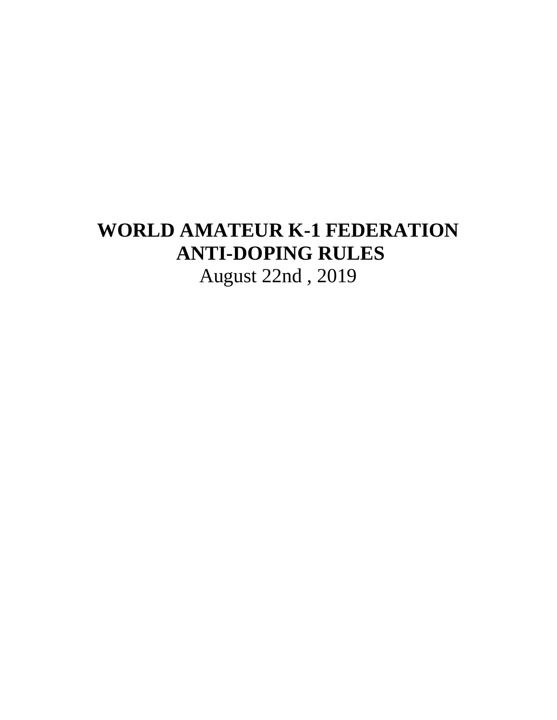# **WORLD AMATEUR K-1 FEDERATION ANTI-DOPING RULES**  August 22nd , 2019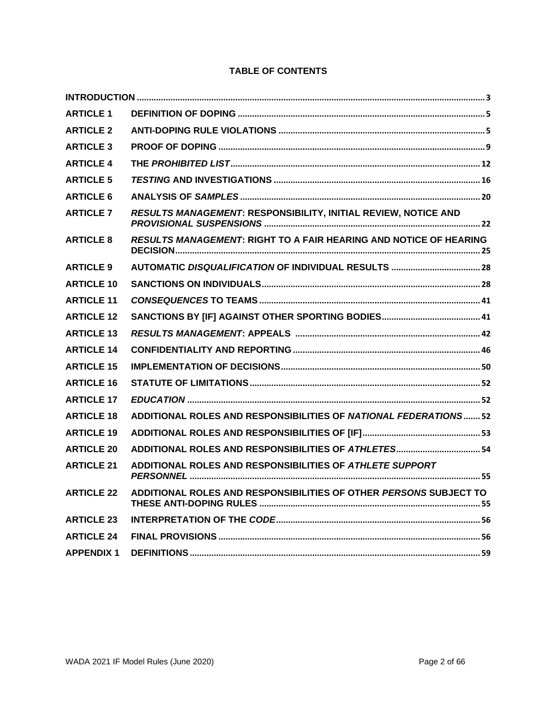# **TABLE OF CONTENTS**

| <b>ARTICLE 1</b>  |                                                                   |
|-------------------|-------------------------------------------------------------------|
| <b>ARTICLE 2</b>  |                                                                   |
| <b>ARTICLE 3</b>  |                                                                   |
| <b>ARTICLE 4</b>  |                                                                   |
| <b>ARTICLE 5</b>  |                                                                   |
| <b>ARTICLE 6</b>  |                                                                   |
| <b>ARTICLE 7</b>  | RESULTS MANAGEMENT: RESPONSIBILITY, INITIAL REVIEW, NOTICE AND    |
| <b>ARTICLE 8</b>  | RESULTS MANAGEMENT: RIGHT TO A FAIR HEARING AND NOTICE OF HEARING |
| <b>ARTICLE 9</b>  |                                                                   |
| <b>ARTICLE 10</b> |                                                                   |
| <b>ARTICLE 11</b> |                                                                   |
| <b>ARTICLE 12</b> |                                                                   |
| <b>ARTICLE 13</b> |                                                                   |
| <b>ARTICLE 14</b> |                                                                   |
| <b>ARTICLE 15</b> |                                                                   |
| <b>ARTICLE 16</b> |                                                                   |
| <b>ARTICLE 17</b> |                                                                   |
| <b>ARTICLE 18</b> | ADDITIONAL ROLES AND RESPONSIBILITIES OF NATIONAL FEDERATIONS 52  |
| <b>ARTICLE 19</b> |                                                                   |
| <b>ARTICLE 20</b> |                                                                   |
| <b>ARTICLE 21</b> | ADDITIONAL ROLES AND RESPONSIBILITIES OF ATHLETE SUPPORT          |
| <b>ARTICLE 22</b> | ADDITIONAL ROLES AND RESPONSIBILITIES OF OTHER PERSONS SUBJECT TO |
| <b>ARTICLE 23</b> |                                                                   |
| <b>ARTICLE 24</b> |                                                                   |
| <b>APPENDIX 1</b> |                                                                   |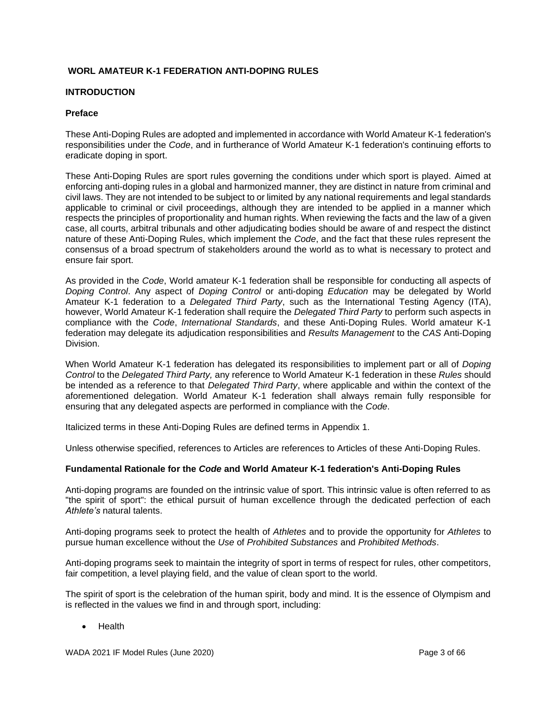## <span id="page-2-0"></span>**WORL AMATEUR K-1 FEDERATION ANTI-DOPING RULES**

#### **INTRODUCTION**

#### **Preface**

These Anti-Doping Rules are adopted and implemented in accordance with World Amateur K-1 federation's responsibilities under the *Code*, and in furtherance of World Amateur K-1 federation's continuing efforts to eradicate doping in sport.

These Anti-Doping Rules are sport rules governing the conditions under which sport is played. Aimed at enforcing anti-doping rules in a global and harmonized manner, they are distinct in nature from criminal and civil laws. They are not intended to be subject to or limited by any national requirements and legal standards applicable to criminal or civil proceedings, although they are intended to be applied in a manner which respects the principles of proportionality and human rights. When reviewing the facts and the law of a given case, all courts, arbitral tribunals and other adjudicating bodies should be aware of and respect the distinct nature of these Anti-Doping Rules, which implement the *Code*, and the fact that these rules represent the consensus of a broad spectrum of stakeholders around the world as to what is necessary to protect and ensure fair sport.

As provided in the *Code*, World amateur K-1 federation shall be responsible for conducting all aspects of *Doping Control*. Any aspect of *Doping Control* or anti-doping *Education* may be delegated by World Amateur K-1 federation to a *Delegated Third Party*, such as the International Testing Agency (ITA), however, World Amateur K-1 federation shall require the *Delegated Third Party* to perform such aspects in compliance with the *Code*, *International Standards*, and these Anti-Doping Rules. World amateur K-1 federation may delegate its adjudication responsibilities and *Results Management* to the *CAS* Anti-Doping Division.

When World Amateur K-1 federation has delegated its responsibilities to implement part or all of *Doping Control* to the *Delegated Third Party,* any reference to World Amateur K-1 federation in these *Rules* should be intended as a reference to that *Delegated Third Party*, where applicable and within the context of the aforementioned delegation. World Amateur K-1 federation shall always remain fully responsible for ensuring that any delegated aspects are performed in compliance with the *Code*.

Italicized terms in these Anti-Doping Rules are defined terms in Appendix 1.

Unless otherwise specified, references to Articles are references to Articles of these Anti-Doping Rules.

#### **Fundamental Rationale for the** *Code* **and World Amateur K-1 federation's Anti-Doping Rules**

Anti-doping programs are founded on the intrinsic value of sport. This intrinsic value is often referred to as "the spirit of sport": the ethical pursuit of human excellence through the dedicated perfection of each *Athlete's* natural talents.

Anti-doping programs seek to protect the health of *Athletes* and to provide the opportunity for *Athletes* to pursue human excellence without the *Use* of *Prohibited Substances* and *Prohibited Methods*.

Anti-doping programs seek to maintain the integrity of sport in terms of respect for rules, other competitors, fair competition, a level playing field, and the value of clean sport to the world.

The spirit of sport is the celebration of the human spirit, body and mind. It is the essence of Olympism and is reflected in the values we find in and through sport, including:

• Health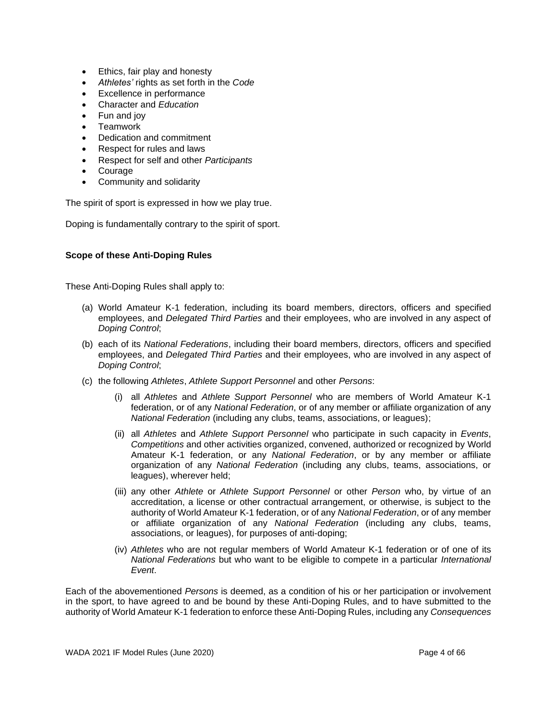- Ethics, fair play and honesty
- *Athletes'* rights as set forth in the *Code*
- Excellence in performance
- Character and *Education*
- Fun and joy
- Teamwork
- Dedication and commitment
- Respect for rules and laws
- Respect for self and other *Participants*
- Courage
- Community and solidarity

The spirit of sport is expressed in how we play true.

Doping is fundamentally contrary to the spirit of sport.

## **Scope of these Anti-Doping Rules**

These Anti-Doping Rules shall apply to:

- (a) World Amateur K-1 federation, including its board members, directors, officers and specified employees, and *Delegated Third Parties* and their employees, who are involved in any aspect of *Doping Control*;
- (b) each of its *National Federations*, including their board members, directors, officers and specified employees, and *Delegated Third Parties* and their employees, who are involved in any aspect of *Doping Control*;
- (c) the following *Athletes*, *Athlete Support Personnel* and other *Persons*:
	- (i) all *Athletes* and *Athlete Support Personnel* who are members of World Amateur K-1 federation, or of any *National Federation*, or of any member or affiliate organization of any *National Federation* (including any clubs, teams, associations, or leagues);
	- (ii) all *Athletes* and *Athlete Support Personnel* who participate in such capacity in *Events*, *Competitions* and other activities organized, convened, authorized or recognized by World Amateur K-1 federation, or any *National Federation*, or by any member or affiliate organization of any *National Federation* (including any clubs, teams, associations, or leagues), wherever held;
	- (iii) any other *Athlete* or *Athlete Support Personnel* or other *Person* who, by virtue of an accreditation, a license or other contractual arrangement, or otherwise, is subject to the authority of World Amateur K-1 federation, or of any *National Federation*, or of any member or affiliate organization of any *National Federation* (including any clubs, teams, associations, or leagues), for purposes of anti-doping;
	- (iv) *Athletes* who are not regular members of World Amateur K-1 federation or of one of its *National Federations* but who want to be eligible to compete in a particular *International Event*.

Each of the abovementioned *Persons* is deemed, as a condition of his or her participation or involvement in the sport, to have agreed to and be bound by these Anti-Doping Rules, and to have submitted to the authority of World Amateur K-1 federation to enforce these Anti-Doping Rules, including any *Consequences*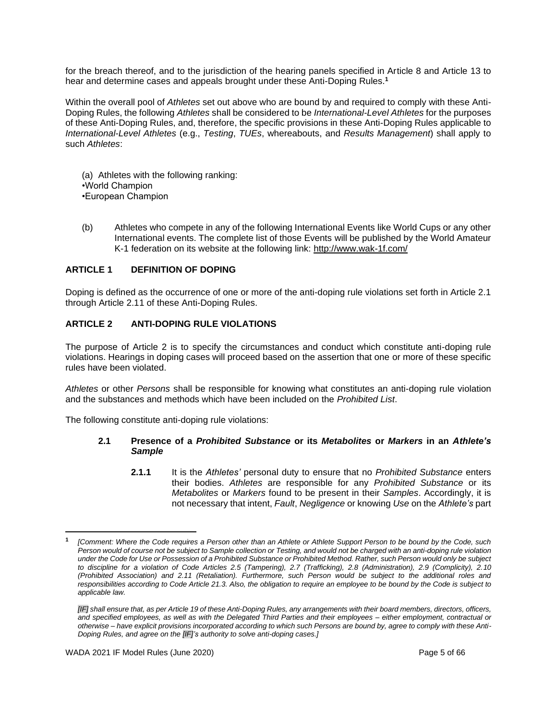for the breach thereof, and to the jurisdiction of the hearing panels specified in Article 8 and Article 13 to hear and determine cases and appeals brought under these Anti-Doping Rules. **1**

Within the overall pool of *Athletes* set out above who are bound by and required to comply with these Anti-Doping Rules, the following *Athletes* shall be considered to be *International-Level Athletes* for the purposes of these Anti-Doping Rules, and, therefore, the specific provisions in these Anti-Doping Rules applicable to *International-Level Athletes* (e.g., *Testing*, *TUEs*, whereabouts, and *Results Management*) shall apply to such *Athletes*:

(a) Athletes with the following ranking: •World Champion •European Champion

(b) Athletes who compete in any of the following International Events like World Cups or any other International events. The complete list of those Events will be published by the World Amateur K-1 federation on its website at the following link:<http://www.wak-1f.com/>

## <span id="page-4-0"></span>**ARTICLE 1 DEFINITION OF DOPING**

Doping is defined as the occurrence of one or more of the anti-doping rule violations set forth in Article 2.1 through Article 2.11 of these Anti-Doping Rules.

## <span id="page-4-1"></span>**ARTICLE 2 ANTI-DOPING RULE VIOLATIONS**

The purpose of Article 2 is to specify the circumstances and conduct which constitute anti-doping rule violations. Hearings in doping cases will proceed based on the assertion that one or more of these specific rules have been violated.

*Athletes* or other *Persons* shall be responsible for knowing what constitutes an anti-doping rule violation and the substances and methods which have been included on the *Prohibited List*.

The following constitute anti-doping rule violations:

## **2.1 Presence of a** *Prohibited Substance* **or its** *Metabolites* **or** *Markers* **in an** *Athlete's Sample*

**2.1.1** It is the *Athletes'* personal duty to ensure that no *Prohibited Substance* enters their bodies. *Athletes* are responsible for any *Prohibited Substance* or its *Metabolites* or *Markers* found to be present in their *Samples*. Accordingly, it is not necessary that intent, *Fault*, *Negligence* or knowing *Use* on the *Athlete's* part

**<sup>1</sup>** *[Comment: Where the Code requires a Person other than an Athlete or Athlete Support Person to be bound by the Code, such*  Person would of course not be subject to Sample collection or Testing, and would not be charged with an anti-doping rule violation *under the Code for Use or Possession of a Prohibited Substance or Prohibited Method. Rather, such Person would only be subject to discipline for a violation of Code Articles 2.5 (Tampering), 2.7 (Trafficking), 2.8 (Administration), 2.9 (Complicity), 2.10 (Prohibited Association) and 2.11 (Retaliation). Furthermore, such Person would be subject to the additional roles and responsibilities according to Code Article 21.3. Also, the obligation to require an employee to be bound by the Code is subject to applicable law.*

*<sup>[</sup>IF] shall ensure that, as per Article 19 of these Anti-Doping Rules, any arrangements with their board members, directors, officers, and specified employees, as well as with the Delegated Third Parties and their employees – either employment, contractual or otherwise – have explicit provisions incorporated according to which such Persons are bound by, agree to comply with these Anti-Doping Rules, and agree on the [IF]'s authority to solve anti-doping cases.]*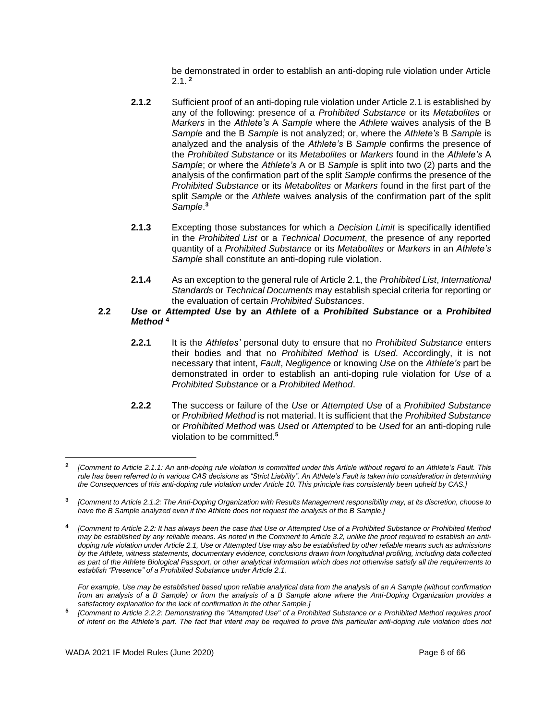be demonstrated in order to establish an anti-doping rule violation under Article 2.1. **<sup>2</sup>**

- **2.1.2** Sufficient proof of an anti-doping rule violation under Article 2.1 is established by any of the following: presence of a *Prohibited Substance* or its *Metabolites* or *Markers* in the *Athlete's* A *Sample* where the *Athlete* waives analysis of the B *Sample* and the B *Sample* is not analyzed; or, where the *Athlete's* B *Sample* is analyzed and the analysis of the *Athlete's* B *Sample* confirms the presence of the *Prohibited Substance* or its *Metabolites* or *Markers* found in the *Athlete's* A *Sample*; or where the *Athlete's* A or B *Sample* is split into two (2) parts and the analysis of the confirmation part of the split *Sample* confirms the presence of the *Prohibited Substance* or its *Metabolites* or *Markers* found in the first part of the split *Sample* or the *Athlete* waives analysis of the confirmation part of the split *Sample*. **3**
- **2.1.3** Excepting those substances for which a *Decision Limit* is specifically identified in the *Prohibited List* or a *Technical Document*, the presence of any reported quantity of a *Prohibited Substance* or its *Metabolites* or *Markers* in an *Athlete's Sample* shall constitute an anti-doping rule violation.
- **2.1.4** As an exception to the general rule of Article 2.1, the *Prohibited List*, *International Standards* or *Technical Documents* may establish special criteria for reporting or the evaluation of certain *Prohibited Substances*.

## **2.2** *Use* **or** *Attempted Use* **by an** *Athlete* **of a** *Prohibited Substance* **or a** *Prohibited Method* **<sup>4</sup>**

- **2.2.1** It is the *Athletes'* personal duty to ensure that no *Prohibited Substance* enters their bodies and that no *Prohibited Method* is *Used*. Accordingly, it is not necessary that intent, *Fault*, *Negligence* or knowing *Use* on the *Athlete's* part be demonstrated in order to establish an anti-doping rule violation for *Use* of a *Prohibited Substance* or a *Prohibited Method*.
- **2.2.2** The success or failure of the *Use* or *Attempted Use* of a *Prohibited Substance* or *Prohibited Method* is not material. It is sufficient that the *Prohibited Substance* or *Prohibited Method* was *Used* or *Attempted* to be *Used* for an anti-doping rule violation to be committed.**<sup>5</sup>**

*For example, Use may be established based upon reliable analytical data from the analysis of an A Sample (without confirmation from an analysis of a B Sample) or from the analysis of a B Sample alone where the Anti-Doping Organization provides a satisfactory explanation for the lack of confirmation in the other Sample.]*

**5** *[Comment to Article 2.2.2: Demonstrating the "Attempted Use" of a Prohibited Substance or a Prohibited Method requires proof of intent on the Athlete's part. The fact that intent may be required to prove this particular anti-doping rule violation does not* 

**<sup>2</sup>** *[Comment to Article 2.1.1: An anti-doping rule violation is committed under this Article without regard to an Athlete's Fault. This rule has been referred to in various CAS decisions as "Strict Liability". An Athlete's Fault is taken into consideration in determining the Consequences of this anti-doping rule violation under Article 10. This principle has consistently been upheld by CAS.]*

**<sup>3</sup>** *[Comment to Article 2.1.2: The Anti-Doping Organization with Results Management responsibility may, at its discretion, choose to have the B Sample analyzed even if the Athlete does not request the analysis of the B Sample.]*

**<sup>4</sup>** *[Comment to Article 2.2: It has always been the case that Use or Attempted Use of a Prohibited Substance or Prohibited Method may be established by any reliable means. As noted in the Comment to Article 3.2, unlike the proof required to establish an antidoping rule violation under Article 2.1, Use or Attempted Use may also be established by other reliable means such as admissions by the Athlete, witness statements, documentary evidence, conclusions drawn from longitudinal profiling, including data collected as part of the Athlete Biological Passport, or other analytical information which does not otherwise satisfy all the requirements to establish "Presence" of a Prohibited Substance under Article 2.1.*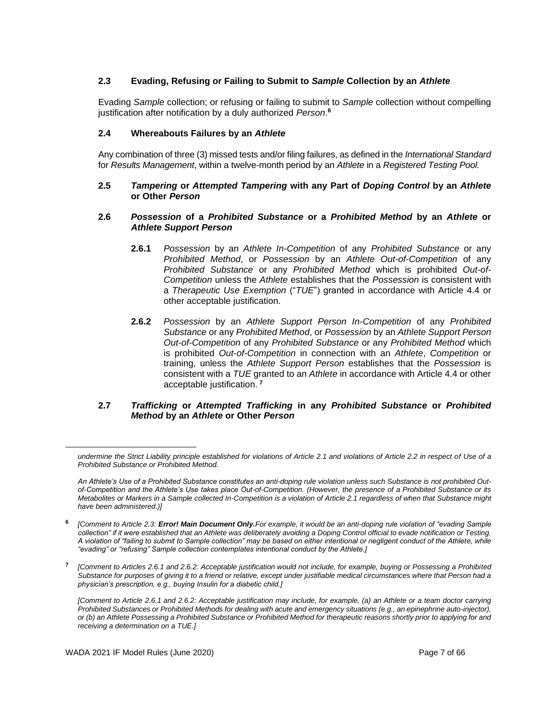## **2.3 Evading, Refusing or Failing to Submit to** *Sample* **Collection by an** *Athlete*

Evading *Sample* collection; or refusing or failing to submit to *Sample* collection without compelling justification after notification by a duly authorized *Person*. **6**

#### **2.4 Whereabouts Failures by an** *Athlete*

Any combination of three (3) missed tests and/or filing failures, as defined in the *International Standard* for *Results Management*, within a twelve-month period by an *Athlete* in a *Registered Testing Pool.*

#### **2.5** *Tampering* **or** *Attempted Tampering* **with any Part of** *Doping Control* **by an** *Athlete* **or Other** *Person*

#### **2.6** *Possession* **of a** *Prohibited Substance* **or a** *Prohibited Method* **by an** *Athlete* **or**  *Athlete Support Person*

- **2.6.1** *Possession* by an *Athlete In-Competition* of any *Prohibited Substance* or any *Prohibited Method*, or *Possession* by an *Athlete Out-of-Competition* of any *Prohibited Substance* or any *Prohibited Method* which is prohibited *Out-of-Competition* unless the *Athlete* establishes that the *Possession* is consistent with a *Therapeutic Use Exemption* ("*TUE*") granted in accordance with Article 4.4 or other acceptable justification.
- **2.6.2** *Possession* by an *Athlete Support Person In-Competition* of any *Prohibited Substance* or any *Prohibited Method*, or *Possession* by an *Athlete Support Person Out-of-Competition* of any *Prohibited Substance* or any *Prohibited Method* which is prohibited *Out-of-Competition* in connection with an *Athlete*, *Competition* or training, unless the *Athlete Support Person* establishes that the *Possession* is consistent with a *TUE* granted to an *Athlete* in accordance with Article 4.4 or other acceptable justification. **<sup>7</sup>**

#### **2.7** *Trafficking* **or** *Attempted Trafficking* **in any** *Prohibited Substance* **or** *Prohibited Method* **by an** *Athlete* **or Other** *Person*

*undermine the Strict Liability principle established for violations of Article 2.1 and violations of Article 2.2 in respect of Use of a Prohibited Substance or Prohibited Method.* 

*An Athlete's Use of a Prohibited Substance constitutes an anti-doping rule violation unless such Substance is not prohibited Outof-Competition and the Athlete's Use takes place Out-of-Competition. (However, the presence of a Prohibited Substance or its Metabolites or Markers in a Sample collected In-Competition is a violation of Article 2.1 regardless of when that Substance might have been administered.)]*

**<sup>6</sup>** *[Comment to Article 2.3: Error! Main Document Only.For example, it would be an anti-doping rule violation of "evading Sample collection" if it were established that an Athlete was deliberately avoiding a Doping Control official to evade notification or Testing. A violation of "failing to submit to Sample collection" may be based on either intentional or negligent conduct of the Athlete, while "evading" or "refusing" Sample collection contemplates intentional conduct by the Athlete.]*

**<sup>7</sup>** *[Comment to Articles 2.6.1 and 2.6.2: Acceptable justification would not include, for example, buying or Possessing a Prohibited Substance for purposes of giving it to a friend or relative, except under justifiable medical circumstances where that Person had a physician's prescription, e.g., buying Insulin for a diabetic child.]*

*<sup>[</sup>Comment to Article 2.6.1 and 2.6.2: Acceptable justification may include, for example, (a) an Athlete or a team doctor carrying Prohibited Substances or Prohibited Methods for dealing with acute and emergency situations (e.g., an epinephrine auto-injector), or (b) an Athlete Possessing a Prohibited Substance or Prohibited Method for therapeutic reasons shortly prior to applying for and receiving a determination on a TUE.]*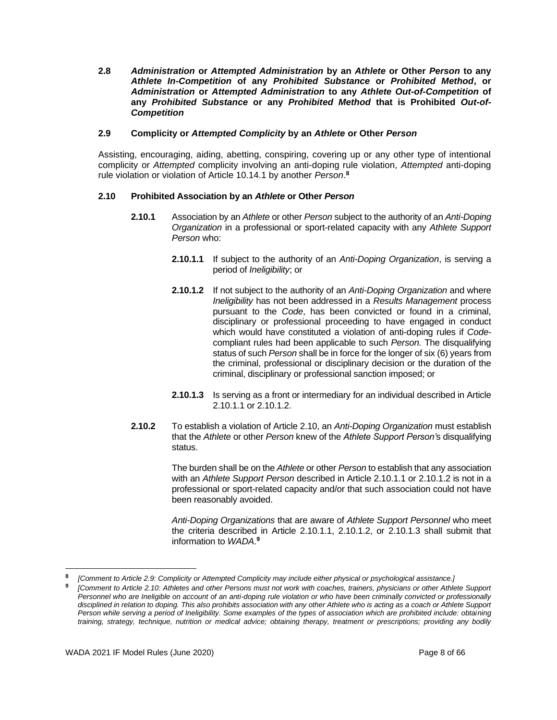**2.8** *Administration* **or** *Attempted Administration* **by an** *Athlete* **or Other** *Person* **to any**  *Athlete In-Competition* **of any** *Prohibited Substance* **or** *Prohibited Method***, or**  *Administration* **or** *Attempted Administration* **to any** *Athlete Out-of-Competition* **of any** *Prohibited Substance* **or any** *Prohibited Method* **that is Prohibited** *Out-of-Competition*

## **2.9 Complicity or** *Attempted Complicity* **by an** *Athlete* **or Other** *Person*

Assisting, encouraging, aiding, abetting, conspiring, covering up or any other type of intentional complicity or *Attempted* complicity involving an anti-doping rule violation, *Attempted* anti-doping rule violation or violation of Article 10.14.1 by another *Person*. **8**

## **2.10 Prohibited Association by an** *Athlete* **or Other** *Person*

- **2.10.1** Association by an *Athlete* or other *Person* subject to the authority of an *Anti-Doping Organization* in a professional or sport-related capacity with any *Athlete Support Person* who:
	- **2.10.1.1** If subject to the authority of an *Anti-Doping Organization*, is serving a period of *Ineligibility*; or
	- **2.10.1.2** If not subject to the authority of an *Anti-Doping Organization* and where *Ineligibility* has not been addressed in a *Results Management* process pursuant to the *Code*, has been convicted or found in a criminal, disciplinary or professional proceeding to have engaged in conduct which would have constituted a violation of anti-doping rules if *Code*compliant rules had been applicable to such *Person.* The disqualifying status of such *Person* shall be in force for the longer of six (6) years from the criminal, professional or disciplinary decision or the duration of the criminal, disciplinary or professional sanction imposed; or
	- **2.10.1.3** Is serving as a front or intermediary for an individual described in Article 2.10.1.1 or 2.10.1.2.
- **2.10.2** To establish a violation of Article 2.10, an *Anti-Doping Organization* must establish that the *Athlete* or other *Person* knew of the *Athlete Support Person'*s disqualifying status.

The burden shall be on the *Athlete* or other *Person* to establish that any association with an *Athlete Support Person* described in Article 2.10.1.1 or 2.10.1.2 is not in a professional or sport-related capacity and/or that such association could not have been reasonably avoided.

*Anti-Doping Organizations* that are aware of *Athlete Support Personnel* who meet the criteria described in Article 2.10.1.1, 2.10.1.2, or 2.10.1.3 shall submit that information to *WADA*. **9**

**<sup>8</sup>** *[Comment to Article 2.9: Complicity or Attempted Complicity may include either physical or psychological assistance.]*

**<sup>9</sup>** *[Comment to Article 2.10: Athletes and other Persons must not work with coaches, trainers, physicians or other Athlete Support Personnel who are Ineligible on account of an anti-doping rule violation or who have been criminally convicted or professionally disciplined in relation to doping. This also prohibits association with any other Athlete who is acting as a coach or Athlete Support Person while serving a period of Ineligibility. Some examples of the types of association which are prohibited include: obtaining training, strategy, technique, nutrition or medical advice; obtaining therapy, treatment or prescriptions; providing any bodily*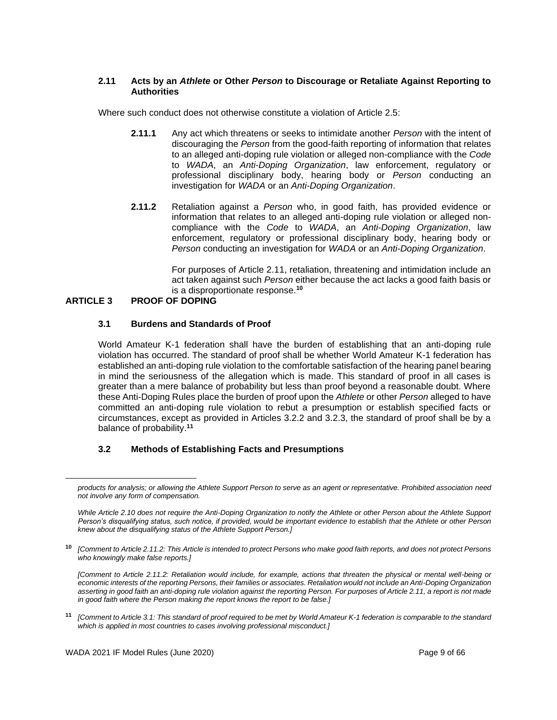#### **2.11 Acts by an** *Athlete* **or Other** *Person* **to Discourage or Retaliate Against Reporting to Authorities**

Where such conduct does not otherwise constitute a violation of Article 2.5:

- **2.11.1** Any act which threatens or seeks to intimidate another *Person* with the intent of discouraging the *Person* from the good-faith reporting of information that relates to an alleged anti-doping rule violation or alleged non-compliance with the *Code* to *WADA*, an *Anti-Doping Organization*, law enforcement, regulatory or professional disciplinary body, hearing body or *Person* conducting an investigation for *WADA* or an *Anti-Doping Organization*.
- **2.11.2** Retaliation against a *Person* who, in good faith, has provided evidence or information that relates to an alleged anti-doping rule violation or alleged noncompliance with the *Code* to *WADA*, an *Anti-Doping Organization*, law enforcement, regulatory or professional disciplinary body, hearing body or *Person* conducting an investigation for *WADA* or an *Anti-Doping Organization*.

For purposes of Article 2.11, retaliation, threatening and intimidation include an act taken against such *Person* either because the act lacks a good faith basis or is a disproportionate response.**<sup>10</sup>**

## <span id="page-8-0"></span>**ARTICLE 3 PROOF OF DOPING**

## **3.1 Burdens and Standards of Proof**

World Amateur K-1 federation shall have the burden of establishing that an anti-doping rule violation has occurred. The standard of proof shall be whether World Amateur K-1 federation has established an anti-doping rule violation to the comfortable satisfaction of the hearing panel bearing in mind the seriousness of the allegation which is made. This standard of proof in all cases is greater than a mere balance of probability but less than proof beyond a reasonable doubt. Where these Anti-Doping Rules place the burden of proof upon the *Athlete* or other *Person* alleged to have committed an anti-doping rule violation to rebut a presumption or establish specified facts or circumstances, except as provided in Articles 3.2.2 and 3.2.3, the standard of proof shall be by a balance of probability.**<sup>11</sup>**

## **3.2 Methods of Establishing Facts and Presumptions**

**<sup>11</sup>** *[Comment to Article 3.1: This standard of proof required to be met by World Amateur K-1 federation is comparable to the standard which is applied in most countries to cases involving professional misconduct.]*

*products for analysis; or allowing the Athlete Support Person to serve as an agent or representative. Prohibited association need not involve any form of compensation.*

*While Article 2.10 does not require the Anti-Doping Organization to notify the Athlete or other Person about the Athlete Support Person's disqualifying status, such notice, if provided, would be important evidence to establish that the Athlete or other Person knew about the disqualifying status of the Athlete Support Person.]*

**<sup>10</sup>** *[Comment to Article 2.11.2: This Article is intended to protect Persons who make good faith reports, and does not protect Persons who knowingly make false reports.]*

*<sup>[</sup>Comment to Article 2.11.2: Retaliation would include, for example, actions that threaten the physical or mental well-being or economic interests of the reporting Persons, their families or associates. Retaliation would not include an Anti-Doping Organization*  asserting in good faith an anti-doping rule violation against the reporting Person. For purposes of Article 2.11, a report is not made *in good faith where the Person making the report knows the report to be false.]*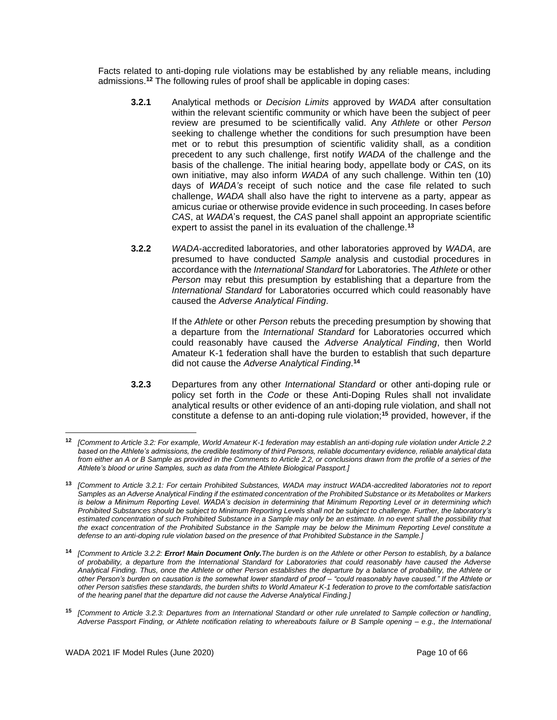Facts related to anti-doping rule violations may be established by any reliable means, including admissions.**<sup>12</sup>** The following rules of proof shall be applicable in doping cases:

- **3.2.1** Analytical methods or *Decision Limits* approved by *WADA* after consultation within the relevant scientific community or which have been the subject of peer review are presumed to be scientifically valid. Any *Athlete* or other *Person* seeking to challenge whether the conditions for such presumption have been met or to rebut this presumption of scientific validity shall, as a condition precedent to any such challenge, first notify *WADA* of the challenge and the basis of the challenge. The initial hearing body, appellate body or *CAS*, on its own initiative, may also inform *WADA* of any such challenge. Within ten (10) days of *WADA's* receipt of such notice and the case file related to such challenge, *WADA* shall also have the right to intervene as a party, appear as amicus curiae or otherwise provide evidence in such proceeding. In cases before *CAS*, at *WADA*'s request, the *CAS* panel shall appoint an appropriate scientific expert to assist the panel in its evaluation of the challenge.**<sup>13</sup>**
- **3.2.2** *WADA*-accredited laboratories, and other laboratories approved by *WADA*, are presumed to have conducted *Sample* analysis and custodial procedures in accordance with the *International Standard* for Laboratories. The *Athlete* or other *Person* may rebut this presumption by establishing that a departure from the *International Standard* for Laboratories occurred which could reasonably have caused the *Adverse Analytical Finding*.

If the *Athlete* or other *Person* rebuts the preceding presumption by showing that a departure from the *International Standard* for Laboratories occurred which could reasonably have caused the *Adverse Analytical Finding*, then World Amateur K-1 federation shall have the burden to establish that such departure did not cause the *Adverse Analytical Finding*. **14**

**3.2.3** Departures from any other *International Standard* or other anti-doping rule or policy set forth in the *Code* or these Anti-Doping Rules shall not invalidate analytical results or other evidence of an anti-doping rule violation, and shall not constitute a defense to an anti-doping rule violation;**<sup>15</sup>** provided, however, if the

**<sup>12</sup>** *[Comment to Article 3.2: For example, World Amateur K-1 federation may establish an anti-doping rule violation under Article 2.2 based on the Athlete's admissions, the credible testimony of third Persons, reliable documentary evidence, reliable analytical data from either an A or B Sample as provided in the Comments to Article 2.2, or conclusions drawn from the profile of a series of the Athlete's blood or urine Samples, such as data from the Athlete Biological Passport.]*

**<sup>13</sup>** *[Comment to Article 3.2.1: For certain Prohibited Substances, WADA may instruct WADA-accredited laboratories not to report Samples as an Adverse Analytical Finding if the estimated concentration of the Prohibited Substance or its Metabolites or Markers is below a Minimum Reporting Level. WADA's decision in determining that Minimum Reporting Level or in determining which Prohibited Substances should be subject to Minimum Reporting Levels shall not be subject to challenge. Further, the laboratory's*  estimated concentration of such Prohibited Substance in a Sample may only be an estimate. In no event shall the possibility that *the exact concentration of the Prohibited Substance in the Sample may be below the Minimum Reporting Level constitute a defense to an anti-doping rule violation based on the presence of that Prohibited Substance in the Sample.]*

**<sup>14</sup>** *[Comment to Article 3.2.2: Error! Main Document Only.The burden is on the Athlete or other Person to establish, by a balance of probability, a departure from the International Standard for Laboratories that could reasonably have caused the Adverse Analytical Finding. Thus, once the Athlete or other Person establishes the departure by a balance of probability, the Athlete or other Person's burden on causation is the somewhat lower standard of proof – "could reasonably have caused." If the Athlete or other Person satisfies these standards, the burden shifts to World Amateur K-1 federation to prove to the comfortable satisfaction of the hearing panel that the departure did not cause the Adverse Analytical Finding.]*

**<sup>15</sup>** *[Comment to Article 3.2.3: Departures from an International Standard or other rule unrelated to Sample collection or handling, Adverse Passport Finding, or Athlete notification relating to whereabouts failure or B Sample opening – e.g., the International*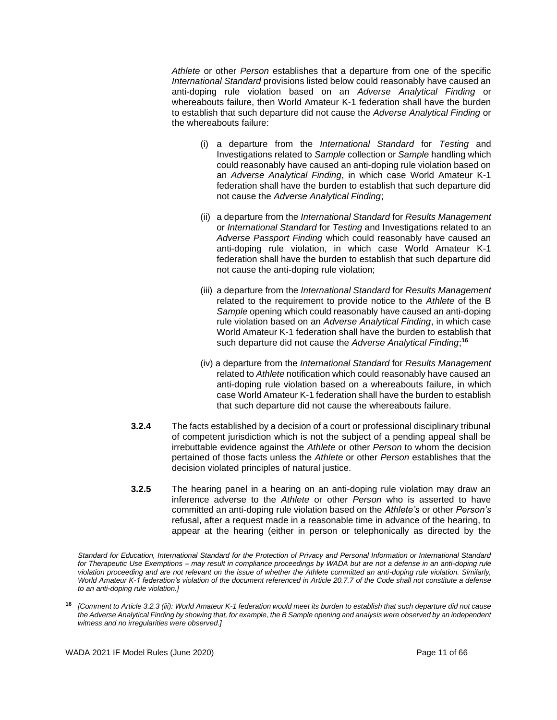*Athlete* or other *Person* establishes that a departure from one of the specific *International Standard* provisions listed below could reasonably have caused an anti-doping rule violation based on an *Adverse Analytical Finding* or whereabouts failure, then World Amateur K-1 federation shall have the burden to establish that such departure did not cause the *Adverse Analytical Finding* or the whereabouts failure:

- (i) a departure from the *International Standard* for *Testing* and Investigations related to *Sample* collection or *Sample* handling which could reasonably have caused an anti-doping rule violation based on an *Adverse Analytical Finding*, in which case World Amateur K-1 federation shall have the burden to establish that such departure did not cause the *Adverse Analytical Finding*;
- (ii) a departure from the *International Standard* for *Results Management* or *International Standard* for *Testing* and Investigations related to an *Adverse Passport Finding* which could reasonably have caused an anti-doping rule violation, in which case World Amateur K-1 federation shall have the burden to establish that such departure did not cause the anti-doping rule violation;
- (iii) a departure from the *International Standard* for *Results Management* related to the requirement to provide notice to the *Athlete* of the B *Sample* opening which could reasonably have caused an anti-doping rule violation based on an *Adverse Analytical Finding*, in which case World Amateur K-1 federation shall have the burden to establish that such departure did not cause the *Adverse Analytical Finding*; **16**
- (iv) a departure from the *International Standard* for *Results Management* related to *Athlete* notification which could reasonably have caused an anti-doping rule violation based on a whereabouts failure, in which case World Amateur K-1 federation shall have the burden to establish that such departure did not cause the whereabouts failure.
- **3.2.4** The facts established by a decision of a court or professional disciplinary tribunal of competent jurisdiction which is not the subject of a pending appeal shall be irrebuttable evidence against the *Athlete* or other *Person* to whom the decision pertained of those facts unless the *Athlete* or other *Person* establishes that the decision violated principles of natural justice.
- **3.2.5** The hearing panel in a hearing on an anti-doping rule violation may draw an inference adverse to the *Athlete* or other *Person* who is asserted to have committed an anti-doping rule violation based on the *Athlete's* or other *Person's* refusal, after a request made in a reasonable time in advance of the hearing, to appear at the hearing (either in person or telephonically as directed by the

*Standard for Education, International Standard for the Protection of Privacy and Personal Information or International Standard for Therapeutic Use Exemptions – may result in compliance proceedings by WADA but are not a defense in an anti-doping rule violation proceeding and are not relevant on the issue of whether the Athlete committed an anti-doping rule violation. Similarly, World Amateur K-1 federation's violation of the document referenced in Article 20.7.7 of the Code shall not constitute a defense to an anti-doping rule violation.]*

**<sup>16</sup>** *[Comment to Article 3.2.3 (iii): World Amateur K-1 federation would meet its burden to establish that such departure did not cause the Adverse Analytical Finding by showing that, for example, the B Sample opening and analysis were observed by an independent witness and no irregularities were observed.]*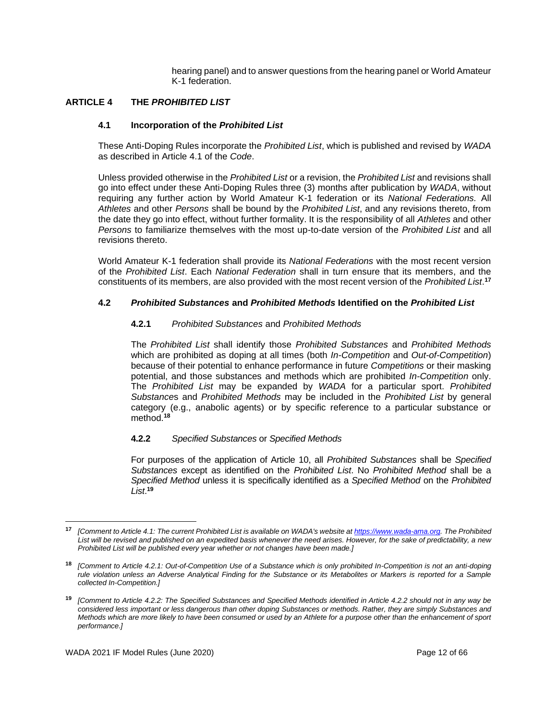hearing panel) and to answer questions from the hearing panel or World Amateur K-1 federation.

## <span id="page-11-0"></span>**ARTICLE 4 THE** *PROHIBITED LIST*

#### **4.1 Incorporation of the** *Prohibited List*

These Anti-Doping Rules incorporate the *Prohibited List*, which is published and revised by *WADA* as described in Article 4.1 of the *Code*.

Unless provided otherwise in the *Prohibited List* or a revision, the *Prohibited List* and revisions shall go into effect under these Anti-Doping Rules three (3) months after publication by *WADA*, without requiring any further action by World Amateur K-1 federation or its *National Federations.* All *Athletes* and other *Persons* shall be bound by the *Prohibited List*, and any revisions thereto, from the date they go into effect, without further formality. It is the responsibility of all *Athletes* and other *Persons* to familiarize themselves with the most up-to-date version of the *Prohibited List* and all revisions thereto.

World Amateur K-1 federation shall provide its *National Federations* with the most recent version of the *Prohibited List*. Each *National Federation* shall in turn ensure that its members, and the constituents of its members, are also provided with the most recent version of the *Prohibited List*. **17**

#### **4.2** *Prohibited Substances* **and** *Prohibited Methods* **Identified on the** *Prohibited List*

#### **4.2.1** *Prohibited Substances* and *Prohibited Methods*

The *Prohibited List* shall identify those *Prohibited Substances* and *Prohibited Methods*  which are prohibited as doping at all times (both *In-Competition* and *Out-of-Competition*) because of their potential to enhance performance in future *Competitions* or their masking potential, and those substances and methods which are prohibited *In-Competition* only. The *Prohibited List* may be expanded by *WADA* for a particular sport. *Prohibited Substance*s and *Prohibited Methods* may be included in the *Prohibited List* by general category (e.g., anabolic agents) or by specific reference to a particular substance or method.**<sup>18</sup>**

#### **4.2.2** *Specified Substances* or *Specified Methods*

For purposes of the application of Article 10, all *Prohibited Substances* shall be *Specified Substances* except as identified on the *Prohibited List*. No *Prohibited Method* shall be a *Specified Method* unless it is specifically identified as a *Specified Method* on the *Prohibited List*. **19**

**<sup>17</sup>** *[Comment to Article 4.1: The current Prohibited List is available on WADA's website a[t https://www.wada-ama.org.](https://www.wada-ama.org/) The Prohibited List will be revised and published on an expedited basis whenever the need arises. However, for the sake of predictability, a new Prohibited List will be published every year whether or not changes have been made.]*

**<sup>18</sup>** *[Comment to Article 4.2.1: Out-of-Competition Use of a Substance which is only prohibited In-Competition is not an anti-doping rule violation unless an Adverse Analytical Finding for the Substance or its Metabolites or Markers is reported for a Sample collected In-Competition.]*

**<sup>19</sup>** *[Comment to Article 4.2.2: The Specified Substances and Specified Methods identified in Article 4.2.2 should not in any way be considered less important or less dangerous than other doping Substances or methods. Rather, they are simply Substances and Methods which are more likely to have been consumed or used by an Athlete for a purpose other than the enhancement of sport performance.]*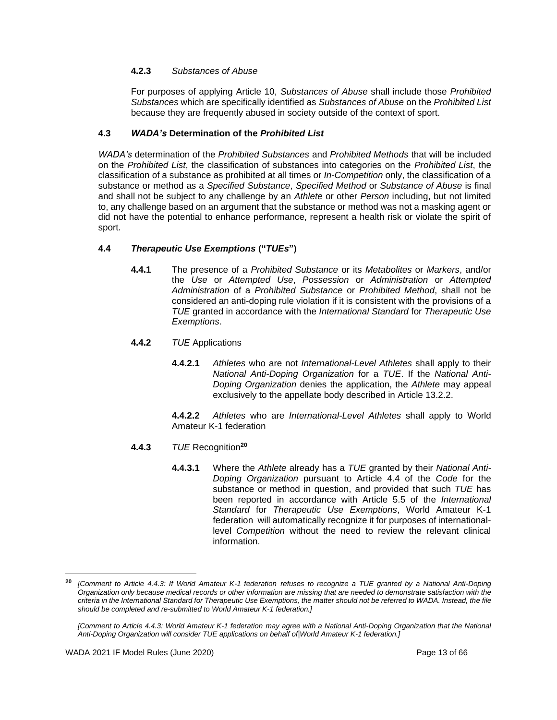## **4.2.3** *Substances of Abuse*

For purposes of applying Article 10, *Substances of Abuse* shall include those *Prohibited Substances* which are specifically identified as *Substances of Abuse* on the *Prohibited List* because they are frequently abused in society outside of the context of sport.

## **4.3** *WADA's* **Determination of the** *Prohibited List*

*WADA's* determination of the *Prohibited Substances* and *Prohibited Methods* that will be included on the *Prohibited List*, the classification of substances into categories on the *Prohibited List*, the classification of a substance as prohibited at all times or *In-Competition* only, the classification of a substance or method as a *Specified Substance*, *Specified Method* or *Substance of Abuse* is final and shall not be subject to any challenge by an *Athlete* or other *Person* including, but not limited to, any challenge based on an argument that the substance or method was not a masking agent or did not have the potential to enhance performance, represent a health risk or violate the spirit of sport.

## **4.4** *Therapeutic Use Exemptions* **("***TUEs***")**

- **4.4.1** The presence of a *Prohibited Substance* or its *Metabolites* or *Markers*, and/or the *Use* or *Attempted Use*, *Possession* or *Administration* or *Attempted Administration* of a *Prohibited Substance* or *Prohibited Method*, shall not be considered an anti-doping rule violation if it is consistent with the provisions of a *TUE* granted in accordance with the *International Standard* for *Therapeutic Use Exemptions*.
- **4.4.2** *TUE* Applications
	- **4.4.2.1** *Athletes* who are not *International-Level Athletes* shall apply to their *National Anti-Doping Organization* for a *TUE*. If the *National Anti-Doping Organization* denies the application, the *Athlete* may appeal exclusively to the appellate body described in Article 13.2.2.

**4.4.2.2** *Athletes* who are *International-Level Athletes* shall apply to World Amateur K-1 federation

#### **4.4.3** *TUE* Recognition**<sup>20</sup>**

**4.4.3.1** Where the *Athlete* already has a *TUE* granted by their *National Anti-Doping Organization* pursuant to Article 4.4 of the *Code* for the substance or method in question, and provided that such *TUE* has been reported in accordance with Article 5.5 of the *International Standard* for *Therapeutic Use Exemptions*, World Amateur K-1 federation will automatically recognize it for purposes of internationallevel *Competition* without the need to review the relevant clinical information.

**<sup>20</sup>** *[Comment to Article 4.4.3: If World Amateur K-1 federation refuses to recognize a TUE granted by a National Anti-Doping Organization only because medical records or other information are missing that are needed to demonstrate satisfaction with the criteria in the International Standard for Therapeutic Use Exemptions, the matter should not be referred to WADA. Instead, the file should be completed and re-submitted to World Amateur K-1 federation.]*

*<sup>[</sup>Comment to Article 4.4.3: World Amateur K-1 federation may agree with a National Anti-Doping Organization that the National Anti-Doping Organization will consider TUE applications on behalf of World Amateur K-1 federation.]*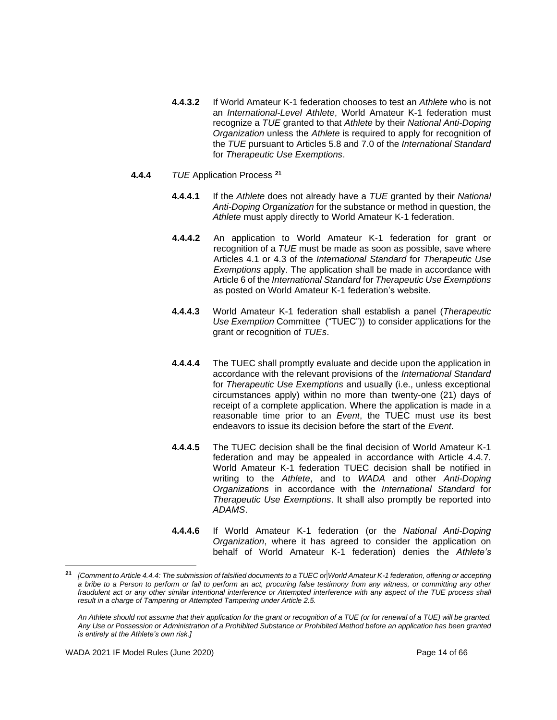- **4.4.3.2** If World Amateur K-1 federation chooses to test an *Athlete* who is not an *International-Level Athlete*, World Amateur K-1 federation must recognize a *TUE* granted to that *Athlete* by their *National Anti-Doping Organization* unless the *Athlete* is required to apply for recognition of the *TUE* pursuant to Articles 5.8 and 7.0 of the *International Standard* for *Therapeutic Use Exemptions*.
- **4.4.4** *TUE* Application Process **<sup>21</sup>**
	- **4.4.4.1** If the *Athlete* does not already have a *TUE* granted by their *National Anti-Doping Organization* for the substance or method in question, the *Athlete* must apply directly to World Amateur K-1 federation.
	- **4.4.4.2** An application to World Amateur K-1 federation for grant or recognition of a *TUE* must be made as soon as possible, save where Articles 4.1 or 4.3 of the *International Standard* for *Therapeutic Use Exemptions* apply. The application shall be made in accordance with Article 6 of the *International Standard* for *Therapeutic Use Exemptions* as posted on World Amateur K-1 federation's website.
	- **4.4.4.3** World Amateur K-1 federation shall establish a panel (*Therapeutic Use Exemption* Committee ("TUEC")) to consider applications for the grant or recognition of *TUEs*.
	- **4.4.4.4** The TUEC shall promptly evaluate and decide upon the application in accordance with the relevant provisions of the *International Standard* for *Therapeutic Use Exemptions* and usually (i.e., unless exceptional circumstances apply) within no more than twenty-one (21) days of receipt of a complete application. Where the application is made in a reasonable time prior to an *Event*, the TUEC must use its best endeavors to issue its decision before the start of the *Event*.
	- **4.4.4.5** The TUEC decision shall be the final decision of World Amateur K-1 federation and may be appealed in accordance with Article 4.4.7. World Amateur K-1 federation TUEC decision shall be notified in writing to the *Athlete*, and to *WADA* and other *Anti-Doping Organizations* in accordance with the *International Standard* for *Therapeutic Use Exemptions*. It shall also promptly be reported into *ADAMS*.
	- **4.4.4.6** If World Amateur K-1 federation (or the *National Anti-Doping Organization*, where it has agreed to consider the application on behalf of World Amateur K-1 federation) denies the *Athlete's*

**<sup>21</sup>** *[Comment to Article 4.4.4: The submission of falsified documents to a TUEC or World Amateur K-1 federation, offering or accepting a bribe to a Person to perform or fail to perform an act, procuring false testimony from any witness, or committing any other* fraudulent act or any other similar intentional interference or Attempted interference with any aspect of the TUE process shall *result in a charge of Tampering or Attempted Tampering under Article 2.5.*

*An Athlete should not assume that their application for the grant or recognition of a TUE (or for renewal of a TUE) will be granted. Any Use or Possession or Administration of a Prohibited Substance or Prohibited Method before an application has been granted is entirely at the Athlete's own risk.]*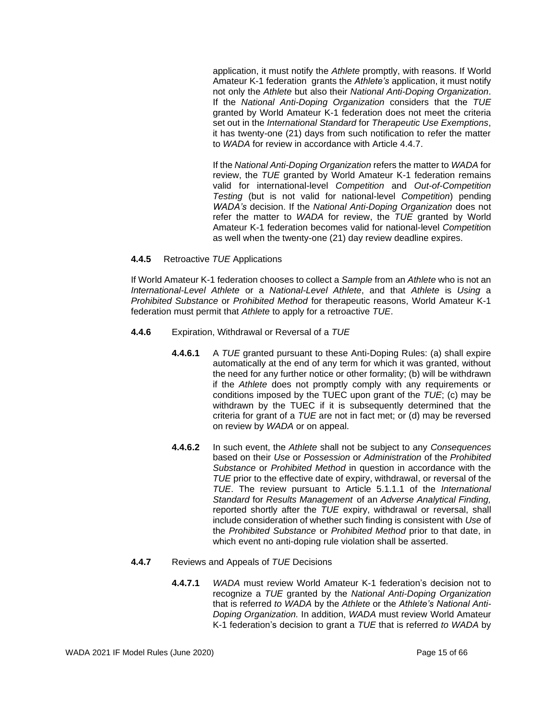application, it must notify the *Athlete* promptly, with reasons. If World Amateur K-1 federation grants the *Athlete's* application, it must notify not only the *Athlete* but also their *National Anti-Doping Organization*. If the *National Anti-Doping Organization* considers that the *TUE* granted by World Amateur K-1 federation does not meet the criteria set out in the *International Standard* for *Therapeutic Use Exemptions*, it has twenty-one (21) days from such notification to refer the matter to *WADA* for review in accordance with Article 4.4.7.

If the *National Anti-Doping Organization* refers the matter to *WADA* for review, the *TUE* granted by World Amateur K-1 federation remains valid for international-level *Competition* and *Out-of-Competition Testing* (but is not valid for national-level *Competition*) pending *WADA's* decision. If the *National Anti-Doping Organization* does not refer the matter to *WADA* for review, the *TUE* granted by World Amateur K-1 federation becomes valid for national-level *Competitio*n as well when the twenty-one (21) day review deadline expires.

#### **4.4.5** Retroactive *TUE* Applications

If World Amateur K-1 federation chooses to collect a *Sample* from an *Athlete* who is not an *International-Level Athlete* or a *National-Level Athlete*, and that *Athlete* is *Using* a *Prohibited Substance* or *Prohibited Method* for therapeutic reasons, World Amateur K-1 federation must permit that *Athlete* to apply for a retroactive *TUE*.

- **4.4.6** Expiration, Withdrawal or Reversal of a *TUE*
	- **4.4.6.1** A *TUE* granted pursuant to these Anti-Doping Rules: (a) shall expire automatically at the end of any term for which it was granted, without the need for any further notice or other formality; (b) will be withdrawn if the *Athlete* does not promptly comply with any requirements or conditions imposed by the TUEC upon grant of the *TUE*; (c) may be withdrawn by the TUEC if it is subsequently determined that the criteria for grant of a *TUE* are not in fact met; or (d) may be reversed on review by *WADA* or on appeal.
	- **4.4.6.2** In such event, the *Athlete* shall not be subject to any *Consequences* based on their *Use* or *Possession* or *Administration* of the *Prohibited Substance* or *Prohibited Method* in question in accordance with the *TUE* prior to the effective date of expiry, withdrawal, or reversal of the *TUE*. The review pursuant to Article 5.1.1.1 of the *International Standard* for *Results Management* of an *Adverse Analytical Finding,* reported shortly after the *TUE* expiry, withdrawal or reversal, shall include consideration of whether such finding is consistent with *Use* of the *Prohibited Substance* or *Prohibited Method* prior to that date, in which event no anti-doping rule violation shall be asserted.
- **4.4.7** Reviews and Appeals of *TUE* Decisions
	- **4.4.7.1** *WADA* must review World Amateur K-1 federation's decision not to recognize a *TUE* granted by the *National Anti-Doping Organization*  that is referred *to WADA* by the *Athlete* or the *Athlete's National Anti-Doping Organization.* In addition, *WADA* must review World Amateur K-1 federation's decision to grant a *TUE* that is referred *to WADA* by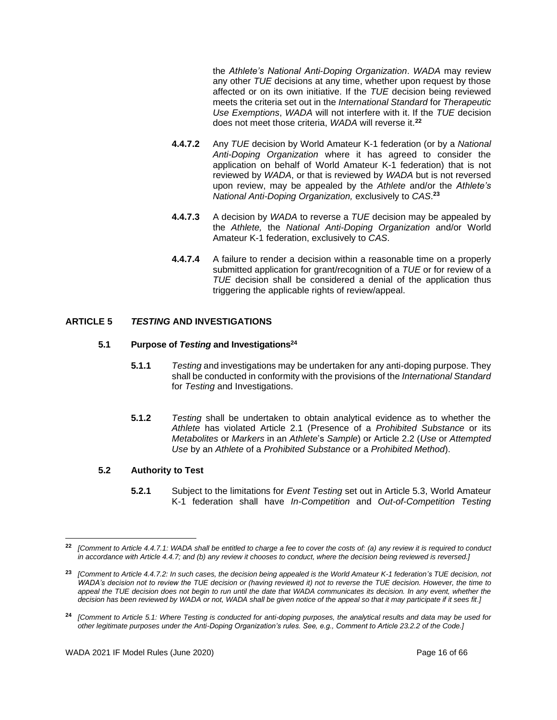the *Athlete's National Anti-Doping Organization*. *WADA* may review any other *TUE* decisions at any time, whether upon request by those affected or on its own initiative. If the *TUE* decision being reviewed meets the criteria set out in the *International Standard* for *Therapeutic Use Exemptions*, *WADA* will not interfere with it. If the *TUE* decision does not meet those criteria, *WADA* will reverse it.**<sup>22</sup>**

- **4.4.7.2** Any *TUE* decision by World Amateur K-1 federation (or by a *National Anti-Doping Organization* where it has agreed to consider the application on behalf of World Amateur K-1 federation) that is not reviewed by *WADA*, or that is reviewed by *WADA* but is not reversed upon review, may be appealed by the *Athlete* and/or the *Athlete's National Anti-Doping Organization,* exclusively to *CAS*. **23**
- **4.4.7.3** A decision by *WADA* to reverse a *TUE* decision may be appealed by the *Athlete,* the *National Anti-Doping Organization* and/or World Amateur K-1 federation, exclusively to *CAS*.
- **4.4.7.4** A failure to render a decision within a reasonable time on a properly submitted application for grant/recognition of a *TUE* or for review of a *TUE* decision shall be considered a denial of the application thus triggering the applicable rights of review/appeal.

# <span id="page-15-0"></span>**ARTICLE 5** *TESTING* **AND INVESTIGATIONS**

## **5.1 Purpose of** *Testing* **and Investigations<sup>24</sup>**

- **5.1.1** *Testing* and investigations may be undertaken for any anti-doping purpose. They shall be conducted in conformity with the provisions of the *International Standard* for *Testing* and Investigations.
- **5.1.2** *Testing* shall be undertaken to obtain analytical evidence as to whether the *Athlete* has violated Article 2.1 (Presence of a *Prohibited Substance* or its *Metabolites* or *Markers* in an *Athlete*'s *Sample*) or Article 2.2 (*Use* or *Attempted Use* by an *Athlete* of a *Prohibited Substance* or a *Prohibited Method*).

## **5.2 Authority to Test**

**5.2.1** Subject to the limitations for *Event Testing* set out in Article 5.3, World Amateur K-1 federation shall have *In-Competition* and *Out-of-Competition Testing*

**<sup>22</sup>** *[Comment to Article 4.4.7.1: WADA shall be entitled to charge a fee to cover the costs of: (a) any review it is required to conduct*  in accordance with Article 4.4.7; and (b) any review it chooses to conduct, where the decision being reviewed is reversed.]

**<sup>23</sup>** *[Comment to Article 4.4.7.2: In such cases, the decision being appealed is the World Amateur K-1 federation's TUE decision, not WADA's decision not to review the TUE decision or (having reviewed it) not to reverse the TUE decision. However, the time to appeal the TUE decision does not begin to run until the date that WADA communicates its decision. In any event, whether the decision has been reviewed by WADA or not, WADA shall be given notice of the appeal so that it may participate if it sees fit.]*

**<sup>24</sup>** *[Comment to Article 5.1: Where Testing is conducted for anti-doping purposes, the analytical results and data may be used for other legitimate purposes under the Anti-Doping Organization's rules. See, e.g., Comment to Article 23.2.2 of the Code.]*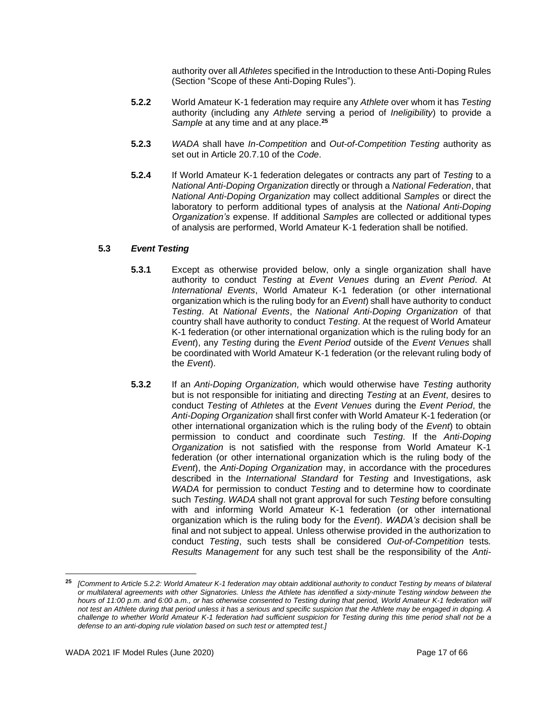authority over all *Athletes* specified in the Introduction to these Anti-Doping Rules (Section "Scope of these Anti-Doping Rules").

- **5.2.2** World Amateur K-1 federation may require any *Athlete* over whom it has *Testing*  authority (including any *Athlete* serving a period of *Ineligibility*) to provide a *Sample* at any time and at any place.**<sup>25</sup>**
- **5.2.3** *WADA* shall have *In-Competition* and *Out-of-Competition Testing* authority as set out in Article 20.7.10 of the *Code*.
- **5.2.4** If World Amateur K-1 federation delegates or contracts any part of *Testing* to a *National Anti-Doping Organization* directly or through a *National Federation*, that *National Anti-Doping Organization* may collect additional *Samples* or direct the laboratory to perform additional types of analysis at the *National Anti-Doping Organization's* expense. If additional *Samples* are collected or additional types of analysis are performed, World Amateur K-1 federation shall be notified.

## **5.3** *Event Testing*

- **5.3.1** Except as otherwise provided below, only a single organization shall have authority to conduct *Testing* at *Event Venues* during an *Event Period*. At *International Events*, World Amateur K-1 federation (or other international organization which is the ruling body for an *Event*) shall have authority to conduct *Testing*. At *National Events*, the *National Anti-Doping Organization* of that country shall have authority to conduct *Testing*. At the request of World Amateur K-1 federation (or other international organization which is the ruling body for an *Event*), any *Testing* during the *Event Period* outside of the *Event Venues* shall be coordinated with World Amateur K-1 federation (or the relevant ruling body of the *Event*).
- **5.3.2** If an *Anti-Doping Organization,* which would otherwise have *Testing* authority but is not responsible for initiating and directing *Testing* at an *Event*, desires to conduct *Testing* of *Athletes* at the *Event Venues* during the *Event Period*, the *Anti-Doping Organization* shall first confer with World Amateur K-1 federation (or other international organization which is the ruling body of the *Event*) to obtain permission to conduct and coordinate such *Testing*. If the *Anti-Doping Organization* is not satisfied with the response from World Amateur K-1 federation (or other international organization which is the ruling body of the *Event*), the *Anti-Doping Organization* may, in accordance with the procedures described in the *International Standard* for *Testing* and Investigations, ask *WADA* for permission to conduct *Testing* and to determine how to coordinate such *Testing*. *WADA* shall not grant approval for such *Testing* before consulting with and informing World Amateur K-1 federation (or other international organization which is the ruling body for the *Event*). *WADA's* decision shall be final and not subject to appeal. Unless otherwise provided in the authorization to conduct *Testing*, such tests shall be considered *Out-of-Competition* tests*. Results Management* for any such test shall be the responsibility of the *Anti-*

**<sup>25</sup>** *[Comment to Article 5.2.2: World Amateur K-1 federation may obtain additional authority to conduct Testing by means of bilateral or multilateral agreements with other Signatories. Unless the Athlete has identified a sixty-minute Testing window between the hours of 11:00 p.m. and 6:00 a.m., or has otherwise consented to Testing during that period, World Amateur K-1 federation will not test an Athlete during that period unless it has a serious and specific suspicion that the Athlete may be engaged in doping. A challenge to whether World Amateur K-1 federation had sufficient suspicion for Testing during this time period shall not be a defense to an anti-doping rule violation based on such test or attempted test.]*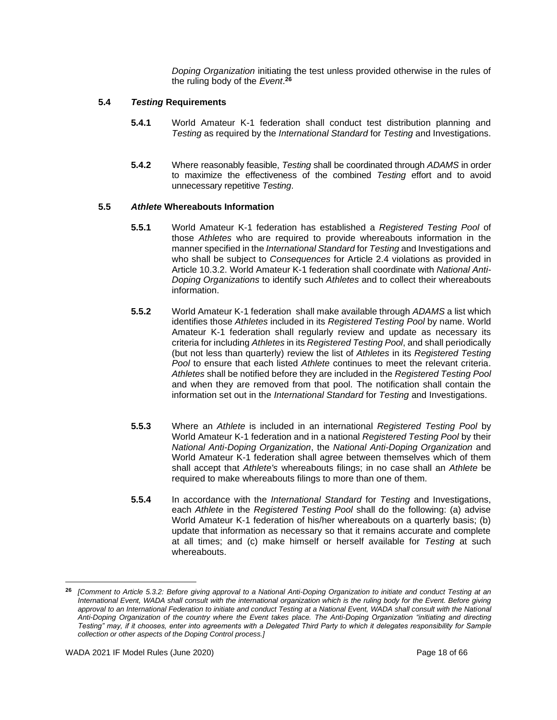*Doping Organization* initiating the test unless provided otherwise in the rules of the ruling body of the *Event*. **26**

## **5.4** *Testing* **Requirements**

- **5.4.1** World Amateur K-1 federation shall conduct test distribution planning and *Testing* as required by the *International Standard* for *Testing* and Investigations.
- **5.4.2** Where reasonably feasible, *Testing* shall be coordinated through *ADAMS* in order to maximize the effectiveness of the combined *Testing* effort and to avoid unnecessary repetitive *Testing*.

## **5.5** *Athlete* **Whereabouts Information**

- **5.5.1** World Amateur K-1 federation has established a *Registered Testing Pool* of those *Athletes* who are required to provide whereabouts information in the manner specified in the *International Standard* for *Testing* and Investigations and who shall be subject to *Consequences* for Article 2.4 violations as provided in Article 10.3.2. World Amateur K-1 federation shall coordinate with *National Anti-Doping Organizations* to identify such *Athletes* and to collect their whereabouts information.
- **5.5.2** World Amateur K-1 federation shall make available through *ADAMS* a list which identifies those *Athletes* included in its *Registered Testing Pool* by name. World Amateur K-1 federation shall regularly review and update as necessary its criteria for including *Athletes* in its *Registered Testing Pool*, and shall periodically (but not less than quarterly) review the list of *Athletes* in its *Registered Testing Pool* to ensure that each listed *Athlete* continues to meet the relevant criteria. *Athletes* shall be notified before they are included in the *Registered Testing Pool*  and when they are removed from that pool. The notification shall contain the information set out in the *International Standard* for *Testing* and Investigations.
- **5.5.3** Where an *Athlete* is included in an international *Registered Testing Pool* by World Amateur K-1 federation and in a national *Registered Testing Pool* by their *National Anti-Doping Organization*, the *National Anti-Doping Organization* and World Amateur K-1 federation shall agree between themselves which of them shall accept that *Athlete's* whereabouts filings; in no case shall an *Athlete* be required to make whereabouts filings to more than one of them.
- **5.5.4** In accordance with the *International Standard* for *Testing* and Investigations, each *Athlete* in the *Registered Testing Pool* shall do the following: (a) advise World Amateur K-1 federation of his/her whereabouts on a quarterly basis; (b) update that information as necessary so that it remains accurate and complete at all times; and (c) make himself or herself available for *Testing* at such whereabouts.

**<sup>26</sup>** *[Comment to Article 5.3.2: Before giving approval to a National Anti-Doping Organization to initiate and conduct Testing at an International Event, WADA shall consult with the international organization which is the ruling body for the Event. Before giving*  approval to an International Federation to initiate and conduct Testing at a National Event, WADA shall consult with the National *Anti-Doping Organization of the country where the Event takes place. The Anti-Doping Organization "initiating and directing Testing" may, if it chooses, enter into agreements with a Delegated Third Party to which it delegates responsibility for Sample collection or other aspects of the Doping Control process.]*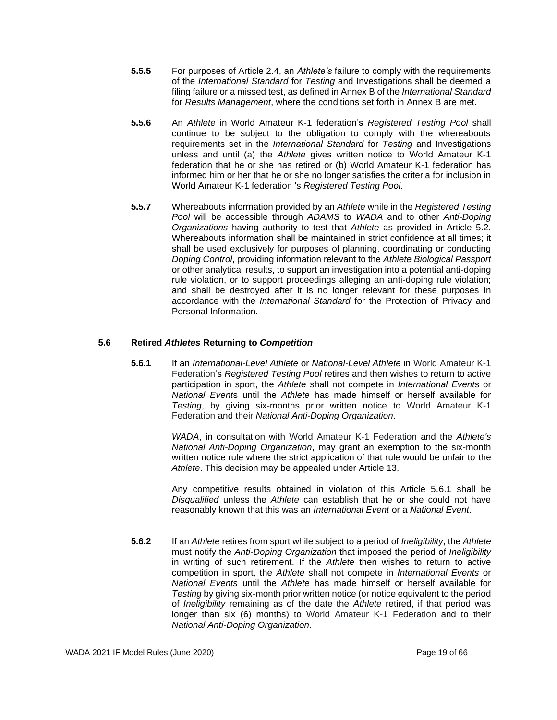- **5.5.5** For purposes of Article 2.4, an *Athlete's* failure to comply with the requirements of the *International Standard* for *Testing* and Investigations shall be deemed a filing failure or a missed test, as defined in Annex B of the *International Standard*  for *Results Management*, where the conditions set forth in Annex B are met.
- **5.5.6** An *Athlete* in World Amateur K-1 federation's *Registered Testing Pool* shall continue to be subject to the obligation to comply with the whereabouts requirements set in the *International Standard* for *Testing* and Investigations unless and until (a) the *Athlete* gives written notice to World Amateur K-1 federation that he or she has retired or (b) World Amateur K-1 federation has informed him or her that he or she no longer satisfies the criteria for inclusion in World Amateur K-1 federation 's *Registered Testing Pool*.
- **5.5.7** Whereabouts information provided by an *Athlete* while in the *Registered Testing Pool* will be accessible through *ADAMS* to *WADA* and to other *Anti-Doping Organizations* having authority to test that *Athlete* as provided in Article 5.2. Whereabouts information shall be maintained in strict confidence at all times; it shall be used exclusively for purposes of planning, coordinating or conducting *Doping Control*, providing information relevant to the *Athlete Biological Passport*  or other analytical results, to support an investigation into a potential anti-doping rule violation, or to support proceedings alleging an anti-doping rule violation; and shall be destroyed after it is no longer relevant for these purposes in accordance with the *International Standard* for the Protection of Privacy and Personal Information.

## **5.6 Retired** *Athletes* **Returning to** *Competition*

**5.6.1** If an *International-Level Athlete* or *National-Level Athlete* in World Amateur K-1 Federation's *Registered Testing Pool* retires and then wishes to return to active participation in sport, the *Athlete* shall not compete in *International Event*s or *National Event*s until the *Athlete* has made himself or herself available for *Testing*, by giving six-months prior written notice to World Amateur K-1 Federation and their *National Anti-Doping Organization*.

> *WADA*, in consultation with World Amateur K-1 Federation and the *Athlete's National Anti-Doping Organization*, may grant an exemption to the six-month written notice rule where the strict application of that rule would be unfair to the *Athlete*. This decision may be appealed under Article 13.

> Any competitive results obtained in violation of this Article 5.6.1 shall be *Disqualified* unless the *Athlete* can establish that he or she could not have reasonably known that this was an *International Event* or a *National Event*.

**5.6.2** If an *Athlete* retires from sport while subject to a period of *Ineligibility*, the *Athlete*  must notify the *Anti-Doping Organization* that imposed the period of *Ineligibility* in writing of such retirement. If the *Athlete* then wishes to return to active competition in sport, the *Athlete* shall not compete in *International Events* or *National Events* until the *Athlete* has made himself or herself available for *Testing* by giving six-month prior written notice (or notice equivalent to the period of *Ineligibility* remaining as of the date the *Athlete* retired, if that period was longer than six (6) months) to World Amateur K-1 Federation and to their *National Anti-Doping Organization*.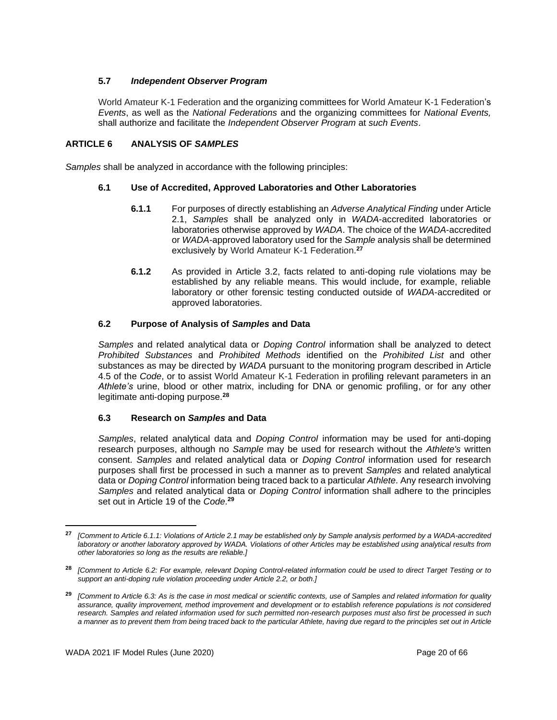## **5.7** *Independent Observer Program*

World Amateur K-1 Federation and the organizing committees for World Amateur K-1 Federation's *Events*, as well as the *National Federations* and the organizing committees for *National Events,* shall authorize and facilitate the *Independent Observer Program* at *such Events*.

## <span id="page-19-0"></span>**ARTICLE 6 ANALYSIS OF** *SAMPLES*

*Samples* shall be analyzed in accordance with the following principles:

## **6.1 Use of Accredited, Approved Laboratories and Other Laboratories**

- **6.1.1** For purposes of directly establishing an *Adverse Analytical Finding* under Article 2.1, *Samples* shall be analyzed only in *WADA*-accredited laboratories or laboratories otherwise approved by *WADA*. The choice of the *WADA*-accredited or *WADA*-approved laboratory used for the *Sample* analysis shall be determined exclusively by World Amateur K-1 Federation. **27**
- **6.1.2** As provided in Article 3.2, facts related to anti-doping rule violations may be established by any reliable means. This would include, for example, reliable laboratory or other forensic testing conducted outside of *WADA*-accredited or approved laboratories.

## **6.2 Purpose of Analysis of** *Samples* **and Data**

*Samples* and related analytical data or *Doping Control* information shall be analyzed to detect *Prohibited Substances* and *Prohibited Methods* identified on the *Prohibited List* and other substances as may be directed by *WADA* pursuant to the monitoring program described in Article 4.5 of the *Code*, or to assist World Amateur K-1 Federation in profiling relevant parameters in an *Athlete's* urine, blood or other matrix, including for DNA or genomic profiling, or for any other legitimate anti-doping purpose.**<sup>28</sup>**

#### **6.3 Research on** *Samples* **and Data**

*Samples*, related analytical data and *Doping Control* information may be used for anti-doping research purposes, although no *Sample* may be used for research without the *Athlete's* written consent. *Samples* and related analytical data or *Doping Control* information used for research purposes shall first be processed in such a manner as to prevent *Samples* and related analytical data or *Doping Control* information being traced back to a particular *Athlete*. Any research involving *Samples* and related analytical data or *Doping Control* information shall adhere to the principles set out in Article 19 of the *Code*. **29**

**<sup>27</sup>** *[Comment to Article 6.1.1: Violations of Article 2.1 may be established only by Sample analysis performed by a WADA-accredited laboratory or another laboratory approved by WADA. Violations of other Articles may be established using analytical results from other laboratories so long as the results are reliable.]*

**<sup>28</sup>** *[Comment to Article 6.2: For example, relevant Doping Control-related information could be used to direct Target Testing or to support an anti-doping rule violation proceeding under Article 2.2, or both.]*

**<sup>29</sup>** *[Comment to Article 6.3: As is the case in most medical or scientific contexts, use of Samples and related information for quality*  assurance, quality improvement, method improvement and development or to establish reference populations is not considered *research. Samples and related information used for such permitted non-research purposes must also first be processed in such a manner as to prevent them from being traced back to the particular Athlete, having due regard to the principles set out in Article*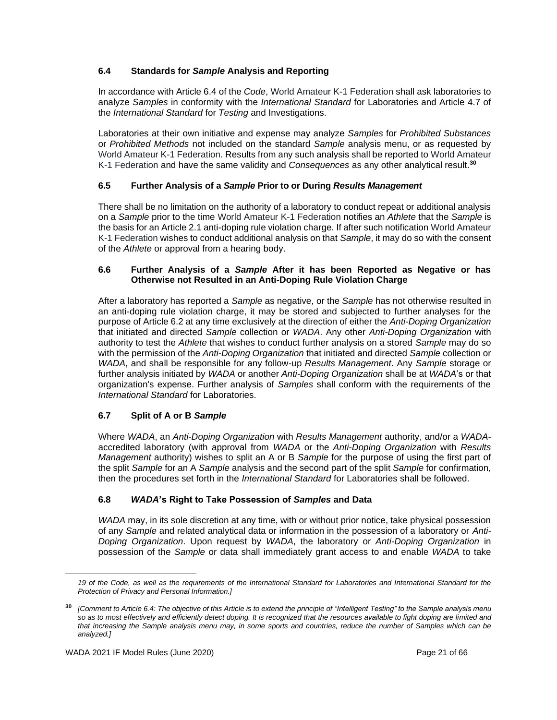## **6.4 Standards for** *Sample* **Analysis and Reporting**

In accordance with Article 6.4 of the *Code*, World Amateur K-1 Federation shall ask laboratories to analyze *Samples* in conformity with the *International Standard* for Laboratories and Article 4.7 of the *International Standard* for *Testing* and Investigations.

Laboratories at their own initiative and expense may analyze *Samples* for *Prohibited Substances*  or *Prohibited Methods* not included on the standard *Sample* analysis menu, or as requested by World Amateur K-1 Federation. Results from any such analysis shall be reported to World Amateur K-1 Federation and have the same validity and *Consequences* as any other analytical result.**<sup>30</sup>**

# **6.5 Further Analysis of a** *Sample* **Prior to or During** *Results Management*

There shall be no limitation on the authority of a laboratory to conduct repeat or additional analysis on a *Sample* prior to the time World Amateur K-1 Federation notifies an *Athlete* that the *Sample* is the basis for an Article 2.1 anti-doping rule violation charge. If after such notification World Amateur K-1 Federation wishes to conduct additional analysis on that *Sample*, it may do so with the consent of the *Athlete* or approval from a hearing body.

## **6.6 Further Analysis of a** *Sample* **After it has been Reported as Negative or has Otherwise not Resulted in an Anti-Doping Rule Violation Charge**

After a laboratory has reported a *Sample* as negative, or the *Sample* has not otherwise resulted in an anti-doping rule violation charge, it may be stored and subjected to further analyses for the purpose of Article 6.2 at any time exclusively at the direction of either the *Anti-Doping Organization* that initiated and directed *Sample* collection or *WADA*. Any other *Anti-Doping Organization* with authority to test the *Athlete* that wishes to conduct further analysis on a stored *Sample* may do so with the permission of the *Anti-Doping Organization* that initiated and directed *Sample* collection or *WADA*, and shall be responsible for any follow-up *Results Management*. Any *Sample* storage or further analysis initiated by *WADA* or another *Anti-Doping Organization* shall be at *WADA*'s or that organization's expense. Further analysis of *Samples* shall conform with the requirements of the *International Standard* for Laboratories.

# **6.7 Split of A or B** *Sample*

Where *WADA*, an *Anti-Doping Organization* with *Results Management* authority, and/or a *WADA*accredited laboratory (with approval from *WADA* or the *Anti-Doping Organization* with *Results Management* authority) wishes to split an A or B *Sample* for the purpose of using the first part of the split *Sample* for an A *Sample* analysis and the second part of the split *Sample* for confirmation, then the procedures set forth in the *International Standard* for Laboratories shall be followed.

## **6.8** *WADA***'s Right to Take Possession of** *Samples* **and Data**

*WADA* may, in its sole discretion at any time, with or without prior notice, take physical possession of any *Sample* and related analytical data or information in the possession of a laboratory or *Anti-Doping Organization*. Upon request by *WADA*, the laboratory or *Anti-Doping Organization* in possession of the *Sample* or data shall immediately grant access to and enable *WADA* to take

*<sup>19</sup> of the Code, as well as the requirements of the International Standard for Laboratories and International Standard for the Protection of Privacy and Personal Information.]* 

**<sup>30</sup>** *[Comment to Article 6.4: The objective of this Article is to extend the principle of "Intelligent Testing" to the Sample analysis menu so as to most effectively and efficiently detect doping. It is recognized that the resources available to fight doping are limited and*  that increasing the Sample analysis menu may, in some sports and countries, reduce the number of Samples which can be *analyzed.]*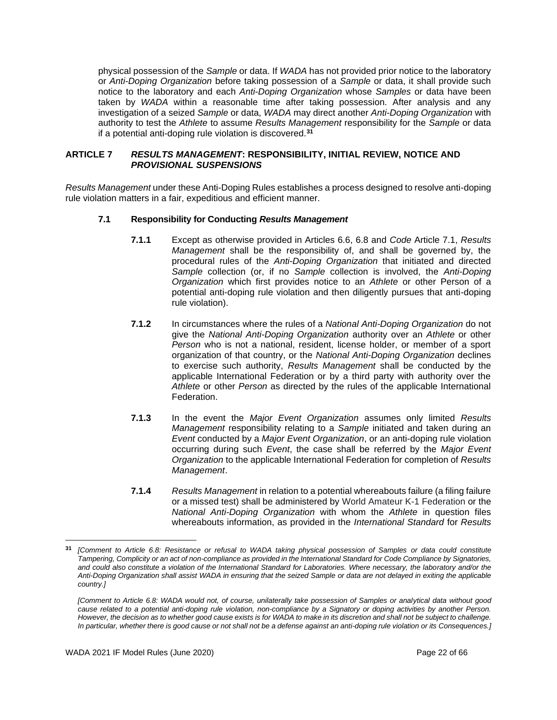physical possession of the *Sample* or data. If *WADA* has not provided prior notice to the laboratory or *Anti-Doping Organization* before taking possession of a *Sample* or data, it shall provide such notice to the laboratory and each *Anti-Doping Organization* whose *Samples* or data have been taken by *WADA* within a reasonable time after taking possession. After analysis and any investigation of a seized *Sample* or data, *WADA* may direct another *Anti-Doping Organization* with authority to test the *Athlete* to assume *Results Management* responsibility for the *Sample* or data if a potential anti-doping rule violation is discovered.**<sup>31</sup>**

## <span id="page-21-0"></span>**ARTICLE 7** *RESULTS MANAGEMENT***: RESPONSIBILITY, INITIAL REVIEW, NOTICE AND**  *PROVISIONAL SUSPENSIONS*

*Results Management* under these Anti-Doping Rules establishes a process designed to resolve anti-doping rule violation matters in a fair, expeditious and efficient manner.

## **7.1 Responsibility for Conducting** *Results Management*

- **7.1.1** Except as otherwise provided in Articles 6.6, 6.8 and *Code* Article 7.1, *Results Management* shall be the responsibility of, and shall be governed by, the procedural rules of the *Anti-Doping Organization* that initiated and directed *Sample* collection (or, if no *Sample* collection is involved, the *Anti-Doping Organization* which first provides notice to an *Athlete* or other Person of a potential anti-doping rule violation and then diligently pursues that anti-doping rule violation).
- **7.1.2** In circumstances where the rules of a *National Anti-Doping Organization* do not give the *National Anti-Doping Organization* authority over an *Athlete* or other *Person* who is not a national, resident, license holder, or member of a sport organization of that country, or the *National Anti-Doping Organization* declines to exercise such authority, *Results Management* shall be conducted by the applicable International Federation or by a third party with authority over the *Athlete* or other *Person* as directed by the rules of the applicable International Federation.
- **7.1.3** In the event the *Major Event Organization* assumes only limited *Results Management* responsibility relating to a *Sample* initiated and taken during an *Event* conducted by a *Major Event Organization*, or an anti-doping rule violation occurring during such *Event*, the case shall be referred by the *Major Event Organization* to the applicable International Federation for completion of *Results Management*.
- **7.1.4** *Results Management* in relation to a potential whereabouts failure (a filing failure or a missed test) shall be administered by World Amateur K-1 Federation or the *National Anti-Doping Organization* with whom the *Athlete* in question files whereabouts information, as provided in the *International Standard* for *Results*

**<sup>31</sup>** *[Comment to Article 6.8: Resistance or refusal to WADA taking physical possession of Samples or data could constitute Tampering, Complicity or an act of non-compliance as provided in the International Standard for Code Compliance by Signatories, and could also constitute a violation of the International Standard for Laboratories. Where necessary, the laboratory and/or the Anti-Doping Organization shall assist WADA in ensuring that the seized Sample or data are not delayed in exiting the applicable country.]*

*<sup>[</sup>Comment to Article 6.8: WADA would not, of course, unilaterally take possession of Samples or analytical data without good cause related to a potential anti-doping rule violation, non-compliance by a Signatory or doping activities by another Person. However, the decision as to whether good cause exists is for WADA to make in its discretion and shall not be subject to challenge. In particular, whether there is good cause or not shall not be a defense against an anti-doping rule violation or its Consequences.]*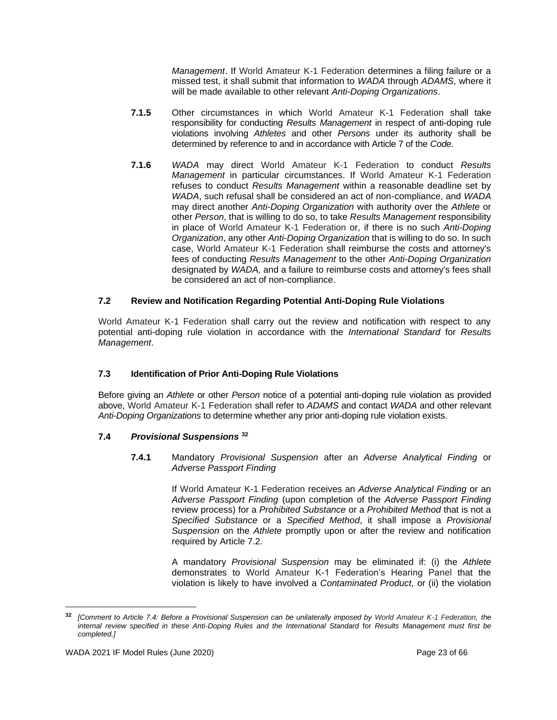*Management*. If World Amateur K-1 Federation determines a filing failure or a missed test, it shall submit that information to *WADA* through *ADAMS*, where it will be made available to other relevant *Anti-Doping Organizations*.

- **7.1.5** Other circumstances in which World Amateur K-1 Federation shall take responsibility for conducting *Results Management* in respect of anti-doping rule violations involving *Athletes* and other *Persons* under its authority shall be determined by reference to and in accordance with Article 7 of the *Code*.
- **7.1.6** *WADA* may direct World Amateur K-1 Federation to conduct *Results Management* in particular circumstances. If World Amateur K-1 Federation refuses to conduct *Results Management* within a reasonable deadline set by *WADA*, such refusal shall be considered an act of non-compliance, and *WADA*  may direct another *Anti-Doping Organization* with authority over the *Athlete* or other *Person*, that is willing to do so, to take *Results Management* responsibility in place of World Amateur K-1 Federation or, if there is no such *Anti-Doping Organization*, any other *Anti-Doping Organization* that is willing to do so. In such case, World Amateur K-1 Federation shall reimburse the costs and attorney's fees of conducting *Results Management* to the other *Anti-Doping Organization*  designated by *WADA,* and a failure to reimburse costs and attorney's fees shall be considered an act of non-compliance.

## **7.2 Review and Notification Regarding Potential Anti-Doping Rule Violations**

World Amateur K-1 Federation shall carry out the review and notification with respect to any potential anti-doping rule violation in accordance with the *International Standard* for *Results Management*.

## **7.3 Identification of Prior Anti-Doping Rule Violations**

Before giving an *Athlete* or other *Person* notice of a potential anti-doping rule violation as provided above, World Amateur K-1 Federation shall refer to *ADAMS* and contact *WADA* and other relevant *Anti-Doping Organizations* to determine whether any prior anti-doping rule violation exists.

## **7.4** *Provisional Suspensions* **<sup>32</sup>**

**7.4.1** Mandatory *Provisional Suspension* after an *Adverse Analytical Finding* or *Adverse Passport Finding*

> If World Amateur K-1 Federation receives an *Adverse Analytical Finding* or an *Adverse Passport Finding* (upon completion of the *Adverse Passport Finding* review process) for a *Prohibited Substance* or a *Prohibited Method* that is not a *Specified Substance* or a *Specified Method*, it shall impose a *Provisional Suspension* on the *Athlete* promptly upon or after the review and notification required by Article 7.2.

> A mandatory *Provisional Suspension* may be eliminated if: (i) the *Athlete*  demonstrates to World Amateur K-1 Federation's Hearing Panel that the violation is likely to have involved a *Contaminated Product,* or (ii) the violation

**<sup>32</sup>** *[Comment to Article 7.4: Before a Provisional Suspension can be unilaterally imposed by World Amateur K-1 Federation, the internal review specified in these Anti-Doping Rules and the International Standard* for *Results Management must first be completed.]*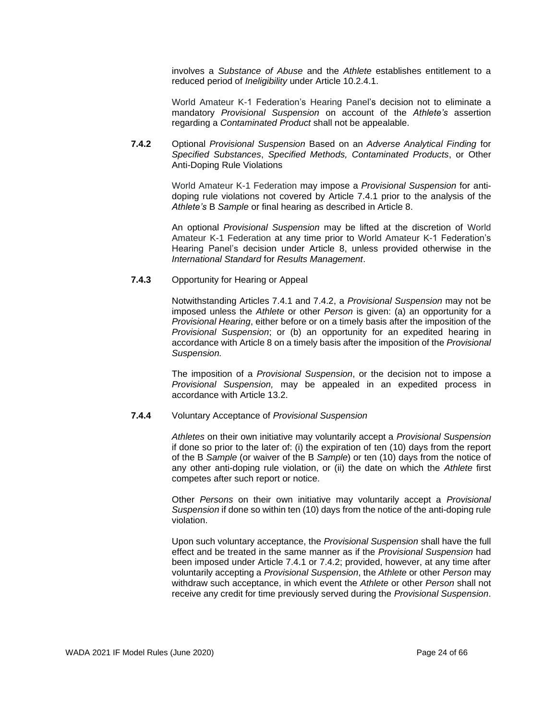involves a *Substance of Abuse* and the *Athlete* establishes entitlement to a reduced period of *Ineligibility* under Article 10.2.4.1.

World Amateur K-1 Federation's Hearing Panel's decision not to eliminate a mandatory *Provisional Suspension* on account of the *Athlete's* assertion regarding a *Contaminated Product* shall not be appealable.

**7.4.2** Optional *Provisional Suspension* Based on an *Adverse Analytical Finding* for *Specified Substances*, *Specified Methods, Contaminated Products*, or Other Anti-Doping Rule Violations

> World Amateur K-1 Federation may impose a *Provisional Suspension* for antidoping rule violations not covered by Article 7.4.1 prior to the analysis of the *Athlete's* B *Sample* or final hearing as described in Article 8.

> An optional *Provisional Suspension* may be lifted at the discretion of World Amateur K-1 Federation at any time prior to World Amateur K-1 Federation's Hearing Panel's decision under Article 8, unless provided otherwise in the *International Standard* for *Results Management*.

## **7.4.3** Opportunity for Hearing or Appeal

Notwithstanding Articles 7.4.1 and 7.4.2, a *Provisional Suspension* may not be imposed unless the *Athlete* or other *Person* is given: (a) an opportunity for a *Provisional Hearing*, either before or on a timely basis after the imposition of the *Provisional Suspension*; or (b) an opportunity for an expedited hearing in accordance with Article 8 on a timely basis after the imposition of the *Provisional Suspension.*

The imposition of a *Provisional Suspension*, or the decision not to impose a *Provisional Suspension,* may be appealed in an expedited process in accordance with Article 13.2.

#### **7.4.4** Voluntary Acceptance of *Provisional Suspension*

*Athletes* on their own initiative may voluntarily accept a *Provisional Suspension* if done so prior to the later of: (i) the expiration of ten (10) days from the report of the B *Sample* (or waiver of the B *Sample*) or ten (10) days from the notice of any other anti-doping rule violation, or (ii) the date on which the *Athlete* first competes after such report or notice.

Other *Persons* on their own initiative may voluntarily accept a *Provisional Suspension* if done so within ten (10) days from the notice of the anti-doping rule violation.

Upon such voluntary acceptance, the *Provisional Suspension* shall have the full effect and be treated in the same manner as if the *Provisional Suspension* had been imposed under Article 7.4.1 or 7.4.2; provided, however, at any time after voluntarily accepting a *Provisional Suspension*, the *Athlete* or other *Person* may withdraw such acceptance, in which event the *Athlete* or other *Person* shall not receive any credit for time previously served during the *Provisional Suspension*.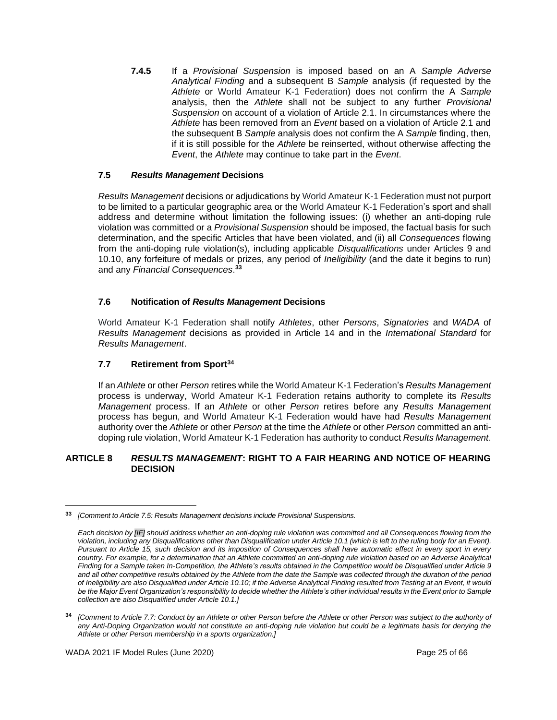**7.4.5** If a *Provisional Suspension* is imposed based on an A *Sample Adverse Analytical Finding* and a subsequent B *Sample* analysis (if requested by the *Athlete* or World Amateur K-1 Federation) does not confirm the A *Sample*  analysis, then the *Athlete* shall not be subject to any further *Provisional Suspension* on account of a violation of Article 2.1. In circumstances where the *Athlete* has been removed from an *Event* based on a violation of Article 2.1 and the subsequent B *Sample* analysis does not confirm the A *Sample* finding, then, if it is still possible for the *Athlete* be reinserted, without otherwise affecting the *Event*, the *Athlete* may continue to take part in the *Event*.

## **7.5** *Results Management* **Decisions**

*Results Management* decisions or adjudications by World Amateur K-1 Federation must not purport to be limited to a particular geographic area or the World Amateur K-1 Federation's sport and shall address and determine without limitation the following issues: (i) whether an anti-doping rule violation was committed or a *Provisional Suspension* should be imposed, the factual basis for such determination, and the specific Articles that have been violated, and (ii) all *Consequences* flowing from the anti-doping rule violation(s), including applicable *Disqualifications* under Articles 9 and 10.10, any forfeiture of medals or prizes, any period of *Ineligibility* (and the date it begins to run) and any *Financial Consequences*. **33**

## **7.6 Notification of** *Results Management* **Decisions**

World Amateur K-1 Federation shall notify *Athletes*, other *Persons*, *Signatories* and *WADA* of *Results Management* decisions as provided in Article 14 and in the *International Standard* for *Results Management*.

## **7.7 Retirement from Sport<sup>34</sup>**

If an *Athlete* or other *Person* retires while the World Amateur K-1 Federation's *Results Management*  process is underway, World Amateur K-1 Federation retains authority to complete its *Results Management* process. If an *Athlete* or other *Person* retires before any *Results Management* process has begun, and World Amateur K-1 Federation would have had *Results Management* authority over the *Athlete* or other *Person* at the time the *Athlete* or other *Person* committed an antidoping rule violation, World Amateur K-1 Federation has authority to conduct *Results Management*.

## <span id="page-24-0"></span>**ARTICLE 8** *RESULTS MANAGEMENT***: RIGHT TO A FAIR HEARING AND NOTICE OF HEARING DECISION**

**<sup>33</sup>** *[Comment to Article 7.5: Results Management decisions include Provisional Suspensions.*

*Each decision by [IF] should address whether an anti-doping rule violation was committed and all Consequences flowing from the violation, including any Disqualifications other than Disqualification under Article 10.1 (which is left to the ruling body for an Event). Pursuant to Article 15, such decision and its imposition of Consequences shall have automatic effect in every sport in every country. For example, for a determination that an Athlete committed an anti-doping rule violation based on an Adverse Analytical Finding for a Sample taken In-Competition, the Athlete's results obtained in the Competition would be Disqualified under Article 9 and all other competitive results obtained by the Athlete from the date the Sample was collected through the duration of the period of Ineligibility are also Disqualified under Article 10.10; if the Adverse Analytical Finding resulted from Testing at an Event, it would*  be the Major Event Organization's responsibility to decide whether the Athlete's other individual results in the Event prior to Sample *collection are also Disqualified under Article 10.1.]*

**<sup>34</sup>** *[Comment to Article 7.7: Conduct by an Athlete or other Person before the Athlete or other Person was subject to the authority of any Anti-Doping Organization would not constitute an anti-doping rule violation but could be a legitimate basis for denying the Athlete or other Person membership in a sports organization.]*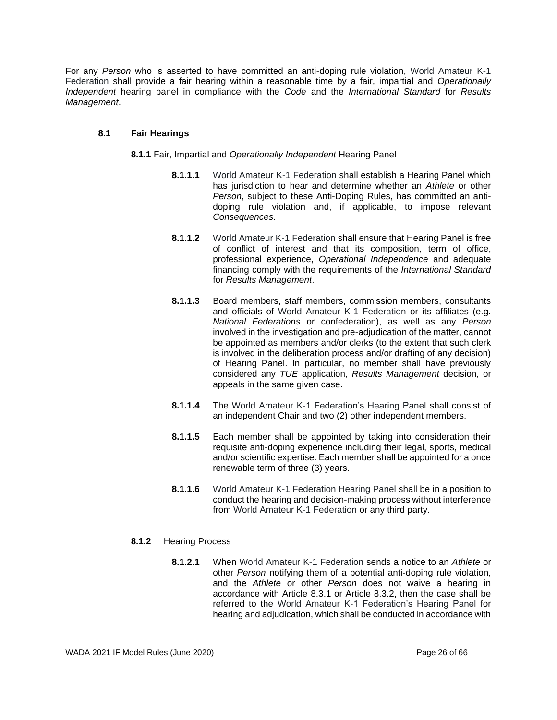For any *Person* who is asserted to have committed an anti-doping rule violation, World Amateur K-1 Federation shall provide a fair hearing within a reasonable time by a fair, impartial and *Operationally Independent* hearing panel in compliance with the *Code* and the *International Standard* for *Results Management*.

## **8.1 Fair Hearings**

**8.1.1** Fair, Impartial and *Operationally Independent* Hearing Panel

- **8.1.1.1** World Amateur K-1 Federation shall establish a Hearing Panel which has jurisdiction to hear and determine whether an *Athlete* or other *Person*, subject to these Anti-Doping Rules, has committed an antidoping rule violation and, if applicable, to impose relevant *Consequences*.
- **8.1.1.2** World Amateur K-1 Federation shall ensure that Hearing Panel is free of conflict of interest and that its composition, term of office, professional experience, *Operational Independence* and adequate financing comply with the requirements of the *International Standard*  for *Results Management*.
- **8.1.1.3** Board members, staff members, commission members, consultants and officials of World Amateur K-1 Federation or its affiliates (e.g. *National Federations* or confederation), as well as any *Person* involved in the investigation and pre-adjudication of the matter, cannot be appointed as members and/or clerks (to the extent that such clerk is involved in the deliberation process and/or drafting of any decision) of Hearing Panel. In particular, no member shall have previously considered any *TUE* application, *Results Management* decision, or appeals in the same given case.
- **8.1.1.4** The World Amateur K-1 Federation's Hearing Panel shall consist of an independent Chair and two (2) other independent members.
- **8.1.1.5** Each member shall be appointed by taking into consideration their requisite anti-doping experience including their legal, sports, medical and/or scientific expertise. Each member shall be appointed for a once renewable term of three (3) years.
- **8.1.1.6** World Amateur K-1 Federation Hearing Panel shall be in a position to conduct the hearing and decision-making process without interference from World Amateur K-1 Federation or any third party.

## **8.1.2** Hearing Process

**8.1.2.1** When World Amateur K-1 Federation sends a notice to an *Athlete* or other *Person* notifying them of a potential anti-doping rule violation, and the *Athlete* or other *Person* does not waive a hearing in accordance with Article 8.3.1 or Article 8.3.2, then the case shall be referred to the World Amateur K-1 Federation's Hearing Panel for hearing and adjudication, which shall be conducted in accordance with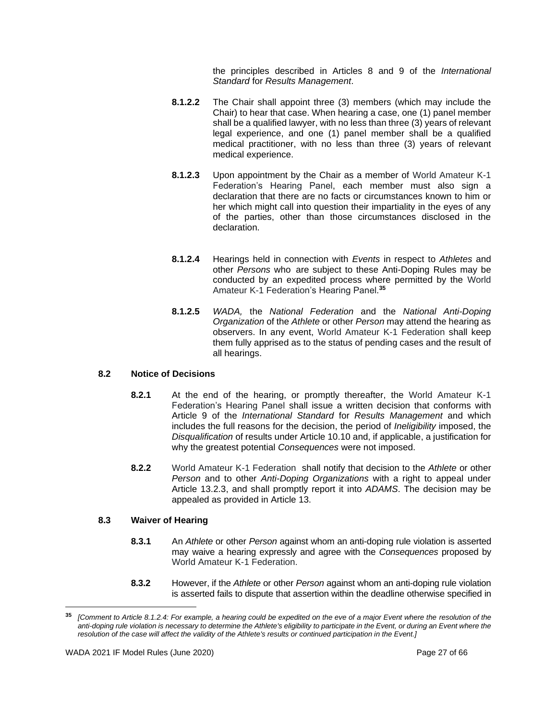the principles described in Articles 8 and 9 of the *International Standard* for *Results Management*.

- **8.1.2.2** The Chair shall appoint three (3) members (which may include the Chair) to hear that case. When hearing a case, one (1) panel member shall be a qualified lawyer, with no less than three (3) years of relevant legal experience, and one (1) panel member shall be a qualified medical practitioner, with no less than three (3) years of relevant medical experience.
- **8.1.2.3** Upon appointment by the Chair as a member of World Amateur K-1 Federation's Hearing Panel, each member must also sign a declaration that there are no facts or circumstances known to him or her which might call into question their impartiality in the eyes of any of the parties, other than those circumstances disclosed in the declaration.
- **8.1.2.4** Hearings held in connection with *Events* in respect to *Athletes* and other *Persons* who are subject to these Anti-Doping Rules may be conducted by an expedited process where permitted by the World Amateur K-1 Federation's Hearing Panel. **35**
- **8.1.2.5** *WADA,* the *National Federation* and the *National Anti-Doping Organization* of the *Athlete* or other *Person* may attend the hearing as observers. In any event, World Amateur K-1 Federation shall keep them fully apprised as to the status of pending cases and the result of all hearings.

#### **8.2 Notice of Decisions**

- **8.2.1** At the end of the hearing, or promptly thereafter, the World Amateur K-1 Federation's Hearing Panel shall issue a written decision that conforms with Article 9 of the *International Standard* for *Results Management* and which includes the full reasons for the decision, the period of *Ineligibility* imposed, the *Disqualification* of results under Article 10.10 and, if applicable, a justification for why the greatest potential *Consequences* were not imposed.
- **8.2.2** World Amateur K-1 Federation shall notify that decision to the *Athlete* or other *Person* and to other *Anti-Doping Organizations* with a right to appeal under Article 13.2.3, and shall promptly report it into *ADAMS*. The decision may be appealed as provided in Article 13.

## **8.3 Waiver of Hearing**

- **8.3.1** An *Athlete* or other *Person* against whom an anti-doping rule violation is asserted may waive a hearing expressly and agree with the *Consequences* proposed by World Amateur K-1 Federation.
- **8.3.2** However, if the *Athlete* or other *Person* against whom an anti-doping rule violation is asserted fails to dispute that assertion within the deadline otherwise specified in

**<sup>35</sup>** *[Comment to Article 8.1.2.4: For example, a hearing could be expedited on the eve of a major Event where the resolution of the anti-doping rule violation is necessary to determine the Athlete's eligibility to participate in the Event, or during an Event where the resolution of the case will affect the validity of the Athlete's results or continued participation in the Event.]*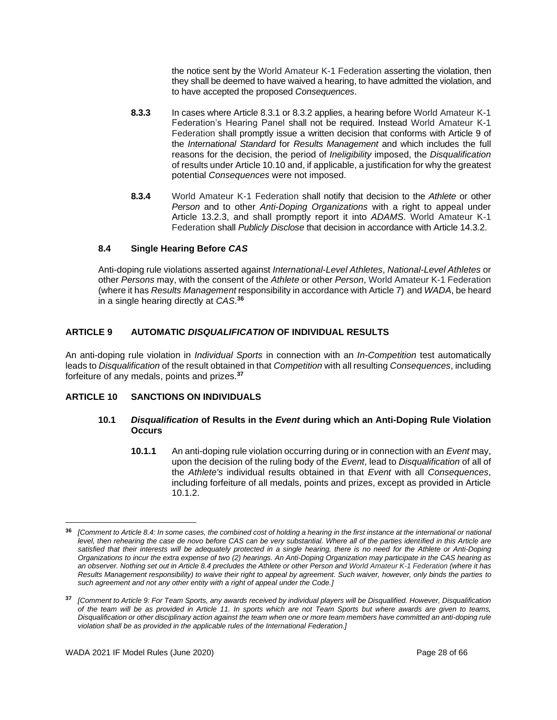the notice sent by the World Amateur K-1 Federation asserting the violation, then they shall be deemed to have waived a hearing, to have admitted the violation, and to have accepted the proposed *Consequences*.

- **8.3.3** In cases where Article 8.3.1 or 8.3.2 applies, a hearing before World Amateur K-1 Federation's Hearing Panel shall not be required. Instead World Amateur K-1 Federation shall promptly issue a written decision that conforms with Article 9 of the *International Standard* for *Results Management* and which includes the full reasons for the decision, the period of *Ineligibility* imposed, the *Disqualification* of results under Article 10.10 and, if applicable, a justification for why the greatest potential *Consequences* were not imposed.
- **8.3.4** World Amateur K-1 Federation shall notify that decision to the *Athlete* or other *Person* and to other *Anti-Doping Organizations* with a right to appeal under Article 13.2.3, and shall promptly report it into *ADAMS*. World Amateur K-1 Federation shall *Publicly Disclose* that decision in accordance with Article 14.3.2.

## **8.4 Single Hearing Before** *CAS*

Anti-doping rule violations asserted against *International-Level Athletes*, *National-Level Athletes* or other *Persons* may, with the consent of the *Athlete* or other *Person*, World Amateur K-1 Federation (where it has *Results Management* responsibility in accordance with Article 7) and *WADA*, be heard in a single hearing directly at *CAS*. **36**

## <span id="page-27-0"></span>**ARTICLE 9 AUTOMATIC** *DISQUALIFICATION* **OF INDIVIDUAL RESULTS**

An anti-doping rule violation in *Individual Sports* in connection with an *In-Competition* test automatically leads to *Disqualification* of the result obtained in that *Competition* with all resulting *Consequences*, including forfeiture of any medals, points and prizes.**<sup>37</sup>**

## <span id="page-27-1"></span>**ARTICLE 10 SANCTIONS ON INDIVIDUALS**

#### **10.1** *Disqualification* **of Results in the** *Event* **during which an Anti-Doping Rule Violation Occurs**

**10.1.1** An anti-doping rule violation occurring during or in connection with an *Event* may, upon the decision of the ruling body of the *Event*, lead to *Disqualification* of all of the *Athlete's* individual results obtained in that *Event* with all *Consequences*, including forfeiture of all medals, points and prizes, except as provided in Article 10.1.2.

**<sup>36</sup>** *[Comment to Article 8.4: In some cases, the combined cost of holding a hearing in the first instance at the international or national level, then rehearing the case de novo before CAS can be very substantial. Where all of the parties identified in this Article are satisfied that their interests will be adequately protected in a single hearing, there is no need for the Athlete or Anti-Doping Organizations to incur the extra expense of two (2) hearings. An Anti-Doping Organization may participate in the CAS hearing as*  an observer. Nothing set out in Article 8.4 precludes the Athlete or other Person and World Amateur K-1 Federation (where it has *Results Management responsibility) to waive their right to appeal by agreement. Such waiver, however, only binds the parties to such agreement and not any other entity with a right of appeal under the Code.]*

**<sup>37</sup>** *[Comment to Article 9: For Team Sports, any awards received by individual players will be Disqualified. However, Disqualification of the team will be as provided in Article 11. In sports which are not Team Sports but where awards are given to teams, Disqualification or other disciplinary action against the team when one or more team members have committed an anti-doping rule violation shall be as provided in the applicable rules of the International Federation.]*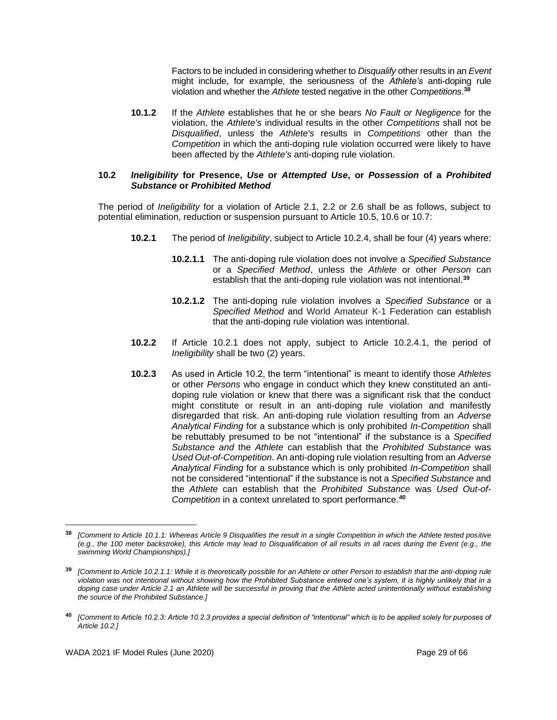Factors to be included in considering whether to *Disqualify* other results in an *Event* might include, for example, the seriousness of the *Athlete's* anti-doping rule violation and whether the *Athlete* tested negative in the other *Competitions*. **38**

**10.1.2** If the *Athlete* establishes that he or she bears *No Fault or Negligence* for the violation, the *Athlete's* individual results in the other *Competitions* shall not be *Disqualified*, unless the *Athlete's* results in *Competitions* other than the *Competition* in which the anti-doping rule violation occurred were likely to have been affected by the *Athlete's* anti-doping rule violation.

#### **10.2** *Ineligibility* **for Presence,** *Use* **or** *Attempted Use***, or** *Possession* **of a** *Prohibited Substance* **or** *Prohibited Method*

The period of *Ineligibility* for a violation of Article 2.1, 2.2 or 2.6 shall be as follows, subject to potential elimination, reduction or suspension pursuant to Article 10.5, 10.6 or 10.7:

- **10.2.1** The period of *Ineligibility*, subject to Article 10.2.4, shall be four (4) years where:
	- **10.2.1.1** The anti-doping rule violation does not involve a *Specified Substance* or a *Specified Method*, unless the *Athlete* or other *Person* can establish that the anti-doping rule violation was not intentional.**<sup>39</sup>**
	- **10.2.1.2** The anti-doping rule violation involves a *Specified Substance* or a *Specified Method* and World Amateur K-1 Federation can establish that the anti-doping rule violation was intentional.
- **10.2.2** If Article 10.2.1 does not apply, subject to Article 10.2.4.1, the period of *Ineligibility* shall be two (2) years.
- **10.2.3** As used in Article 10.2, the term "intentional" is meant to identify those *Athletes* or other *Persons* who engage in conduct which they knew constituted an antidoping rule violation or knew that there was a significant risk that the conduct might constitute or result in an anti-doping rule violation and manifestly disregarded that risk. An anti-doping rule violation resulting from an *Adverse Analytical Finding* for a substance which is only prohibited *In-Competition* shall be rebuttably presumed to be not "intentional" if the substance is a *Specified Substance and* the *Athlete* can establish that the *Prohibited Substance* was *Used Out-of-Competition*. An anti-doping rule violation resulting from an *Adverse Analytical Finding* for a substance which is only prohibited *In-Competition* shall not be considered "intentional" if the substance is not a *Specified Substance* and the *Athlete* can establish that the *Prohibited Substance* was *Used Out-of-Competition* in a context unrelated to sport performance.**<sup>40</sup>**

**<sup>38</sup>** *[Comment to Article 10.1.1: Whereas Article 9 Disqualifies the result in a single Competition in which the Athlete tested positive (e.g., the 100 meter backstroke), this Article may lead to Disqualification of all results in all races during the Event (e.g., the swimming World Championships).]*

**<sup>39</sup>** *[Comment to Article 10.2.1.1: While it is theoretically possible for an Athlete or other Person to establish that the anti-doping rule violation was not intentional without showing how the Prohibited Substance entered one's system, it is highly unlikely that in a doping case under Article 2.1 an Athlete will be successful in proving that the Athlete acted unintentionally without establishing the source of the Prohibited Substance.]*

**<sup>40</sup>** *[Comment to Article 10.2.3: Article 10.2.3 provides a special definition of "intentional" which is to be applied solely for purposes of Article 10.2.]*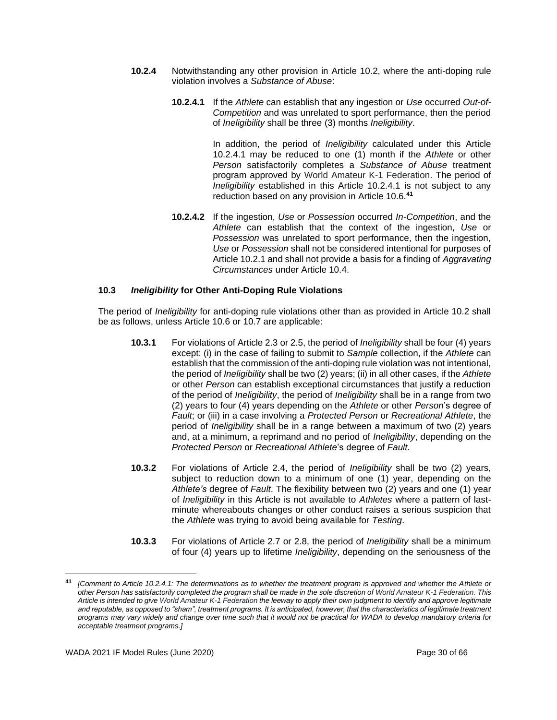- **10.2.4** Notwithstanding any other provision in Article 10.2, where the anti-doping rule violation involves a *Substance of Abuse*:
	- **10.2.4.1** If the *Athlete* can establish that any ingestion or *Use* occurred *Out-of-Competition* and was unrelated to sport performance, then the period of *Ineligibility* shall be three (3) months *Ineligibility*.

In addition, the period of *Ineligibility* calculated under this Article 10.2.4.1 may be reduced to one (1) month if the *Athlete* or other *Person* satisfactorily completes a *Substance of Abuse* treatment program approved by World Amateur K-1 Federation. The period of *Ineligibility* established in this Article 10.2.4.1 is not subject to any reduction based on any provision in Article 10.6.**<sup>41</sup>**

**10.2.4.2** If the ingestion, *Use* or *Possession* occurred *In-Competition*, and the *Athlete* can establish that the context of the ingestion, *Use* or *Possession* was unrelated to sport performance, then the ingestion, *Use* or *Possession* shall not be considered intentional for purposes of Article 10.2.1 and shall not provide a basis for a finding of *Aggravating Circumstances* under Article 10.4.

## **10.3** *Ineligibility* **for Other Anti-Doping Rule Violations**

The period of *Ineligibility* for anti-doping rule violations other than as provided in Article 10.2 shall be as follows, unless Article 10.6 or 10.7 are applicable:

- **10.3.1** For violations of Article 2.3 or 2.5, the period of *Ineligibility* shall be four (4) years except: (i) in the case of failing to submit to *Sample* collection, if the *Athlete* can establish that the commission of the anti-doping rule violation was not intentional, the period of *Ineligibility* shall be two (2) years; (ii) in all other cases, if the *Athlete* or other *Person* can establish exceptional circumstances that justify a reduction of the period of *Ineligibility*, the period of *Ineligibility* shall be in a range from two (2) years to four (4) years depending on the *Athlete* or other *Person*'s degree of *Fault*; or (iii) in a case involving a *Protected Person* or *Recreational Athlete*, the period of *Ineligibility* shall be in a range between a maximum of two (2) years and, at a minimum, a reprimand and no period of *Ineligibility*, depending on the *Protected Person* or *Recreational Athlete*'s degree of *Fault*.
- **10.3.2** For violations of Article 2.4, the period of *Ineligibility* shall be two (2) years, subject to reduction down to a minimum of one (1) year, depending on the *Athlete's* degree of *Fault*. The flexibility between two (2) years and one (1) year of *Ineligibility* in this Article is not available to *Athletes* where a pattern of lastminute whereabouts changes or other conduct raises a serious suspicion that the *Athlete* was trying to avoid being available for *Testing*.
- **10.3.3** For violations of Article 2.7 or 2.8, the period of *Ineligibility* shall be a minimum of four (4) years up to lifetime *Ineligibility*, depending on the seriousness of the

**<sup>41</sup>** *[Comment to Article 10.2.4.1: The determinations as to whether the treatment program is approved and whether the Athlete or other Person has satisfactorily completed the program shall be made in the sole discretion of World Amateur K-1 Federation. This Article is intended to give World Amateur K-1 Federation the leeway to apply their own judgment to identify and approve legitimate*  and reputable, as opposed to "sham", treatment programs. It is anticipated, however, that the characteristics of legitimate treatment *programs may vary widely and change over time such that it would not be practical for WADA to develop mandatory criteria for acceptable treatment programs.]*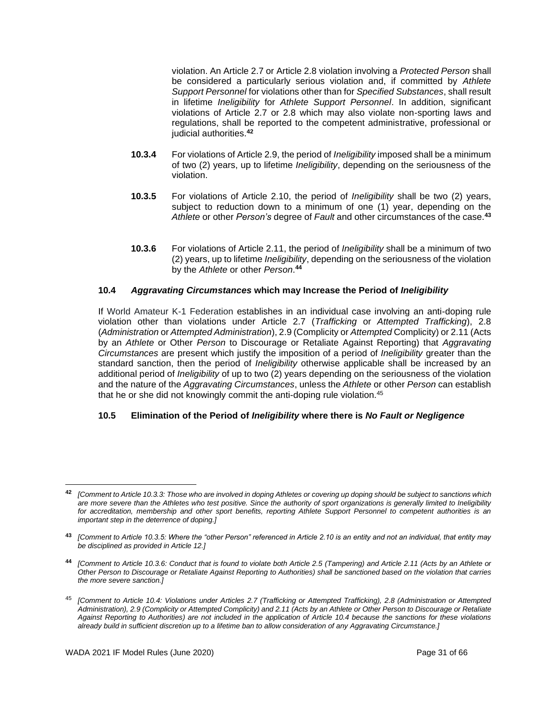violation. An Article 2.7 or Article 2.8 violation involving a *Protected Person* shall be considered a particularly serious violation and, if committed by *Athlete Support Personnel* for violations other than for *Specified Substances*, shall result in lifetime *Ineligibility* for *Athlete Support Personnel*. In addition, significant violations of Article 2.7 or 2.8 which may also violate non-sporting laws and regulations, shall be reported to the competent administrative, professional or judicial authorities.**<sup>42</sup>**

- **10.3.4** For violations of Article 2.9, the period of *Ineligibility* imposed shall be a minimum of two (2) years, up to lifetime *Ineligibility*, depending on the seriousness of the violation.
- **10.3.5** For violations of Article 2.10, the period of *Ineligibility* shall be two (2) years, subject to reduction down to a minimum of one (1) year, depending on the *Athlete* or other *Person's* degree of *Fault* and other circumstances of the case.**<sup>43</sup>**
- **10.3.6** For violations of Article 2.11, the period of *Ineligibility* shall be a minimum of two (2) years, up to lifetime *Ineligibility*, depending on the seriousness of the violation by the *Athlete* or other *Person*. **44**

## **10.4** *Aggravating Circumstances* **which may Increase the Period of** *Ineligibility*

If World Amateur K-1 Federation establishes in an individual case involving an anti-doping rule violation other than violations under Article 2.7 (*Trafficking* or *Attempted Trafficking*), 2.8 (*Administration* or *Attempted Administration*), 2.9 (Complicity or *Attempted* Complicity) or 2.11 (Acts by an *Athlete* or Other *Person* to Discourage or Retaliate Against Reporting) that *Aggravating Circumstances* are present which justify the imposition of a period of *Ineligibility* greater than the standard sanction, then the period of *Ineligibility* otherwise applicable shall be increased by an additional period of *Ineligibility* of up to two (2) years depending on the seriousness of the violation and the nature of the *Aggravating Circumstances*, unless the *Athlete* or other *Person* can establish that he or she did not knowingly commit the anti-doping rule violation.<sup>45</sup>

#### **10.5 Elimination of the Period of** *Ineligibility* **where there is** *No Fault or Negligence*

**<sup>42</sup>** *[Comment to Article 10.3.3: Those who are involved in doping Athletes or covering up doping should be subject to sanctions which are more severe than the Athletes who test positive. Since the authority of sport organizations is generally limited to Ineligibility for accreditation, membership and other sport benefits, reporting Athlete Support Personnel to competent authorities is an important step in the deterrence of doping.]*

**<sup>43</sup>** *[Comment to Article 10.3.5: Where the "other Person" referenced in Article 2.10 is an entity and not an individual, that entity may be disciplined as provided in Article 12.]*

**<sup>44</sup>** *[Comment to Article 10.3.6: Conduct that is found to violate both Article 2.5 (Tampering) and Article 2.11 (Acts by an Athlete or Other Person to Discourage or Retaliate Against Reporting to Authorities) shall be sanctioned based on the violation that carries the more severe sanction.]*

<sup>45</sup> *[Comment to Article 10.4: Violations under Articles 2.7 (Trafficking or Attempted Trafficking), 2.8 (Administration or Attempted Administration), 2.9 (Complicity or Attempted Complicity) and 2.11 (Acts by an Athlete or Other Person to Discourage or Retaliate Against Reporting to Authorities) are not included in the application of Article 10.4 because the sanctions for these violations already build in sufficient discretion up to a lifetime ban to allow consideration of any Aggravating Circumstance.]*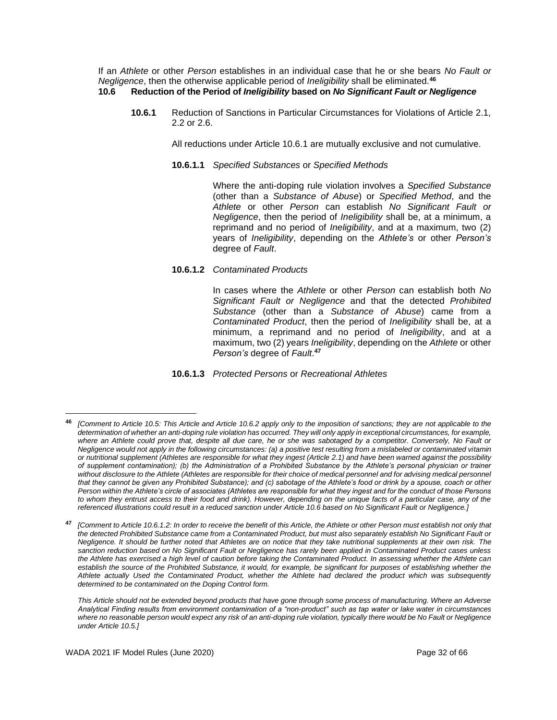If an *Athlete* or other *Person* establishes in an individual case that he or she bears *No Fault or Negligence*, then the otherwise applicable period of *Ineligibility* shall be eliminated.**<sup>46</sup> 10.6 Reduction of the Period of** *Ineligibility* **based on** *No Significant Fault or Negligence*

**10.6.1** Reduction of Sanctions in Particular Circumstances for Violations of Article 2.1, 2.2 or 2.6.

All reductions under Article 10.6.1 are mutually exclusive and not cumulative.

**10.6.1.1** *Specified Substances* or *Specified Methods*

Where the anti-doping rule violation involves a *Specified Substance* (other than a *Substance of Abuse*) or *Specified Method*, and the *Athlete* or other *Person* can establish *No Significant Fault or Negligence*, then the period of *Ineligibility* shall be, at a minimum, a reprimand and no period of *Ineligibility*, and at a maximum, two (2) years of *Ineligibility*, depending on the *Athlete's* or other *Person's* degree of *Fault*.

**10.6.1.2** *Contaminated Products*

In cases where the *Athlete* or other *Person* can establish both *No Significant Fault or Negligence* and that the detected *Prohibited Substance* (other than a *Substance of Abuse*) came from a *Contaminated Product*, then the period of *Ineligibility* shall be, at a minimum, a reprimand and no period of *Ineligibility*, and at a maximum, two (2) years *Ineligibility*, depending on the *Athlete* or other *Person's* degree of *Fault*. **47**

**10.6.1.3** *Protected Persons* or *Recreational Athletes*

**<sup>47</sup>** *[Comment to Article 10.6.1.2: In order to receive the benefit of this Article, the Athlete or other Person must establish not only that the detected Prohibited Substance came from a Contaminated Product, but must also separately establish No Significant Fault or Negligence. It should be further noted that Athletes are on notice that they take nutritional supplements at their own risk. The sanction reduction based on No Significant Fault or Negligence has rarely been applied in Contaminated Product cases unless the Athlete has exercised a high level of caution before taking the Contaminated Product. In assessing whether the Athlete can*  establish the source of the Prohibited Substance, it would, for example, be significant for purposes of establishing whether the *Athlete actually Used the Contaminated Product, whether the Athlete had declared the product which was subsequently determined to be contaminated on the Doping Control form.* 

*This Article should not be extended beyond products that have gone through some process of manufacturing. Where an Adverse Analytical Finding results from environment contamination of a "non-product" such as tap water or lake water in circumstances where no reasonable person would expect any risk of an anti-doping rule violation, typically there would be No Fault or Negligence under Article 10.5.]*

**<sup>46</sup>** *[Comment to Article 10.5: This Article and Article 10.6.2 apply only to the imposition of sanctions; they are not applicable to the determination of whether an anti-doping rule violation has occurred. They will only apply in exceptional circumstances, for example, where an Athlete could prove that, despite all due care, he or she was sabotaged by a competitor. Conversely, No Fault or Negligence would not apply in the following circumstances: (a) a positive test resulting from a mislabeled or contaminated vitamin or nutritional supplement (Athletes are responsible for what they ingest (Article 2.1) and have been warned against the possibility of supplement contamination); (b) the Administration of a Prohibited Substance by the Athlete's personal physician or trainer* without disclosure to the Athlete (Athletes are responsible for their choice of medical personnel and for advising medical personnel *that they cannot be given any Prohibited Substance); and (c) sabotage of the Athlete's food or drink by a spouse, coach or other Person within the Athlete's circle of associates (Athletes are responsible for what they ingest and for the conduct of those Persons to whom they entrust access to their food and drink). However, depending on the unique facts of a particular case, any of the referenced illustrations could result in a reduced sanction under Article 10.6 based on No Significant Fault or Negligence.]*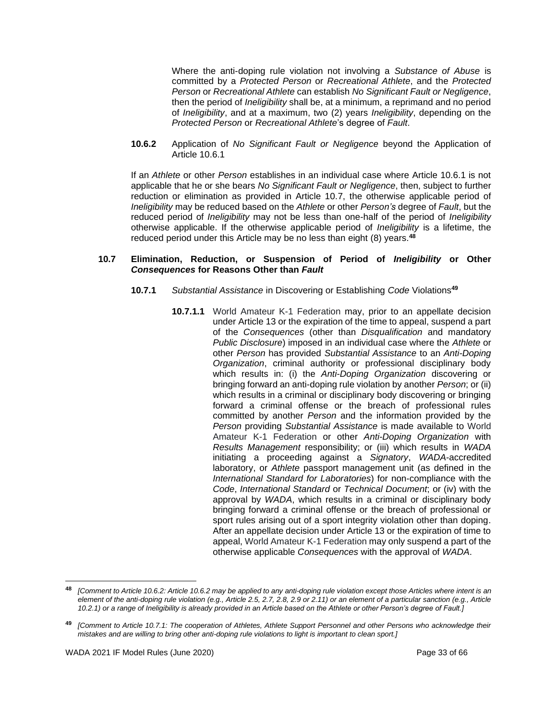Where the anti-doping rule violation not involving a *Substance of Abuse* is committed by a *Protected Person* or *Recreational Athlete*, and the *Protected Person* or *Recreational Athlete* can establish *No Significant Fault or Negligence*, then the period of *Ineligibility* shall be, at a minimum, a reprimand and no period of *Ineligibility*, and at a maximum, two (2) years *Ineligibility*, depending on the *Protected Person* or *Recreational Athlete*'s degree of *Fault*.

**10.6.2** Application of *No Significant Fault or Negligence* beyond the Application of Article 10.6.1

If an *Athlete* or other *Person* establishes in an individual case where Article 10.6.1 is not applicable that he or she bears *No Significant Fault or Negligence*, then, subject to further reduction or elimination as provided in Article 10.7, the otherwise applicable period of *Ineligibility* may be reduced based on the *Athlete* or other *Person's* degree of *Fault*, but the reduced period of *Ineligibility* may not be less than one-half of the period of *Ineligibility* otherwise applicable. If the otherwise applicable period of *Ineligibility* is a lifetime, the reduced period under this Article may be no less than eight (8) years.**<sup>48</sup>**

#### **10.7 Elimination, Reduction, or Suspension of Period of** *Ineligibility* **or Other** *Consequences* **for Reasons Other than** *Fault*

- **10.7.1** *Substantial Assistance* in Discovering or Establishing *Code* Violations**<sup>49</sup>**
	- **10.7.1.1** World Amateur K-1 Federation may, prior to an appellate decision under Article 13 or the expiration of the time to appeal, suspend a part of the *Consequences* (other than *Disqualification* and mandatory *Public Disclosure*) imposed in an individual case where the *Athlete* or other *Person* has provided *Substantial Assistance* to an *Anti-Doping Organization*, criminal authority or professional disciplinary body which results in: (i) the *Anti-Doping Organization* discovering or bringing forward an anti-doping rule violation by another *Person*; or (ii) which results in a criminal or disciplinary body discovering or bringing forward a criminal offense or the breach of professional rules committed by another *Person* and the information provided by the *Person* providing *Substantial Assistance* is made available to World Amateur K-1 Federation or other *Anti-Doping Organization* with *Results Management* responsibility; or (iii) which results in *WADA* initiating a proceeding against a *Signatory*, *WADA*-accredited laboratory, or *Athlete* passport management unit (as defined in the *International Standard for Laboratories*) for non-compliance with the *Code*, *International Standard* or *Technical Document*; or (iv) with the approval by *WADA*, which results in a criminal or disciplinary body bringing forward a criminal offense or the breach of professional or sport rules arising out of a sport integrity violation other than doping. After an appellate decision under Article 13 or the expiration of time to appeal, World Amateur K-1 Federation may only suspend a part of the otherwise applicable *Consequences* with the approval of *WADA*.

**<sup>48</sup>** *[Comment to Article 10.6.2: Article 10.6.2 may be applied to any anti-doping rule violation except those Articles where intent is an element of the anti-doping rule violation (e.g., Article 2.5, 2.7, 2.8, 2.9 or 2.11) or an element of a particular sanction (e.g., Article 10.2.1) or a range of Ineligibility is already provided in an Article based on the Athlete or other Person's degree of Fault.]*

**<sup>49</sup>** *[Comment to Article 10.7.1: The cooperation of Athletes, Athlete Support Personnel and other Persons who acknowledge their mistakes and are willing to bring other anti-doping rule violations to light is important to clean sport.]*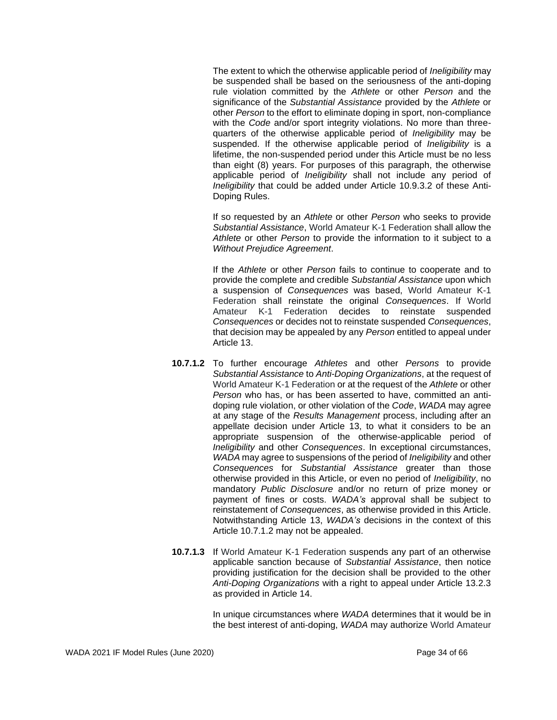The extent to which the otherwise applicable period of *Ineligibility* may be suspended shall be based on the seriousness of the anti-doping rule violation committed by the *Athlete* or other *Person* and the significance of the *Substantial Assistance* provided by the *Athlete* or other *Person* to the effort to eliminate doping in sport, non-compliance with the *Code* and/or sport integrity violations. No more than threequarters of the otherwise applicable period of *Ineligibility* may be suspended. If the otherwise applicable period of *Ineligibility* is a lifetime, the non-suspended period under this Article must be no less than eight (8) years. For purposes of this paragraph, the otherwise applicable period of *Ineligibility* shall not include any period of *Ineligibility* that could be added under Article 10.9.3.2 of these Anti-Doping Rules.

If so requested by an *Athlete* or other *Person* who seeks to provide *Substantial Assistance*, World Amateur K-1 Federation shall allow the *Athlete* or other *Person* to provide the information to it subject to a *Without Prejudice Agreement*.

If the *Athlete* or other *Person* fails to continue to cooperate and to provide the complete and credible *Substantial Assistance* upon which a suspension of *Consequences* was based, World Amateur K-1 Federation shall reinstate the original *Consequences*. If World Amateur K-1 Federation decides to reinstate suspended *Consequences* or decides not to reinstate suspended *Consequences*, that decision may be appealed by any *Person* entitled to appeal under Article 13.

- **10.7.1.2** To further encourage *Athletes* and other *Persons* to provide *Substantial Assistance* to *Anti-Doping Organizations*, at the request of World Amateur K-1 Federation or at the request of the *Athlete* or other *Person* who has, or has been asserted to have, committed an antidoping rule violation, or other violation of the *Code*, *WADA* may agree at any stage of the *Results Management* process, including after an appellate decision under Article 13, to what it considers to be an appropriate suspension of the otherwise-applicable period of *Ineligibility* and other *Consequences*. In exceptional circumstances, *WADA* may agree to suspensions of the period of *Ineligibility* and other *Consequences* for *Substantial Assistance* greater than those otherwise provided in this Article, or even no period of *Ineligibility*, no mandatory *Public Disclosure* and/or no return of prize money or payment of fines or costs. *WADA's* approval shall be subject to reinstatement of *Consequences*, as otherwise provided in this Article. Notwithstanding Article 13, *WADA's* decisions in the context of this Article 10.7.1.2 may not be appealed.
- **10.7.1.3** If World Amateur K-1 Federation suspends any part of an otherwise applicable sanction because of *Substantial Assistance*, then notice providing justification for the decision shall be provided to the other *Anti-Doping Organizations* with a right to appeal under Article 13.2.3 as provided in Article 14.

In unique circumstances where *WADA* determines that it would be in the best interest of anti-doping, *WADA* may authorize World Amateur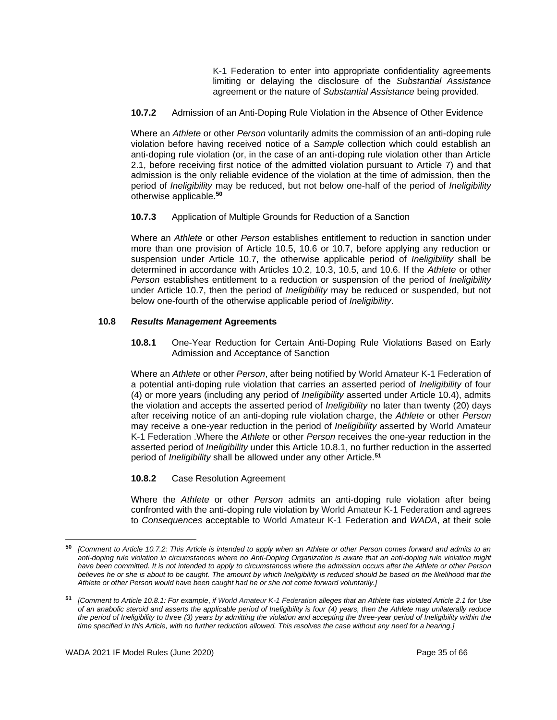K-1 Federation to enter into appropriate confidentiality agreements limiting or delaying the disclosure of the *Substantial Assistance* agreement or the nature of *Substantial Assistance* being provided.

**10.7.2** Admission of an Anti-Doping Rule Violation in the Absence of Other Evidence

Where an *Athlete* or other *Person* voluntarily admits the commission of an anti-doping rule violation before having received notice of a *Sample* collection which could establish an anti-doping rule violation (or, in the case of an anti-doping rule violation other than Article 2.1, before receiving first notice of the admitted violation pursuant to Article 7) and that admission is the only reliable evidence of the violation at the time of admission, then the period of *Ineligibility* may be reduced, but not below one-half of the period of *Ineligibility* otherwise applicable.**<sup>50</sup>**

**10.7.3** Application of Multiple Grounds for Reduction of a Sanction

Where an *Athlete* or other *Person* establishes entitlement to reduction in sanction under more than one provision of Article 10.5, 10.6 or 10.7, before applying any reduction or suspension under Article 10.7, the otherwise applicable period of *Ineligibility* shall be determined in accordance with Articles 10.2, 10.3, 10.5, and 10.6. If the *Athlete* or other *Person* establishes entitlement to a reduction or suspension of the period of *Ineligibility* under Article 10.7, then the period of *Ineligibility* may be reduced or suspended, but not below one-fourth of the otherwise applicable period of *Ineligibility*.

## **10.8** *Results Management* **Agreements**

**10.8.1** One-Year Reduction for Certain Anti-Doping Rule Violations Based on Early Admission and Acceptance of Sanction

Where an *Athlete* or other *Person*, after being notified by World Amateur K-1 Federation of a potential anti-doping rule violation that carries an asserted period of *Ineligibility* of four (4) or more years (including any period of *Ineligibility* asserted under Article 10.4), admits the violation and accepts the asserted period of *Ineligibility* no later than twenty (20) days after receiving notice of an anti-doping rule violation charge, the *Athlete* or other *Person* may receive a one-year reduction in the period of *Ineligibility* asserted by World Amateur K-1 Federation .Where the *Athlete* or other *Person* receives the one-year reduction in the asserted period of *Ineligibility* under this Article 10.8.1, no further reduction in the asserted period of *Ineligibility* shall be allowed under any other Article.**<sup>51</sup>**

## **10.8.2** Case Resolution Agreement

Where the *Athlete* or other *Person* admits an anti-doping rule violation after being confronted with the anti-doping rule violation by World Amateur K-1 Federation and agrees to *Consequences* acceptable to World Amateur K-1 Federation and *WADA*, at their sole

**<sup>50</sup>** *[Comment to Article 10.7.2: This Article is intended to apply when an Athlete or other Person comes forward and admits to an anti-doping rule violation in circumstances where no Anti-Doping Organization is aware that an anti-doping rule violation might have been committed. It is not intended to apply to circumstances where the admission occurs after the Athlete or other Person*  believes he or she is about to be caught. The amount by which Ineligibility is reduced should be based on the likelihood that the *Athlete or other Person would have been caught had he or she not come forward voluntarily.]*

**<sup>51</sup>** *[Comment to Article 10.8.1: For example*, *if World Amateur K-1 Federation alleges that an Athlete has violated Article 2.1 for Use of an anabolic steroid and asserts the applicable period of Ineligibility is four (4) years, then the Athlete may unilaterally reduce the period of Ineligibility to three (3) years by admitting the violation and accepting the three-year period of Ineligibility within the time specified in this Article, with no further reduction allowed. This resolves the case without any need for a hearing.]*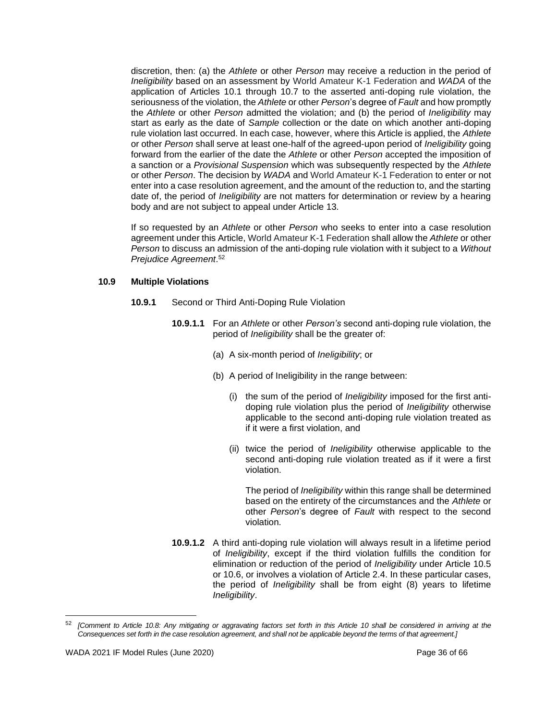discretion, then: (a) the *Athlete* or other *Person* may receive a reduction in the period of *Ineligibility* based on an assessment by World Amateur K-1 Federation and *WADA* of the application of Articles 10.1 through 10.7 to the asserted anti-doping rule violation, the seriousness of the violation, the *Athlete* or other *Person*'s degree of *Fault* and how promptly the *Athlete* or other *Person* admitted the violation; and (b) the period of *Ineligibility* may start as early as the date of *Sample* collection or the date on which another anti-doping rule violation last occurred. In each case, however, where this Article is applied, the *Athlete* or other *Person* shall serve at least one-half of the agreed-upon period of *Ineligibility* going forward from the earlier of the date the *Athlete* or other *Person* accepted the imposition of a sanction or a *Provisional Suspension* which was subsequently respected by the *Athlete* or other *Person*. The decision by *WADA* and World Amateur K-1 Federation to enter or not enter into a case resolution agreement, and the amount of the reduction to, and the starting date of, the period of *Ineligibility* are not matters for determination or review by a hearing body and are not subject to appeal under Article 13.

If so requested by an *Athlete* or other *Person* who seeks to enter into a case resolution agreement under this Article, World Amateur K-1 Federation shall allow the *Athlete* or other *Person* to discuss an admission of the anti-doping rule violation with it subject to a *Without Prejudice Agreement*. 52

#### **10.9 Multiple Violations**

- **10.9.1** Second or Third Anti-Doping Rule Violation
	- **10.9.1.1** For an *Athlete* or other *Person's* second anti-doping rule violation, the period of *Ineligibility* shall be the greater of:
		- (a) A six-month period of *Ineligibility*; or
		- (b) A period of Ineligibility in the range between:
			- (i) the sum of the period of *Ineligibility* imposed for the first antidoping rule violation plus the period of *Ineligibility* otherwise applicable to the second anti-doping rule violation treated as if it were a first violation, and
			- (ii) twice the period of *Ineligibility* otherwise applicable to the second anti-doping rule violation treated as if it were a first violation.

The period of *Ineligibility* within this range shall be determined based on the entirety of the circumstances and the *Athlete* or other *Person*'s degree of *Fault* with respect to the second violation.

**10.9.1.2** A third anti-doping rule violation will always result in a lifetime period of *Ineligibility*, except if the third violation fulfills the condition for elimination or reduction of the period of *Ineligibility* under Article 10.5 or 10.6, or involves a violation of Article 2.4. In these particular cases, the period of *Ineligibility* shall be from eight (8) years to lifetime *Ineligibility*.

<sup>52</sup> *[Comment to Article 10.8: Any mitigating or aggravating factors set forth in this Article 10 shall be considered in arriving at the Consequences set forth in the case resolution agreement, and shall not be applicable beyond the terms of that agreement.]*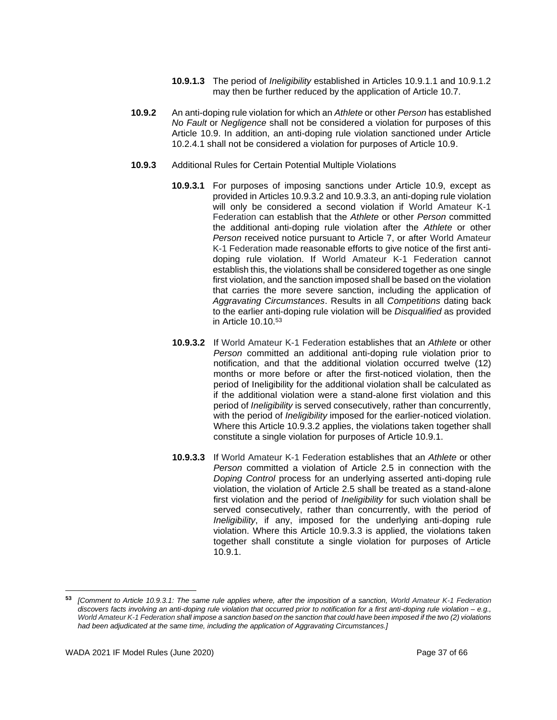- **10.9.1.3** The period of *Ineligibility* established in Articles 10.9.1.1 and 10.9.1.2 may then be further reduced by the application of Article 10.7.
- **10.9.2** An anti-doping rule violation for which an *Athlete* or other *Person* has established *No Fault* or *Negligence* shall not be considered a violation for purposes of this Article 10.9. In addition, an anti-doping rule violation sanctioned under Article 10.2.4.1 shall not be considered a violation for purposes of Article 10.9.
- **10.9.3** Additional Rules for Certain Potential Multiple Violations
	- **10.9.3.1** For purposes of imposing sanctions under Article 10.9, except as provided in Articles 10.9.3.2 and 10.9.3.3, an anti-doping rule violation will only be considered a second violation if World Amateur K-1 Federation can establish that the *Athlete* or other *Person* committed the additional anti-doping rule violation after the *Athlete* or other *Person* received notice pursuant to Article 7, or after World Amateur K-1 Federation made reasonable efforts to give notice of the first antidoping rule violation. If World Amateur K-1 Federation cannot establish this, the violations shall be considered together as one single first violation, and the sanction imposed shall be based on the violation that carries the more severe sanction, including the application of *Aggravating Circumstances*. Results in all *Competitions* dating back to the earlier anti-doping rule violation will be *Disqualified* as provided in Article 10.10.<sup>53</sup>
	- **10.9.3.2** If World Amateur K-1 Federation establishes that an *Athlete* or other *Person* committed an additional anti-doping rule violation prior to notification, and that the additional violation occurred twelve (12) months or more before or after the first-noticed violation, then the period of Ineligibility for the additional violation shall be calculated as if the additional violation were a stand-alone first violation and this period of *Ineligibility* is served consecutively, rather than concurrently, with the period of *Ineligibility* imposed for the earlier-noticed violation. Where this Article 10.9.3.2 applies, the violations taken together shall constitute a single violation for purposes of Article 10.9.1.
	- **10.9.3.3** If World Amateur K-1 Federation establishes that an *Athlete* or other *Person* committed a violation of Article 2.5 in connection with the *Doping Control* process for an underlying asserted anti-doping rule violation, the violation of Article 2.5 shall be treated as a stand-alone first violation and the period of *Ineligibility* for such violation shall be served consecutively, rather than concurrently, with the period of *Ineligibility*, if any, imposed for the underlying anti-doping rule violation. Where this Article 10.9.3.3 is applied, the violations taken together shall constitute a single violation for purposes of Article 10.9.1.

**<sup>53</sup>** *[Comment to Article 10.9.3.1: The same rule applies where, after the imposition of a sanction, World Amateur K-1 Federation discovers facts involving an anti-doping rule violation that occurred prior to notification for a first anti-doping rule violation – e.g., World Amateur K-1 Federation shall impose a sanction based on the sanction that could have been imposed if the two (2) violations had been adjudicated at the same time, including the application of Aggravating Circumstances.]*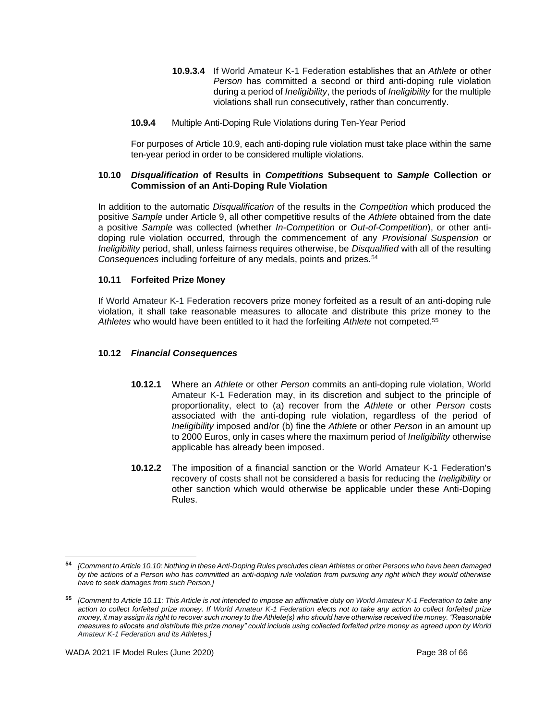- **10.9.3.4** If World Amateur K-1 Federation establishes that an *Athlete* or other *Person* has committed a second or third anti-doping rule violation during a period of *Ineligibility*, the periods of *Ineligibility* for the multiple violations shall run consecutively, rather than concurrently.
- **10.9.4** Multiple Anti-Doping Rule Violations during Ten-Year Period

For purposes of Article 10.9, each anti-doping rule violation must take place within the same ten-year period in order to be considered multiple violations.

#### **10.10** *Disqualification* **of Results in** *Competitions* **Subsequent to** *Sample* **Collection or Commission of an Anti-Doping Rule Violation**

In addition to the automatic *Disqualification* of the results in the *Competition* which produced the positive *Sample* under Article 9, all other competitive results of the *Athlete* obtained from the date a positive *Sample* was collected (whether *In-Competition* or *Out-of-Competition*), or other antidoping rule violation occurred, through the commencement of any *Provisional Suspension* or *Ineligibility* period, shall, unless fairness requires otherwise, be *Disqualified* with all of the resulting *Consequences* including forfeiture of any medals, points and prizes.<sup>54</sup>

## **10.11 Forfeited Prize Money**

If World Amateur K-1 Federation recovers prize money forfeited as a result of an anti-doping rule violation, it shall take reasonable measures to allocate and distribute this prize money to the *Athletes* who would have been entitled to it had the forfeiting *Athlete* not competed.<sup>55</sup>

## **10.12** *Financial Consequences*

- **10.12.1** Where an *Athlete* or other *Person* commits an anti-doping rule violation, World Amateur K-1 Federation may, in its discretion and subject to the principle of proportionality, elect to (a) recover from the *Athlete* or other *Person* costs associated with the anti-doping rule violation, regardless of the period of *Ineligibility* imposed and/or (b) fine the *Athlete* or other *Person* in an amount up to 2000 Euros, only in cases where the maximum period of *Ineligibility* otherwise applicable has already been imposed.
- **10.12.2** The imposition of a financial sanction or the World Amateur K-1 Federation's recovery of costs shall not be considered a basis for reducing the *Ineligibility* or other sanction which would otherwise be applicable under these Anti-Doping Rules.

**<sup>54</sup>** *[Comment to Article 10.10: Nothing in these Anti-Doping Rules precludes clean Athletes or other Persons who have been damaged by the actions of a Person who has committed an anti-doping rule violation from pursuing any right which they would otherwise have to seek damages from such Person.]*

**<sup>55</sup>** *[Comment to Article 10.11: This Article is not intended to impose an affirmative duty on World Amateur K-1 Federation to take any action to collect forfeited prize money. If World Amateur K-1 Federation elects not to take any action to collect forfeited prize money, it may assign its right to recover such money to the Athlete(s) who should have otherwise received the money. "Reasonable measures to allocate and distribute this prize money" could include using collected forfeited prize money as agreed upon by World Amateur K-1 Federation and its Athletes.]*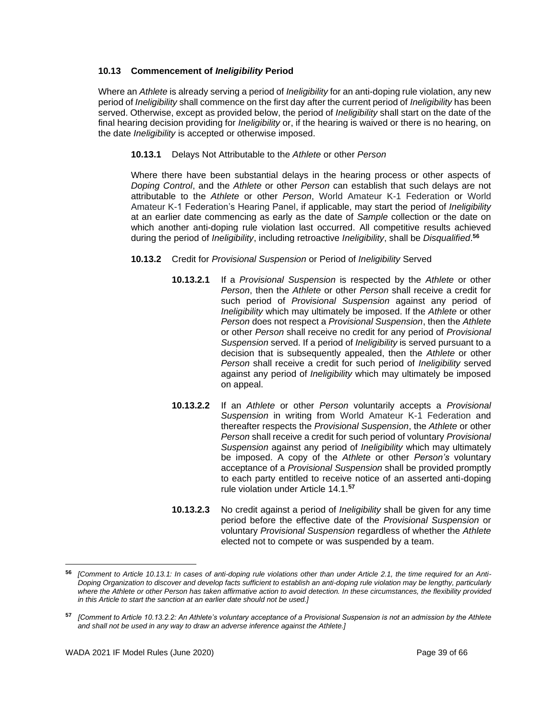## **10.13 Commencement of** *Ineligibility* **Period**

Where an *Athlete* is already serving a period of *Ineligibility* for an anti-doping rule violation, any new period of *Ineligibility* shall commence on the first day after the current period of *Ineligibility* has been served. Otherwise, except as provided below, the period of *Ineligibility* shall start on the date of the final hearing decision providing for *Ineligibility* or, if the hearing is waived or there is no hearing, on the date *Ineligibility* is accepted or otherwise imposed.

## **10.13.1** Delays Not Attributable to the *Athlete* or other *Person*

Where there have been substantial delays in the hearing process or other aspects of *Doping Control*, and the *Athlete* or other *Person* can establish that such delays are not attributable to the *Athlete* or other *Person*, World Amateur K-1 Federation or World Amateur K-1 Federation's Hearing Panel, if applicable, may start the period of *Ineligibility* at an earlier date commencing as early as the date of *Sample* collection or the date on which another anti-doping rule violation last occurred. All competitive results achieved during the period of *Ineligibility*, including retroactive *Ineligibility*, shall be *Disqualified*. **56**

## **10.13.2** Credit for *Provisional Suspension* or Period of *Ineligibility* Served

- **10.13.2.1** If a *Provisional Suspension* is respected by the *Athlete* or other *Person*, then the *Athlete* or other *Person* shall receive a credit for such period of *Provisional Suspension* against any period of *Ineligibility* which may ultimately be imposed. If the *Athlete* or other *Person* does not respect a *Provisional Suspension*, then the *Athlete* or other *Person* shall receive no credit for any period of *Provisional Suspension* served. If a period of *Ineligibility* is served pursuant to a decision that is subsequently appealed, then the *Athlete* or other *Person* shall receive a credit for such period of *Ineligibility* served against any period of *Ineligibility* which may ultimately be imposed on appeal.
- **10.13.2.2** If an *Athlete* or other *Person* voluntarily accepts a *Provisional Suspension* in writing from World Amateur K-1 Federation and thereafter respects the *Provisional Suspension*, the *Athlete* or other *Person* shall receive a credit for such period of voluntary *Provisional Suspension* against any period of *Ineligibility* which may ultimately be imposed. A copy of the *Athlete* or other *Person's* voluntary acceptance of a *Provisional Suspension* shall be provided promptly to each party entitled to receive notice of an asserted anti-doping rule violation under Article 14.1.**<sup>57</sup>**
- **10.13.2.3** No credit against a period of *Ineligibility* shall be given for any time period before the effective date of the *Provisional Suspension* or voluntary *Provisional Suspension* regardless of whether the *Athlete* elected not to compete or was suspended by a team.

**<sup>56</sup>** *[Comment to Article 10.13.1: In cases of anti-doping rule violations other than under Article 2.1, the time required for an Anti-Doping Organization to discover and develop facts sufficient to establish an anti-doping rule violation may be lengthy, particularly where the Athlete or other Person has taken affirmative action to avoid detection. In these circumstances, the flexibility provided in this Article to start the sanction at an earlier date should not be used.]*

**<sup>57</sup>** *[Comment to Article 10.13.2.2: An Athlete's voluntary acceptance of a Provisional Suspension is not an admission by the Athlete and shall not be used in any way to draw an adverse inference against the Athlete.]*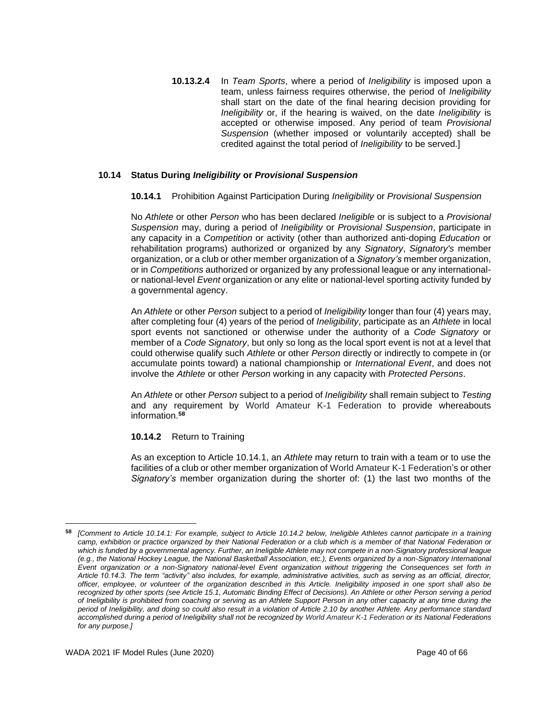**10.13.2.4** In *Team Sports*, where a period of *Ineligibility* is imposed upon a team, unless fairness requires otherwise, the period of *Ineligibility* shall start on the date of the final hearing decision providing for *Ineligibility* or, if the hearing is waived, on the date *Ineligibility* is accepted or otherwise imposed. Any period of team *Provisional Suspension* (whether imposed or voluntarily accepted) shall be credited against the total period of *Ineligibility* to be served.]

## **10.14 Status During** *Ineligibility* **or** *Provisional Suspension*

#### **10.14.1** Prohibition Against Participation During *Ineligibility* or *Provisional Suspension*

No *Athlete* or other *Person* who has been declared *Ineligible* or is subject to a *Provisional Suspension* may, during a period of *Ineligibility* or *Provisional Suspension*, participate in any capacity in a *Competition* or activity (other than authorized anti-doping *Education* or rehabilitation programs) authorized or organized by any *Signatory*, *Signatory's* member organization, or a club or other member organization of a *Signatory's* member organization, or in *Competitions* authorized or organized by any professional league or any internationalor national-level *Event* organization or any elite or national-level sporting activity funded by a governmental agency.

An *Athlete* or other *Person* subject to a period of *Ineligibility* longer than four (4) years may, after completing four (4) years of the period of *Ineligibility*, participate as an *Athlete* in local sport events not sanctioned or otherwise under the authority of a *Code Signatory* or member of a *Code Signatory*, but only so long as the local sport event is not at a level that could otherwise qualify such *Athlete* or other *Person* directly or indirectly to compete in (or accumulate points toward) a national championship or *International Event*, and does not involve the *Athlete* or other *Person* working in any capacity with *Protected Persons*.

An *Athlete* or other *Person* subject to a period of *Ineligibility* shall remain subject to *Testing* and any requirement by World Amateur K-1 Federation to provide whereabouts information.**<sup>58</sup>**

## **10.14.2** Return to Training

As an exception to Article 10.14.1, an *Athlete* may return to train with a team or to use the facilities of a club or other member organization of World Amateur K-1 Federation's or other *Signatory's* member organization during the shorter of: (1) the last two months of the

**<sup>58</sup>** *[Comment to Article 10.14.1: For example, subject to Article 10.14.2 below, Ineligible Athletes cannot participate in a training camp, exhibition or practice organized by their National Federation or a club which is a member of that National Federation or*  which is funded by a governmental agency. Further, an Ineligible Athlete may not compete in a non-Signatory professional league *(e.g., the National Hockey League, the National Basketball Association, etc.), Events organized by a non-Signatory International Event organization or a non-Signatory national-level Event organization without triggering the Consequences set forth in Article 10.14.3. The term "activity" also includes, for example, administrative activities, such as serving as an official, director, officer, employee, or volunteer of the organization described in this Article. Ineligibility imposed in one sport shall also be recognized by other sports (see Article 15.1, Automatic Binding Effect of Decisions). An Athlete or other Person serving a period of Ineligibility is prohibited from coaching or serving as an Athlete Support Person in any other capacity at any time during the period of Ineligibility, and doing so could also result in a violation of Article 2.10 by another Athlete. Any performance standard accomplished during a period of Ineligibility shall not be recognized by World Amateur K-1 Federation or its National Federations for any purpose.]*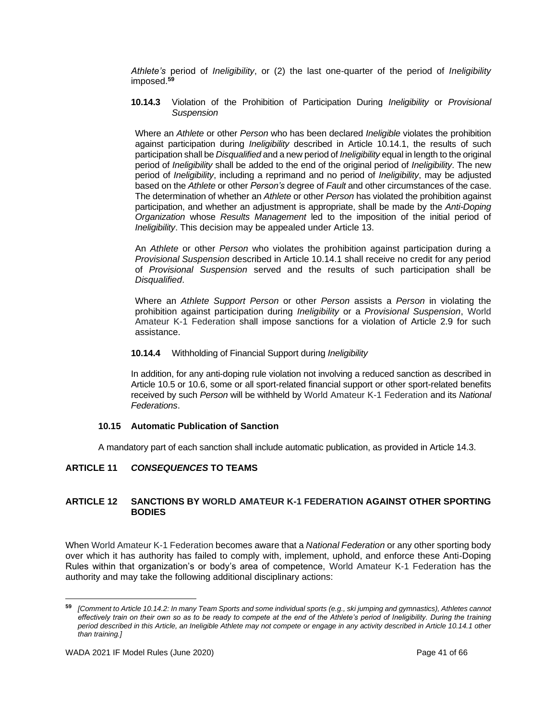*Athlete's* period of *Ineligibility*, or (2) the last one-quarter of the period of *Ineligibility* imposed.**<sup>59</sup>**

**10.14.3** Violation of the Prohibition of Participation During *Ineligibility* or *Provisional Suspension*

Where an *Athlete* or other *Person* who has been declared *Ineligible* violates the prohibition against participation during *Ineligibility* described in Article 10.14.1, the results of such participation shall be *Disqualified* and a new period of *Ineligibility* equal in length to the original period of *Ineligibility* shall be added to the end of the original period of *Ineligibility*. The new period of *Ineligibility*, including a reprimand and no period of *Ineligibility*, may be adjusted based on the *Athlete* or other *Person's* degree of *Fault* and other circumstances of the case. The determination of whether an *Athlete* or other *Person* has violated the prohibition against participation, and whether an adjustment is appropriate, shall be made by the *Anti-Doping Organization* whose *Results Management* led to the imposition of the initial period of *Ineligibility*. This decision may be appealed under Article 13.

An *Athlete* or other *Person* who violates the prohibition against participation during a *Provisional Suspension* described in Article 10.14.1 shall receive no credit for any period of *Provisional Suspension* served and the results of such participation shall be *Disqualified*.

Where an *Athlete Support Person* or other *Person* assists a *Person* in violating the prohibition against participation during *Ineligibility* or a *Provisional Suspension*, World Amateur K-1 Federation shall impose sanctions for a violation of Article 2.9 for such assistance.

#### **10.14.4** Withholding of Financial Support during *Ineligibility*

In addition, for any anti-doping rule violation not involving a reduced sanction as described in Article 10.5 or 10.6, some or all sport-related financial support or other sport-related benefits received by such *Person* will be withheld by World Amateur K-1 Federation and its *National Federations*.

#### **10.15 Automatic Publication of Sanction**

A mandatory part of each sanction shall include automatic publication, as provided in Article 14.3.

#### <span id="page-40-0"></span>**ARTICLE 11** *CONSEQUENCES* **TO TEAMS**

## <span id="page-40-1"></span>**ARTICLE 12 SANCTIONS BY WORLD AMATEUR K-1 FEDERATION AGAINST OTHER SPORTING BODIES**

When World Amateur K-1 Federation becomes aware that a *National Federation* or any other sporting body over which it has authority has failed to comply with, implement, uphold, and enforce these Anti-Doping Rules within that organization's or body's area of competence, World Amateur K-1 Federation has the authority and may take the following additional disciplinary actions:

**<sup>59</sup>** *[Comment to Article 10.14.2: In many Team Sports and some individual sports (e.g., ski jumping and gymnastics), Athletes cannot effectively train on their own so as to be ready to compete at the end of the Athlete's period of Ineligibility. During the training period described in this Article, an Ineligible Athlete may not compete or engage in any activity described in Article 10.14.1 other than training.]*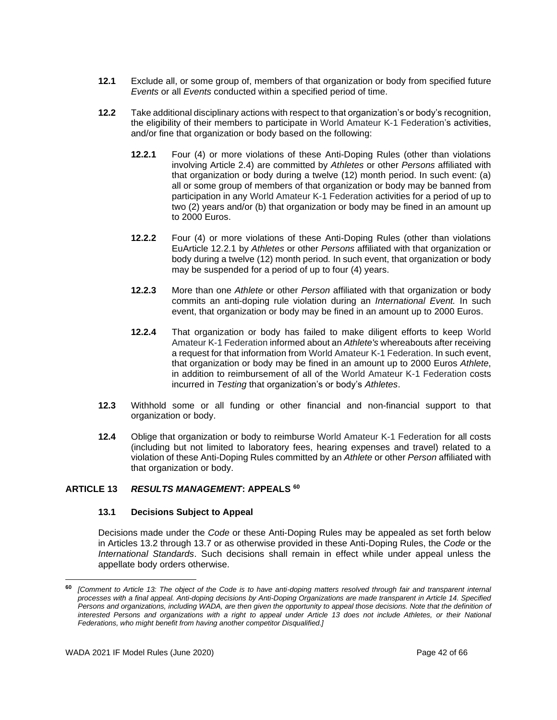- **12.1** Exclude all, or some group of, members of that organization or body from specified future *Events* or all *Events* conducted within a specified period of time.
- **12.2** Take additional disciplinary actions with respect to that organization's or body's recognition, the eligibility of their members to participate in World Amateur K-1 Federation's activities, and/or fine that organization or body based on the following:
	- **12.2.1** Four (4) or more violations of these Anti-Doping Rules (other than violations involving Article 2.4) are committed by *Athletes* or other *Persons* affiliated with that organization or body during a twelve (12) month period. In such event: (a) all or some group of members of that organization or body may be banned from participation in any World Amateur K-1 Federation activities for a period of up to two (2) years and/or (b) that organization or body may be fined in an amount up to 2000 Euros.
	- **12.2.2** Four (4) or more violations of these Anti-Doping Rules (other than violations EuArticle 12.2.1 by *Athletes* or other *Persons* affiliated with that organization or body during a twelve (12) month period*.* In such event, that organization or body may be suspended for a period of up to four (4) years.
	- **12.2.3** More than one *Athlete* or other *Person* affiliated with that organization or body commits an anti-doping rule violation during an *International Event.* In such event, that organization or body may be fined in an amount up to 2000 Euros.
	- **12.2.4** That organization or body has failed to make diligent efforts to keep World Amateur K-1 Federation informed about an *Athlete's* whereabouts after receiving a request for that information from World Amateur K-1 Federation. In such event, that organization or body may be fined in an amount up to 2000 Euros *Athlete*, in addition to reimbursement of all of the World Amateur K-1 Federation costs incurred in *Testing* that organization's or body's *Athletes*.
- **12.3** Withhold some or all funding or other financial and non-financial support to that organization or body.
- **12.4** Oblige that organization or body to reimburse World Amateur K-1 Federation for all costs (including but not limited to laboratory fees, hearing expenses and travel) related to a violation of these Anti-Doping Rules committed by an *Athlete* or other *Person* affiliated with that organization or body.

## <span id="page-41-0"></span>**ARTICLE 13** *RESULTS MANAGEMENT***: APPEALS 60**

#### **13.1 Decisions Subject to Appeal**

Decisions made under the *Code* or these Anti-Doping Rules may be appealed as set forth below in Articles 13.2 through 13.7 or as otherwise provided in these Anti-Doping Rules, the *Code* or the *International Standards*. Such decisions shall remain in effect while under appeal unless the appellate body orders otherwise.

**<sup>60</sup>** *[Comment to Article 13: The object of the Code is to have anti-doping matters resolved through fair and transparent internal processes with a final appeal. Anti-doping decisions by Anti-Doping Organizations are made transparent in Article 14. Specified Persons and organizations, including WADA, are then given the opportunity to appeal those decisions. Note that the definition of interested Persons and organizations with a right to appeal under Article 13 does not include Athletes, or their National Federations, who might benefit from having another competitor Disqualified.]*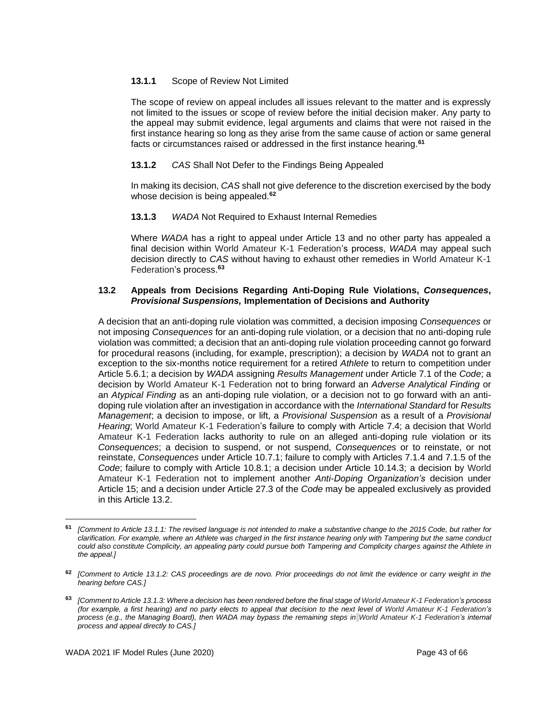## **13.1.1** Scope of Review Not Limited

The scope of review on appeal includes all issues relevant to the matter and is expressly not limited to the issues or scope of review before the initial decision maker. Any party to the appeal may submit evidence, legal arguments and claims that were not raised in the first instance hearing so long as they arise from the same cause of action or same general facts or circumstances raised or addressed in the first instance hearing.**<sup>61</sup>**

## **13.1.2** *CAS* Shall Not Defer to the Findings Being Appealed

In making its decision, *CAS* shall not give deference to the discretion exercised by the body whose decision is being appealed.**<sup>62</sup>**

## **13.1.3** *WADA* Not Required to Exhaust Internal Remedies

Where *WADA* has a right to appeal under Article 13 and no other party has appealed a final decision within World Amateur K-1 Federation's process, *WADA* may appeal such decision directly to *CAS* without having to exhaust other remedies in World Amateur K-1 Federation's process.**<sup>63</sup>**

## **13.2 Appeals from Decisions Regarding Anti-Doping Rule Violations,** *Consequences***,**  *Provisional Suspensions,* **Implementation of Decisions and Authority**

A decision that an anti-doping rule violation was committed, a decision imposing *Consequences* or not imposing *Consequences* for an anti-doping rule violation, or a decision that no anti-doping rule violation was committed; a decision that an anti-doping rule violation proceeding cannot go forward for procedural reasons (including, for example, prescription); a decision by *WADA* not to grant an exception to the six-months notice requirement for a retired *Athlete* to return to competition under Article 5.6.1; a decision by *WADA* assigning *Results Management* under Article 7.1 of the *Code*; a decision by World Amateur K-1 Federation not to bring forward an *Adverse Analytical Finding* or an *Atypical Finding* as an anti-doping rule violation, or a decision not to go forward with an antidoping rule violation after an investigation in accordance with the *International Standard* for *Results Management*; a decision to impose, or lift, a *Provisional Suspension* as a result of a *Provisional Hearing*; World Amateur K-1 Federation's failure to comply with Article 7.4; a decision that World Amateur K-1 Federation lacks authority to rule on an alleged anti-doping rule violation or its *Consequences*; a decision to suspend, or not suspend, *Consequences* or to reinstate, or not reinstate, *Consequences* under Article 10.7.1; failure to comply with Articles 7.1.4 and 7.1.5 of the *Code*; failure to comply with Article 10.8.1; a decision under Article 10.14.3; a decision by World Amateur K-1 Federation not to implement another *Anti-Doping Organization's* decision under Article 15; and a decision under Article 27.3 of the *Code* may be appealed exclusively as provided in this Article 13.2.

**<sup>61</sup>** *[Comment to Article 13.1.1: The revised language is not intended to make a substantive change to the 2015 Code, but rather for clarification. For example, where an Athlete was charged in the first instance hearing only with Tampering but the same conduct could also constitute Complicity, an appealing party could pursue both Tampering and Complicity charges against the Athlete in the appeal.]*

**<sup>62</sup>** *[Comment to Article 13.1.2: CAS proceedings are de novo. Prior proceedings do not limit the evidence or carry weight in the hearing before CAS.]*

**<sup>63</sup>** *[Comment to Article 13.1.3: Where a decision has been rendered before the final stage of World Amateur K-1 Federation's process (for example, a first hearing) and no party elects to appeal that decision to the next level of World Amateur K-1 Federation's process (e.g., the Managing Board), then WADA may bypass the remaining steps in World Amateur K-1 Federation's internal process and appeal directly to CAS.]*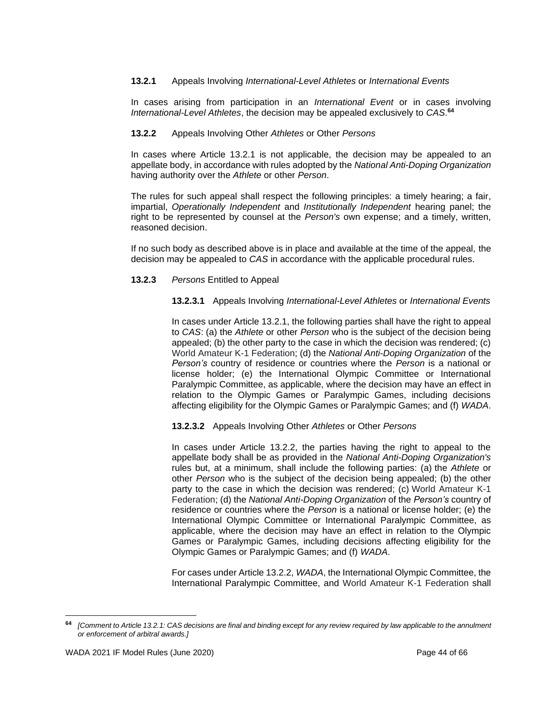## **13.2.1** Appeals Involving *International-Level Athletes* or *International Events*

In cases arising from participation in an *International Event* or in cases involving *International-Level Athletes*, the decision may be appealed exclusively to *CAS*. **64**

## **13.2.2** Appeals Involving Other *Athletes* or Other *Persons*

In cases where Article 13.2.1 is not applicable, the decision may be appealed to an appellate body, in accordance with rules adopted by the *National Anti-Doping Organization* having authority over the *Athlete* or other *Person*.

The rules for such appeal shall respect the following principles: a timely hearing; a fair, impartial, *Operationally Independent* and *Institutionally Independent* hearing panel; the right to be represented by counsel at the *Person's* own expense; and a timely, written, reasoned decision.

If no such body as described above is in place and available at the time of the appeal, the decision may be appealed to *CAS* in accordance with the applicable procedural rules.

## **13.2.3** *Persons* Entitled to Appeal

**13.2.3.1** Appeals Involving *International-Level Athletes* or *International Events*

In cases under Article 13.2.1, the following parties shall have the right to appeal to *CAS*: (a) the *Athlete* or other *Person* who is the subject of the decision being appealed; (b) the other party to the case in which the decision was rendered; (c) World Amateur K-1 Federation; (d) the *National Anti-Doping Organization* of the *Person's* country of residence or countries where the *Person* is a national or license holder; (e) the International Olympic Committee or International Paralympic Committee, as applicable, where the decision may have an effect in relation to the Olympic Games or Paralympic Games, including decisions affecting eligibility for the Olympic Games or Paralympic Games; and (f) *WADA*.

**13.2.3.2** Appeals Involving Other *Athletes* or Other *Persons*

In cases under Article 13.2.2, the parties having the right to appeal to the appellate body shall be as provided in the *National Anti-Doping Organization's* rules but, at a minimum, shall include the following parties: (a) the *Athlete* or other *Person* who is the subject of the decision being appealed; (b) the other party to the case in which the decision was rendered; (c) World Amateur K-1 Federation; (d) the *National Anti-Doping Organization* of the *Person's* country of residence or countries where the *Person* is a national or license holder; (e) the International Olympic Committee or International Paralympic Committee, as applicable, where the decision may have an effect in relation to the Olympic Games or Paralympic Games, including decisions affecting eligibility for the Olympic Games or Paralympic Games; and (f) *WADA*.

For cases under Article 13.2.2, *WADA*, the International Olympic Committee, the International Paralympic Committee, and World Amateur K-1 Federation shall

**<sup>64</sup>** *[Comment to Article 13.2.1: CAS decisions are final and binding except for any review required by law applicable to the annulment or enforcement of arbitral awards.]*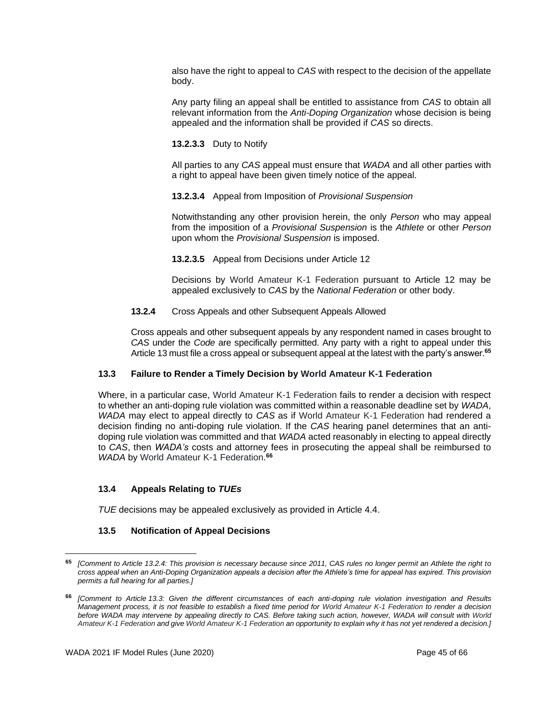also have the right to appeal to *CAS* with respect to the decision of the appellate body.

Any party filing an appeal shall be entitled to assistance from *CAS* to obtain all relevant information from the *Anti-Doping Organization* whose decision is being appealed and the information shall be provided if *CAS* so directs.

**13.2.3.3** Duty to Notify

All parties to any *CAS* appeal must ensure that *WADA* and all other parties with a right to appeal have been given timely notice of the appeal.

## **13.2.3.4** Appeal from Imposition of *Provisional Suspension*

Notwithstanding any other provision herein, the only *Person* who may appeal from the imposition of a *Provisional Suspension* is the *Athlete* or other *Person* upon whom the *Provisional Suspension* is imposed.

**13.2.3.5** Appeal from Decisions under Article 12

Decisions by World Amateur K-1 Federation pursuant to Article 12 may be appealed exclusively to *CAS* by the *National Federation* or other body.

## **13.2.4** Cross Appeals and other Subsequent Appeals Allowed

Cross appeals and other subsequent appeals by any respondent named in cases brought to *CAS* under the *Code* are specifically permitted. Any party with a right to appeal under this Article 13 must file a cross appeal or subsequent appeal at the latest with the party's answer.**<sup>65</sup>**

## **13.3 Failure to Render a Timely Decision by World Amateur K-1 Federation**

Where, in a particular case, World Amateur K-1 Federation fails to render a decision with respect to whether an anti-doping rule violation was committed within a reasonable deadline set by *WADA*, *WADA* may elect to appeal directly to *CAS* as if World Amateur K-1 Federation had rendered a decision finding no anti-doping rule violation. If the *CAS* hearing panel determines that an antidoping rule violation was committed and that *WADA* acted reasonably in electing to appeal directly to *CAS*, then *WADA's* costs and attorney fees in prosecuting the appeal shall be reimbursed to *WADA* by World Amateur K-1 Federation. **66**

## **13.4 Appeals Relating to** *TUEs*

*TUE* decisions may be appealed exclusively as provided in Article 4.4.

## **13.5 Notification of Appeal Decisions**

**<sup>65</sup>** *[Comment to Article 13.2.4: This provision is necessary because since 2011, CAS rules no longer permit an Athlete the right to cross appeal when an Anti-Doping Organization appeals a decision after the Athlete's time for appeal has expired. This provision permits a full hearing for all parties.]*

**<sup>66</sup>** *[Comment to Article 13.3: Given the different circumstances of each anti-doping rule violation investigation and Results Management process, it is not feasible to establish a fixed time period for World Amateur K-1 Federation to render a decision before WADA may intervene by appealing directly to CAS. Before taking such action, however, WADA will consult with World Amateur K-1 Federation and give World Amateur K-1 Federation an opportunity to explain why it has not yet rendered a decision.]*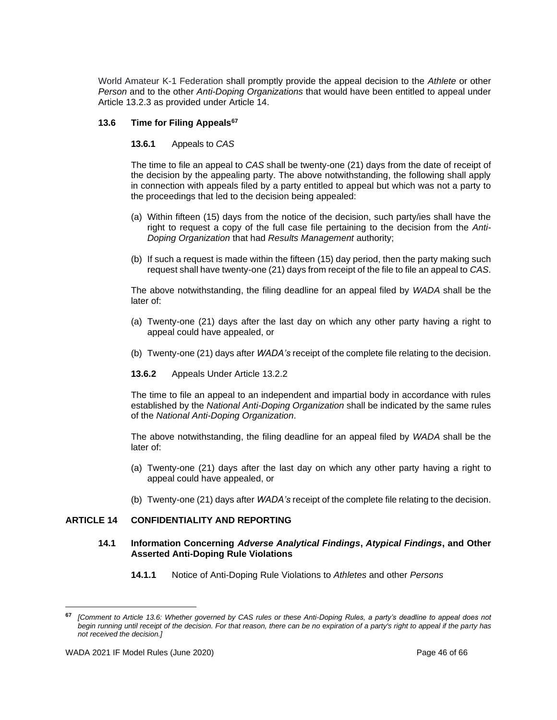World Amateur K-1 Federation shall promptly provide the appeal decision to the *Athlete* or other *Person* and to the other *Anti-Doping Organizations* that would have been entitled to appeal under Article 13.2.3 as provided under Article 14.

#### **13.6 Time for Filing Appeals<sup>67</sup>**

#### **13.6.1** Appeals to *CAS*

The time to file an appeal to *CAS* shall be twenty-one (21) days from the date of receipt of the decision by the appealing party. The above notwithstanding, the following shall apply in connection with appeals filed by a party entitled to appeal but which was not a party to the proceedings that led to the decision being appealed:

- (a) Within fifteen (15) days from the notice of the decision, such party/ies shall have the right to request a copy of the full case file pertaining to the decision from the *Anti-Doping Organization* that had *Results Management* authority;
- (b) If such a request is made within the fifteen (15) day period, then the party making such request shall have twenty-one (21) days from receipt of the file to file an appeal to *CAS*.

The above notwithstanding, the filing deadline for an appeal filed by *WADA* shall be the later of:

- (a) Twenty-one (21) days after the last day on which any other party having a right to appeal could have appealed, or
- (b) Twenty-one (21) days after *WADA's* receipt of the complete file relating to the decision.
- **13.6.2** Appeals Under Article 13.2.2

The time to file an appeal to an independent and impartial body in accordance with rules established by the *National Anti-Doping Organization* shall be indicated by the same rules of the *National Anti-Doping Organization*.

The above notwithstanding, the filing deadline for an appeal filed by *WADA* shall be the later of:

- (a) Twenty-one (21) days after the last day on which any other party having a right to appeal could have appealed, or
- (b) Twenty-one (21) days after *WADA's* receipt of the complete file relating to the decision.

## <span id="page-45-0"></span>**ARTICLE 14 CONFIDENTIALITY AND REPORTING**

#### **14.1 Information Concerning** *Adverse Analytical Findings***,** *Atypical Findings***, and Other Asserted Anti-Doping Rule Violations**

**14.1.1** Notice of Anti-Doping Rule Violations to *Athletes* and other *Persons*

**<sup>67</sup>** *[Comment to Article 13.6: Whether governed by CAS rules or these Anti-Doping Rules, a party's deadline to appeal does not begin running until receipt of the decision. For that reason, there can be no expiration of a party's right to appeal if the party has not received the decision.]*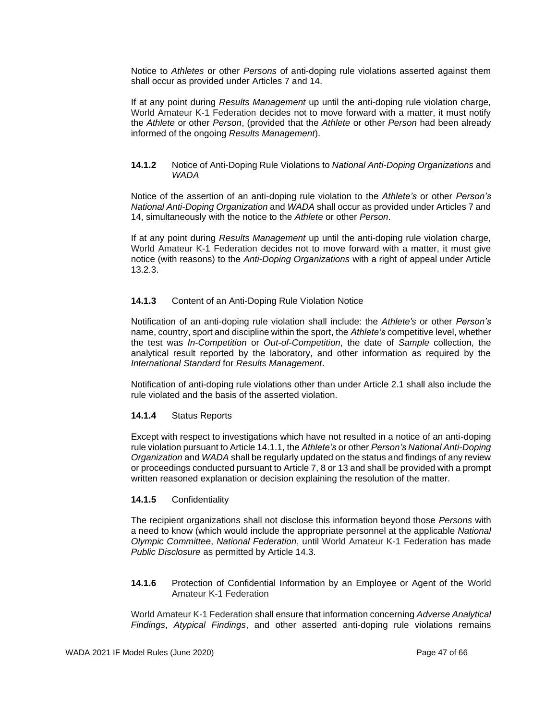Notice to *Athletes* or other *Persons* of anti-doping rule violations asserted against them shall occur as provided under Articles 7 and 14.

If at any point during *Results Management* up until the anti-doping rule violation charge, World Amateur K-1 Federation decides not to move forward with a matter, it must notify the *Athlete* or other *Person*, (provided that the *Athlete* or other *Person* had been already informed of the ongoing *Results Management*).

#### **14.1.2** Notice of Anti-Doping Rule Violations to *National Anti-Doping Organizations* and *WADA*

Notice of the assertion of an anti-doping rule violation to the *Athlete's* or other *Person's National Anti-Doping Organization* and *WADA* shall occur as provided under Articles 7 and 14, simultaneously with the notice to the *Athlete* or other *Person*.

If at any point during *Results Management* up until the anti-doping rule violation charge, World Amateur K-1 Federation decides not to move forward with a matter, it must give notice (with reasons) to the *Anti-Doping Organizations* with a right of appeal under Article 13.2.3.

#### **14.1.3** Content of an Anti-Doping Rule Violation Notice

Notification of an anti-doping rule violation shall include: the *Athlete's* or other *Person's* name, country, sport and discipline within the sport, the *Athlete's* competitive level, whether the test was *In-Competition* or *Out-of-Competition*, the date of *Sample* collection, the analytical result reported by the laboratory, and other information as required by the *International Standard* for *Results Management*.

Notification of anti-doping rule violations other than under Article 2.1 shall also include the rule violated and the basis of the asserted violation.

## **14.1.4** Status Reports

Except with respect to investigations which have not resulted in a notice of an anti-doping rule violation pursuant to Article 14.1.1, the *Athlete's* or other *Person's National Anti-Doping Organization* and *WADA* shall be regularly updated on the status and findings of any review or proceedings conducted pursuant to Article 7, 8 or 13 and shall be provided with a prompt written reasoned explanation or decision explaining the resolution of the matter.

#### **14.1.5** Confidentiality

The recipient organizations shall not disclose this information beyond those *Persons* with a need to know (which would include the appropriate personnel at the applicable *National Olympic Committee*, *National Federation*, until World Amateur K-1 Federation has made *Public Disclosure* as permitted by Article 14.3.

**14.1.6** Protection of Confidential Information by an Employee or Agent of the World Amateur K-1 Federation

World Amateur K-1 Federation shall ensure that information concerning *Adverse Analytical Findings*, *Atypical Findings*, and other asserted anti-doping rule violations remains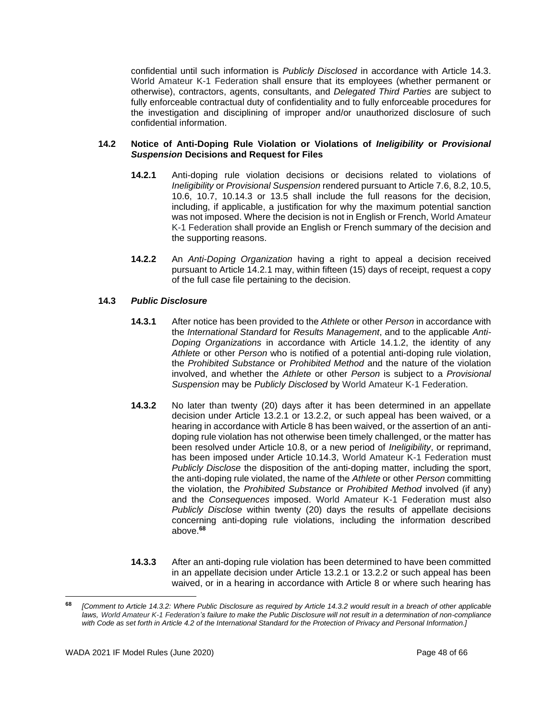confidential until such information is *Publicly Disclosed* in accordance with Article 14.3. World Amateur K-1 Federation shall ensure that its employees (whether permanent or otherwise), contractors, agents, consultants, and *Delegated Third Parties* are subject to fully enforceable contractual duty of confidentiality and to fully enforceable procedures for the investigation and disciplining of improper and/or unauthorized disclosure of such confidential information.

#### **14.2 Notice of Anti-Doping Rule Violation or Violations of** *Ineligibility* **or** *Provisional Suspension* **Decisions and Request for Files**

- **14.2.1** Anti-doping rule violation decisions or decisions related to violations of *Ineligibility* or *Provisional Suspension* rendered pursuant to Article 7.6, 8.2, 10.5, 10.6, 10.7, 10.14.3 or 13.5 shall include the full reasons for the decision, including, if applicable, a justification for why the maximum potential sanction was not imposed. Where the decision is not in English or French, World Amateur K-1 Federation shall provide an English or French summary of the decision and the supporting reasons.
- **14.2.2** An *Anti-Doping Organization* having a right to appeal a decision received pursuant to Article 14.2.1 may, within fifteen (15) days of receipt, request a copy of the full case file pertaining to the decision.

## **14.3** *Public Disclosure*

- **14.3.1** After notice has been provided to the *Athlete* or other *Person* in accordance with the *International Standard* for *Results Management*, and to the applicable *Anti-Doping Organizations* in accordance with Article 14.1.2, the identity of any *Athlete* or other *Person* who is notified of a potential anti-doping rule violation, the *Prohibited Substance* or *Prohibited Method* and the nature of the violation involved, and whether the *Athlete* or other *Person* is subject to a *Provisional Suspension* may be *Publicly Disclosed* by World Amateur K-1 Federation.
- **14.3.2** No later than twenty (20) days after it has been determined in an appellate decision under Article 13.2.1 or 13.2.2, or such appeal has been waived, or a hearing in accordance with Article 8 has been waived, or the assertion of an antidoping rule violation has not otherwise been timely challenged, or the matter has been resolved under Article 10.8, or a new period of *Ineligibility*, or reprimand, has been imposed under Article 10.14.3, World Amateur K-1 Federation must *Publicly Disclose* the disposition of the anti-doping matter, including the sport, the anti-doping rule violated, the name of the *Athlete* or other *Person* committing the violation, the *Prohibited Substance* or *Prohibited Method* involved (if any) and the *Consequences* imposed. World Amateur K-1 Federation must also *Publicly Disclose* within twenty (20) days the results of appellate decisions concerning anti-doping rule violations, including the information described above. **68**
- **14.3.3** After an anti-doping rule violation has been determined to have been committed in an appellate decision under Article 13.2.1 or 13.2.2 or such appeal has been waived, or in a hearing in accordance with Article 8 or where such hearing has

**<sup>68</sup>** *[Comment to Article 14.3.2: Where Public Disclosure as required by Article 14.3.2 would result in a breach of other applicable laws, World Amateur K-1 Federation's failure to make the Public Disclosure will not result in a determination of non-compliance with Code as set forth in Article 4.2 of the International Standard for the Protection of Privacy and Personal Information.]*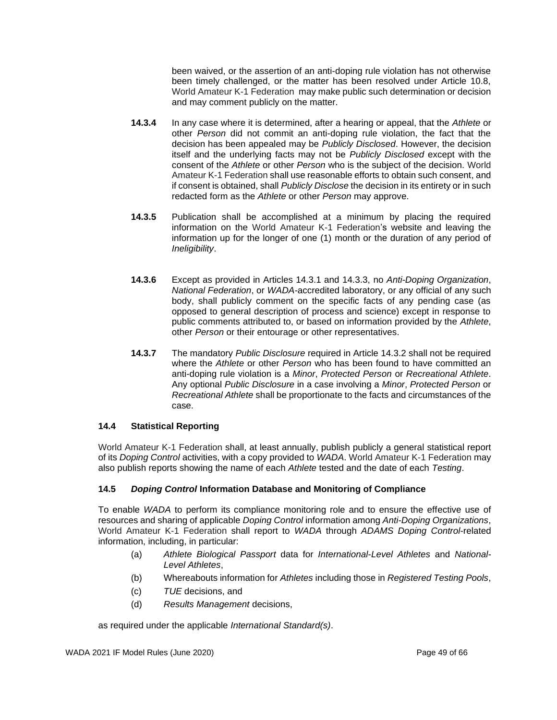been waived, or the assertion of an anti-doping rule violation has not otherwise been timely challenged, or the matter has been resolved under Article 10.8, World Amateur K-1 Federation may make public such determination or decision and may comment publicly on the matter.

- **14.3.4** In any case where it is determined, after a hearing or appeal, that the *Athlete* or other *Person* did not commit an anti-doping rule violation, the fact that the decision has been appealed may be *Publicly Disclosed*. However, the decision itself and the underlying facts may not be *Publicly Disclosed* except with the consent of the *Athlete* or other *Person* who is the subject of the decision. World Amateur K-1 Federation shall use reasonable efforts to obtain such consent, and if consent is obtained, shall *Publicly Disclose* the decision in its entirety or in such redacted form as the *Athlete* or other *Person* may approve.
- **14.3.5** Publication shall be accomplished at a minimum by placing the required information on the World Amateur K-1 Federation's website and leaving the information up for the longer of one (1) month or the duration of any period of *Ineligibility*.
- **14.3.6** Except as provided in Articles 14.3.1 and 14.3.3, no *Anti-Doping Organization*, *National Federation*, or *WADA-*accredited laboratory, or any official of any such body, shall publicly comment on the specific facts of any pending case (as opposed to general description of process and science) except in response to public comments attributed to, or based on information provided by the *Athlete*, other *Person* or their entourage or other representatives.
- **14.3.7** The mandatory *Public Disclosure* required in Article 14.3.2 shall not be required where the *Athlete* or other *Person* who has been found to have committed an anti-doping rule violation is a *Minor*, *Protected Person* or *Recreational Athlete*. Any optional *Public Disclosure* in a case involving a *Minor*, *Protected Person* or *Recreational Athlete* shall be proportionate to the facts and circumstances of the case.

## **14.4 Statistical Reporting**

World Amateur K-1 Federation shall, at least annually, publish publicly a general statistical report of its *Doping Control* activities, with a copy provided to *WADA*. World Amateur K-1 Federation may also publish reports showing the name of each *Athlete* tested and the date of each *Testing*.

#### **14.5** *Doping Control* **Information Database and Monitoring of Compliance**

To enable *WADA* to perform its compliance monitoring role and to ensure the effective use of resources and sharing of applicable *Doping Control* information among *Anti-Doping Organizations*, World Amateur K-1 Federation shall report to *WADA* through *ADAMS Doping Control*-related information, including, in particular:

- (a) *Athlete Biological Passport* data for *International-Level Athletes* and *National-Level Athletes*,
- (b) Whereabouts information for *Athletes* including those in *Registered Testing Pools*,
- (c) *TUE* decisions, and
- (d) *Results Management* decisions,

as required under the applicable *International Standard(s)*.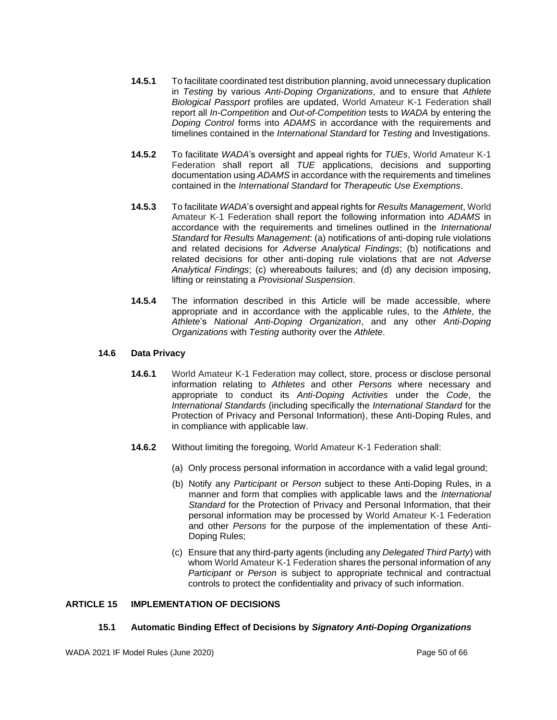- **14.5.1** To facilitate coordinated test distribution planning, avoid unnecessary duplication in *Testing* by various *Anti-Doping Organizations*, and to ensure that *Athlete Biological Passport* profiles are updated, World Amateur K-1 Federation shall report all *In-Competition* and *Out-of-Competition* tests to *WADA* by entering the *Doping Control* forms into *ADAMS* in accordance with the requirements and timelines contained in the *International Standard* for *Testing* and Investigations.
- **14.5.2** To facilitate *WADA*'s oversight and appeal rights for *TUEs*, World Amateur K-1 Federation shall report all *TUE* applications, decisions and supporting documentation using *ADAMS* in accordance with the requirements and timelines contained in the *International Standard* for *Therapeutic Use Exemptions*.
- **14.5.3** To facilitate *WADA*'s oversight and appeal rights for *Results Management*, World Amateur K-1 Federation shall report the following information into *ADAMS* in accordance with the requirements and timelines outlined in the *International Standard* for *Results Management*: (a) notifications of anti-doping rule violations and related decisions for *Adverse Analytical Findings*; (b) notifications and related decisions for other anti-doping rule violations that are not *Adverse Analytical Findings*; (c) whereabouts failures; and (d) any decision imposing, lifting or reinstating a *Provisional Suspension*.
- **14.5.4** The information described in this Article will be made accessible, where appropriate and in accordance with the applicable rules, to the *Athlete*, the *Athlete*'s *National Anti-Doping Organization*, and any other *Anti-Doping Organizations* with *Testing* authority over the *Athlete*.

## **14.6 Data Privacy**

- **14.6.1** World Amateur K-1 Federation may collect, store, process or disclose personal information relating to *Athletes* and other *Persons* where necessary and appropriate to conduct its *Anti-Doping Activities* under the *Code*, the *International Standards* (including specifically the *International Standard* for the Protection of Privacy and Personal Information), these Anti-Doping Rules, and in compliance with applicable law.
- **14.6.2** Without limiting the foregoing, World Amateur K-1 Federation shall:
	- (a) Only process personal information in accordance with a valid legal ground;
	- (b) Notify any *Participant* or *Person* subject to these Anti-Doping Rules, in a manner and form that complies with applicable laws and the *International Standard* for the Protection of Privacy and Personal Information, that their personal information may be processed by World Amateur K-1 Federation and other *Persons* for the purpose of the implementation of these Anti-Doping Rules;
	- (c) Ensure that any third-party agents (including any *Delegated Third Party*) with whom World Amateur K-1 Federation shares the personal information of any *Participant* or *Person* is subject to appropriate technical and contractual controls to protect the confidentiality and privacy of such information.

#### <span id="page-49-0"></span>**ARTICLE 15 IMPLEMENTATION OF DECISIONS**

#### **15.1 Automatic Binding Effect of Decisions by** *Signatory Anti-Doping Organizations*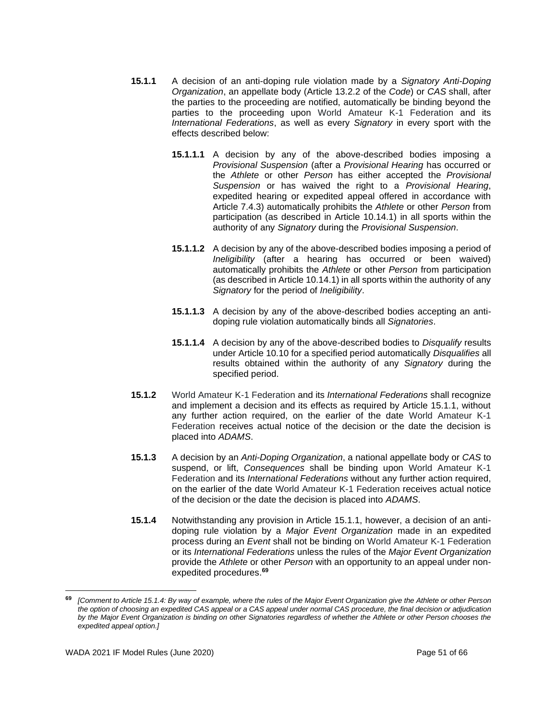- **15.1.1** A decision of an anti-doping rule violation made by a *Signatory Anti-Doping Organization*, an appellate body (Article 13.2.2 of the *Code*) or *CAS* shall, after the parties to the proceeding are notified, automatically be binding beyond the parties to the proceeding upon World Amateur K-1 Federation and its *International Federations*, as well as every *Signatory* in every sport with the effects described below:
	- **15.1.1.1** A decision by any of the above-described bodies imposing a *Provisional Suspension* (after a *Provisional Hearing* has occurred or the *Athlete* or other *Person* has either accepted the *Provisional Suspension* or has waived the right to a *Provisional Hearing*, expedited hearing or expedited appeal offered in accordance with Article 7.4.3) automatically prohibits the *Athlete* or other *Person* from participation (as described in Article 10.14.1) in all sports within the authority of any *Signatory* during the *Provisional Suspension*.
	- **15.1.1.2** A decision by any of the above-described bodies imposing a period of *Ineligibility* (after a hearing has occurred or been waived) automatically prohibits the *Athlete* or other *Person* from participation (as described in Article 10.14.1) in all sports within the authority of any *Signatory* for the period of *Ineligibility*.
	- **15.1.1.3** A decision by any of the above-described bodies accepting an antidoping rule violation automatically binds all *Signatories*.
	- **15.1.1.4** A decision by any of the above-described bodies to *Disqualify* results under Article 10.10 for a specified period automatically *Disqualifies* all results obtained within the authority of any *Signatory* during the specified period.
- **15.1.2** World Amateur K-1 Federation and its *International Federations* shall recognize and implement a decision and its effects as required by Article 15.1.1, without any further action required, on the earlier of the date World Amateur K-1 Federation receives actual notice of the decision or the date the decision is placed into *ADAMS*.
- **15.1.3** A decision by an *Anti-Doping Organization*, a national appellate body or *CAS* to suspend, or lift, *Consequences* shall be binding upon World Amateur K-1 Federation and its *International Federations* without any further action required, on the earlier of the date World Amateur K-1 Federation receives actual notice of the decision or the date the decision is placed into *ADAMS*.
- **15.1.4** Notwithstanding any provision in Article 15.1.1, however, a decision of an antidoping rule violation by a *Major Event Organization* made in an expedited process during an *Event* shall not be binding on World Amateur K-1 Federation or its *International Federations* unless the rules of the *Major Event Organization* provide the *Athlete* or other *Person* with an opportunity to an appeal under nonexpedited procedures. **69**

**<sup>69</sup>** *[Comment to Article 15.1.4: By way of example, where the rules of the Major Event Organization give the Athlete or other Person the option of choosing an expedited CAS appeal or a CAS appeal under normal CAS procedure, the final decision or adjudication by the Major Event Organization is binding on other Signatories regardless of whether the Athlete or other Person chooses the expedited appeal option.]*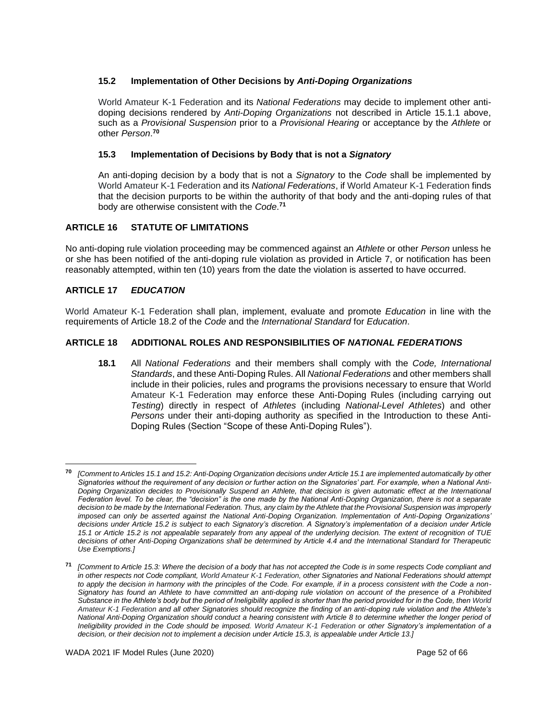## **15.2 Implementation of Other Decisions by** *Anti-Doping Organizations*

World Amateur K-1 Federation and its *National Federations* may decide to implement other antidoping decisions rendered by *Anti-Doping Organizations* not described in Article 15.1.1 above, such as a *Provisional Suspension* prior to a *Provisional Hearing* or acceptance by the *Athlete* or other *Person*. **70**

# **15.3 Implementation of Decisions by Body that is not a** *Signatory*

An anti-doping decision by a body that is not a *Signatory* to the *Code* shall be implemented by World Amateur K-1 Federation and its *National Federations*, if World Amateur K-1 Federation finds that the decision purports to be within the authority of that body and the anti-doping rules of that body are otherwise consistent with the *Code*. **71**

# <span id="page-51-0"></span>**ARTICLE 16 STATUTE OF LIMITATIONS**

No anti-doping rule violation proceeding may be commenced against an *Athlete* or other *Person* unless he or she has been notified of the anti-doping rule violation as provided in Article 7, or notification has been reasonably attempted, within ten (10) years from the date the violation is asserted to have occurred.

# <span id="page-51-1"></span>**ARTICLE 17** *EDUCATION*

World Amateur K-1 Federation shall plan, implement, evaluate and promote *Education* in line with the requirements of Article 18.2 of the *Code* and the *International Standard* for *Education*.

# <span id="page-51-2"></span>**ARTICLE 18 ADDITIONAL ROLES AND RESPONSIBILITIES OF** *NATIONAL FEDERATIONS*

**18.1** All *National Federations* and their members shall comply with the *Code, International Standards*, and these Anti-Doping Rules. All *National Federations* and other members shall include in their policies, rules and programs the provisions necessary to ensure that World Amateur K-1 Federation may enforce these Anti-Doping Rules (including carrying out *Testing*) directly in respect of *Athletes* (including *National-Level Athletes*) and other *Persons* under their anti-doping authority as specified in the Introduction to these Anti-Doping Rules (Section "Scope of these Anti-Doping Rules").

**<sup>70</sup>** *[Comment to Articles 15.1 and 15.2: Anti-Doping Organization decisions under Article 15.1 are implemented automatically by other Signatories without the requirement of any decision or further action on the Signatories' part. For example, when a National Anti-Doping Organization decides to Provisionally Suspend an Athlete, that decision is given automatic effect at the International Federation level. To be clear, the "decision" is the one made by the National Anti-Doping Organization, there is not a separate decision to be made by the International Federation. Thus, any claim by the Athlete that the Provisional Suspension was improperly imposed can only be asserted against the National Anti-Doping Organization. Implementation of Anti-Doping Organizations' decisions under Article 15.2 is subject to each Signatory's discretion. A Signatory's implementation of a decision under Article 15.1 or Article 15.2 is not appealable separately from any appeal of the underlying decision. The extent of recognition of TUE decisions of other Anti-Doping Organizations shall be determined by Article 4.4 and the International Standard for Therapeutic Use Exemptions.]* 

**<sup>71</sup>** *[Comment to Article 15.3: Where the decision of a body that has not accepted the Code is in some respects Code compliant and in other respects not Code compliant, World Amateur K-1 Federation, other Signatories and National Federations should attempt to apply the decision in harmony with the principles of the Code. For example, if in a process consistent with the Code a non-Signatory has found an Athlete to have committed an anti-doping rule violation on account of the presence of a Prohibited Substance in the Athlete's body but the period of Ineligibility applied is shorter than the period provided for in the Code, then World Amateur K-1 Federation and all other Signatories should recognize the finding of an anti-doping rule violation and the Athlete's National Anti-Doping Organization should conduct a hearing consistent with Article 8 to determine whether the longer period of Ineligibility provided in the Code should be imposed. World Amateur K-1 Federation or other Signatory's implementation of a decision, or their decision not to implement a decision under Article 15.3, is appealable under Article 13.]*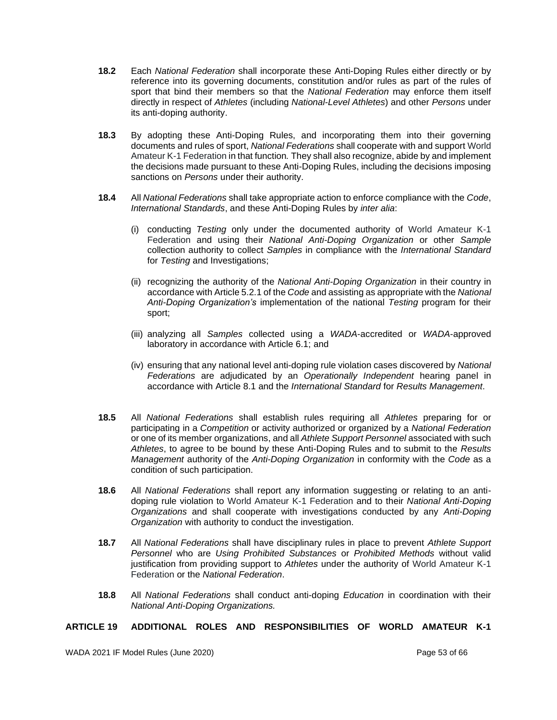- **18.2** Each *National Federation* shall incorporate these Anti-Doping Rules either directly or by reference into its governing documents, constitution and/or rules as part of the rules of sport that bind their members so that the *National Federation* may enforce them itself directly in respect of *Athletes* (including *National-Level Athletes*) and other *Persons* under its anti-doping authority.
- **18.3** By adopting these Anti-Doping Rules, and incorporating them into their governing documents and rules of sport, *National Federations* shall cooperate with and support World Amateur K-1 Federation in that function*.* They shall also recognize, abide by and implement the decisions made pursuant to these Anti-Doping Rules, including the decisions imposing sanctions on *Persons* under their authority.
- **18.4** All *National Federations* shall take appropriate action to enforce compliance with the *Code*, *International Standards*, and these Anti-Doping Rules by *inter alia*:
	- (i) conducting *Testing* only under the documented authority of World Amateur K-1 Federation and using their *National Anti-Doping Organization* or other *Sample*  collection authority to collect *Samples* in compliance with the *International Standard* for *Testing* and Investigations;
	- (ii) recognizing the authority of the *National Anti-Doping Organization* in their country in accordance with Article 5.2.1 of the *Code* and assisting as appropriate with the *National Anti-Doping Organization's* implementation of the national *Testing* program for their sport;
	- (iii) analyzing all *Samples* collected using a *WADA*-accredited or *WADA*-approved laboratory in accordance with Article 6.1; and
	- (iv) ensuring that any national level anti-doping rule violation cases discovered by *National Federations* are adjudicated by an *Operationally Independent* hearing panel in accordance with Article 8.1 and the *International Standard* for *Results Management*.
- **18.5** All *National Federations* shall establish rules requiring all *Athletes* preparing for or participating in a *Competition* or activity authorized or organized by a *National Federation* or one of its member organizations, and all *Athlete Support Personnel* associated with such *Athletes*, to agree to be bound by these Anti-Doping Rules and to submit to the *Results Management* authority of the *Anti-Doping Organization* in conformity with the *Code* as a condition of such participation.
- **18.6** All *National Federations* shall report any information suggesting or relating to an antidoping rule violation to World Amateur K-1 Federation and to their *National Anti-Doping Organizations* and shall cooperate with investigations conducted by any *Anti-Doping Organization* with authority to conduct the investigation.
- **18.7** All *National Federations* shall have disciplinary rules in place to prevent *Athlete Support Personnel* who are *Using Prohibited Substances* or *Prohibited Methods* without valid justification from providing support to *Athletes* under the authority of World Amateur K-1 Federation or the *National Federation*.
- **18.8** All *National Federations* shall conduct anti-doping *Education* in coordination with their *National Anti-Doping Organizations.*

#### <span id="page-52-0"></span>**ARTICLE 19 ADDITIONAL ROLES AND RESPONSIBILITIES OF WORLD AMATEUR K-1**

WADA 2021 IF Model Rules (June 2020) No. 3 and 2021 1998 Page 53 of 66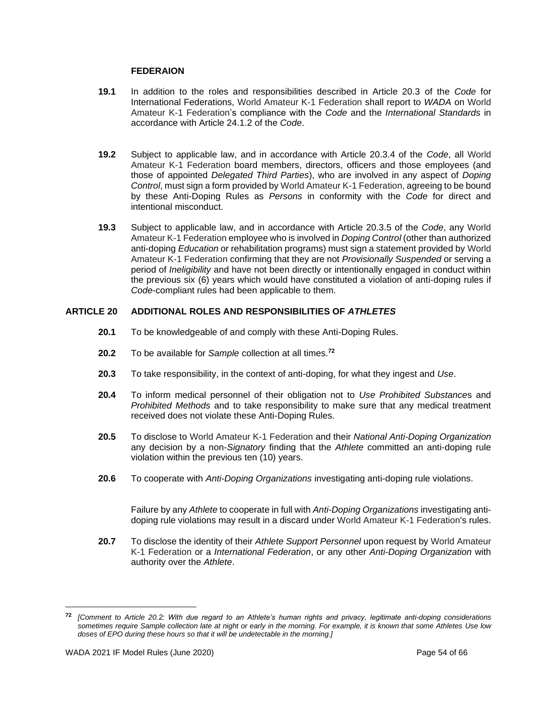#### **FEDERAION**

- **19.1** In addition to the roles and responsibilities described in Article 20.3 of the *Code* for International Federations, World Amateur K-1 Federation shall report to *WADA* on World Amateur K-1 Federation's compliance with the *Code* and the *International Standards* in accordance with Article 24.1.2 of the *Code*.
- **19.2** Subject to applicable law, and in accordance with Article 20.3.4 of the *Code*, all World Amateur K-1 Federation board members, directors, officers and those employees (and those of appointed *Delegated Third Parties*), who are involved in any aspect of *Doping Control*, must sign a form provided by World Amateur K-1 Federation, agreeing to be bound by these Anti-Doping Rules as *Persons* in conformity with the *Code* for direct and intentional misconduct.
- **19.3** Subject to applicable law, and in accordance with Article 20.3.5 of the *Code*, any World Amateur K-1 Federation employee who is involved in *Doping Control* (other than authorized anti-doping *Education* or rehabilitation programs) must sign a statement provided by World Amateur K-1 Federation confirming that they are not *Provisionally Suspended* or serving a period of *Ineligibility* and have not been directly or intentionally engaged in conduct within the previous six (6) years which would have constituted a violation of anti-doping rules if *Code*-compliant rules had been applicable to them.

## <span id="page-53-0"></span>**ARTICLE 20 ADDITIONAL ROLES AND RESPONSIBILITIES OF** *ATHLETES*

- **20.1** To be knowledgeable of and comply with these Anti-Doping Rules.
- **20.2** To be available for *Sample* collection at all times.**<sup>72</sup>**
- **20.3** To take responsibility, in the context of anti-doping, for what they ingest and *Use*.
- **20.4** To inform medical personnel of their obligation not to *Use Prohibited Substance*s and *Prohibited Methods* and to take responsibility to make sure that any medical treatment received does not violate these Anti-Doping Rules.
- **20.5** To disclose to World Amateur K-1 Federation and their *National Anti-Doping Organization* any decision by a non-*Signatory* finding that the *Athlete* committed an anti-doping rule violation within the previous ten (10) years.
- **20.6** To cooperate with *Anti-Doping Organizations* investigating anti-doping rule violations.

Failure by any *Athlete* to cooperate in full with *Anti-Doping Organizations* investigating antidoping rule violations may result in a discard under World Amateur K-1 Federation's rules.

**20.7** To disclose the identity of their *Athlete Support Personnel* upon request by World Amateur K-1 Federation or a *International Federation*, or any other *Anti-Doping Organization* with authority over the *Athlete*.

**<sup>72</sup>** *[Comment to Article 20.2: With due regard to an Athlete's human rights and privacy, legitimate anti-doping considerations sometimes require Sample collection late at night or early in the morning. For example, it is known that some Athletes Use low doses of EPO during these hours so that it will be undetectable in the morning.]*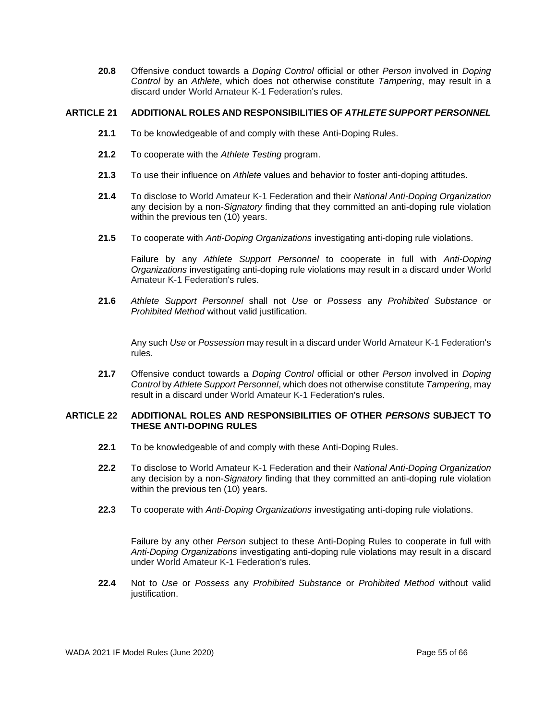**20.8** Offensive conduct towards a *Doping Control* official or other *Person* involved in *Doping Control* by an *Athlete*, which does not otherwise constitute *Tampering*, may result in a discard under World Amateur K-1 Federation's rules.

## <span id="page-54-0"></span>**ARTICLE 21 ADDITIONAL ROLES AND RESPONSIBILITIES OF** *ATHLETE SUPPORT PERSONNEL*

- **21.1** To be knowledgeable of and comply with these Anti-Doping Rules.
- **21.2** To cooperate with the *Athlete Testing* program.
- **21.3** To use their influence on *Athlete* values and behavior to foster anti-doping attitudes.
- **21.4** To disclose to World Amateur K-1 Federation and their *National Anti-Doping Organization* any decision by a non-*Signatory* finding that they committed an anti-doping rule violation within the previous ten (10) years.
- **21.5** To cooperate with *Anti-Doping Organizations* investigating anti-doping rule violations.

Failure by any *Athlete Support Personnel* to cooperate in full with *Anti-Doping Organizations* investigating anti-doping rule violations may result in a discard under World Amateur K-1 Federation's rules.

**21.6** *Athlete Support Personnel* shall not *Use* or *Possess* any *Prohibited Substance* or *Prohibited Method* without valid justification.

Any such *Use* or *Possession* may result in a discard under World Amateur K-1 Federation's rules.

**21.7** Offensive conduct towards a *Doping Control* official or other *Person* involved in *Doping Control* by *Athlete Support Personnel*, which does not otherwise constitute *Tampering*, may result in a discard under World Amateur K-1 Federation's rules.

## <span id="page-54-1"></span>**ARTICLE 22 ADDITIONAL ROLES AND RESPONSIBILITIES OF OTHER** *PERSONS* **SUBJECT TO THESE ANTI-DOPING RULES**

- **22.1** To be knowledgeable of and comply with these Anti-Doping Rules.
- **22.2** To disclose to World Amateur K-1 Federation and their *National Anti-Doping Organization* any decision by a non-*Signatory* finding that they committed an anti-doping rule violation within the previous ten (10) years.
- **22.3** To cooperate with *Anti-Doping Organizations* investigating anti-doping rule violations.

Failure by any other *Person* subject to these Anti-Doping Rules to cooperate in full with *Anti-Doping Organizations* investigating anti-doping rule violations may result in a discard under World Amateur K-1 Federation's rules.

**22.4** Not to *Use* or *Possess* any *Prohibited Substance* or *Prohibited Method* without valid justification.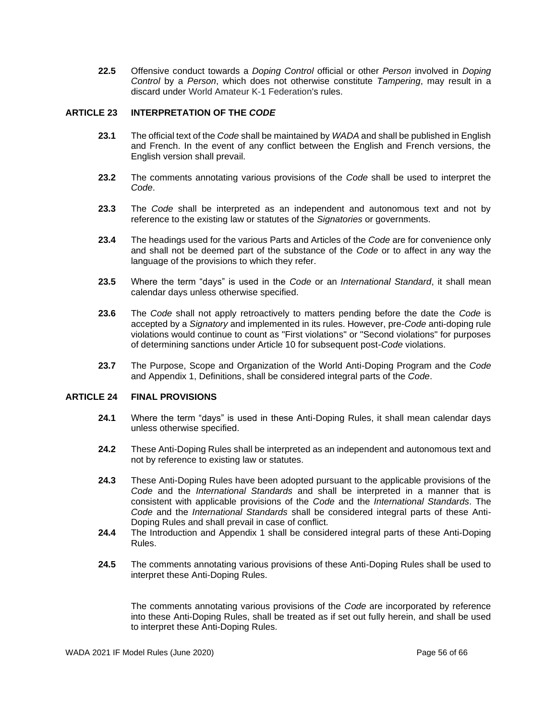**22.5** Offensive conduct towards a *Doping Control* official or other *Person* involved in *Doping Control* by a *Person*, which does not otherwise constitute *Tampering*, may result in a discard under World Amateur K-1 Federation's rules.

## <span id="page-55-0"></span>**ARTICLE 23 INTERPRETATION OF THE** *CODE*

- **23.1** The official text of the *Code* shall be maintained by *WADA* and shall be published in English and French. In the event of any conflict between the English and French versions, the English version shall prevail.
- **23.2** The comments annotating various provisions of the *Code* shall be used to interpret the *Code*.
- **23.3** The *Code* shall be interpreted as an independent and autonomous text and not by reference to the existing law or statutes of the *Signatories* or governments.
- **23.4** The headings used for the various Parts and Articles of the *Code* are for convenience only and shall not be deemed part of the substance of the *Code* or to affect in any way the language of the provisions to which they refer.
- **23.5** Where the term "days" is used in the *Code* or an *International Standard*, it shall mean calendar days unless otherwise specified.
- **23.6** The *Code* shall not apply retroactively to matters pending before the date the *Code* is accepted by a *Signatory* and implemented in its rules. However, pre-*Code* anti-doping rule violations would continue to count as "First violations" or "Second violations" for purposes of determining sanctions under Article 10 for subsequent post-*Code* violations.
- **23.7** The Purpose, Scope and Organization of the World Anti-Doping Program and the *Code*  and Appendix 1, Definitions, shall be considered integral parts of the *Code*.

## <span id="page-55-1"></span>**ARTICLE 24 FINAL PROVISIONS**

- **24.1** Where the term "days" is used in these Anti-Doping Rules, it shall mean calendar days unless otherwise specified.
- **24.2** These Anti-Doping Rules shall be interpreted as an independent and autonomous text and not by reference to existing law or statutes.
- **24.3** These Anti-Doping Rules have been adopted pursuant to the applicable provisions of the *Code* and the *International Standards* and shall be interpreted in a manner that is consistent with applicable provisions of the *Code* and the *International Standards*. The *Code* and the *International Standards* shall be considered integral parts of these Anti-Doping Rules and shall prevail in case of conflict.
- **24.4** The Introduction and Appendix 1 shall be considered integral parts of these Anti-Doping Rules.
- **24.5** The comments annotating various provisions of these Anti-Doping Rules shall be used to interpret these Anti-Doping Rules.

The comments annotating various provisions of the *Code* are incorporated by reference into these Anti-Doping Rules, shall be treated as if set out fully herein, and shall be used to interpret these Anti-Doping Rules.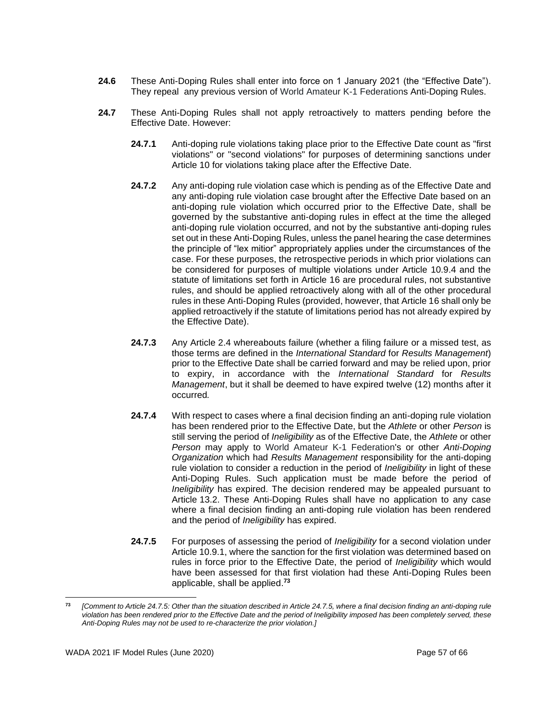- **24.6** These Anti-Doping Rules shall enter into force on 1 January 2021 (the "Effective Date"). They repeal any previous version of World Amateur K-1 Federations Anti-Doping Rules.
- **24.7** These Anti-Doping Rules shall not apply retroactively to matters pending before the Effective Date. However:
	- **24.7.1** Anti-doping rule violations taking place prior to the Effective Date count as "first violations" or "second violations" for purposes of determining sanctions under Article 10 for violations taking place after the Effective Date.
	- **24.7.2** Any anti-doping rule violation case which is pending as of the Effective Date and any anti-doping rule violation case brought after the Effective Date based on an anti-doping rule violation which occurred prior to the Effective Date, shall be governed by the substantive anti-doping rules in effect at the time the alleged anti-doping rule violation occurred, and not by the substantive anti-doping rules set out in these Anti-Doping Rules, unless the panel hearing the case determines the principle of "lex mitior" appropriately applies under the circumstances of the case. For these purposes, the retrospective periods in which prior violations can be considered for purposes of multiple violations under Article 10.9.4 and the statute of limitations set forth in Article 16 are procedural rules, not substantive rules, and should be applied retroactively along with all of the other procedural rules in these Anti-Doping Rules (provided, however, that Article 16 shall only be applied retroactively if the statute of limitations period has not already expired by the Effective Date).
	- **24.7.3** Any Article 2.4 whereabouts failure (whether a filing failure or a missed test, as those terms are defined in the *International Standard* for *Results Management*) prior to the Effective Date shall be carried forward and may be relied upon, prior to expiry, in accordance with the *International Standard* for *Results Management*, but it shall be deemed to have expired twelve (12) months after it occurred*.*
	- **24.7.4** With respect to cases where a final decision finding an anti-doping rule violation has been rendered prior to the Effective Date, but the *Athlete* or other *Person* is still serving the period of *Ineligibility* as of the Effective Date, the *Athlete* or other *Person* may apply to World Amateur K-1 Federation's or other *Anti-Doping Organization* which had *Results Management* responsibility for the anti-doping rule violation to consider a reduction in the period of *Ineligibility* in light of these Anti-Doping Rules. Such application must be made before the period of *Ineligibility* has expired. The decision rendered may be appealed pursuant to Article 13.2. These Anti-Doping Rules shall have no application to any case where a final decision finding an anti-doping rule violation has been rendered and the period of *Ineligibility* has expired.
	- **24.7.5** For purposes of assessing the period of *Ineligibility* for a second violation under Article 10.9.1, where the sanction for the first violation was determined based on rules in force prior to the Effective Date, the period of *Ineligibility* which would have been assessed for that first violation had these Anti-Doping Rules been applicable, shall be applied. **73**

**<sup>73</sup>** *[Comment to Article 24.7.5: Other than the situation described in Article 24.7.5, where a final decision finding an anti-doping rule violation has been rendered prior to the Effective Date and the period of Ineligibility imposed has been completely served, these Anti-Doping Rules may not be used to re-characterize the prior violation.]*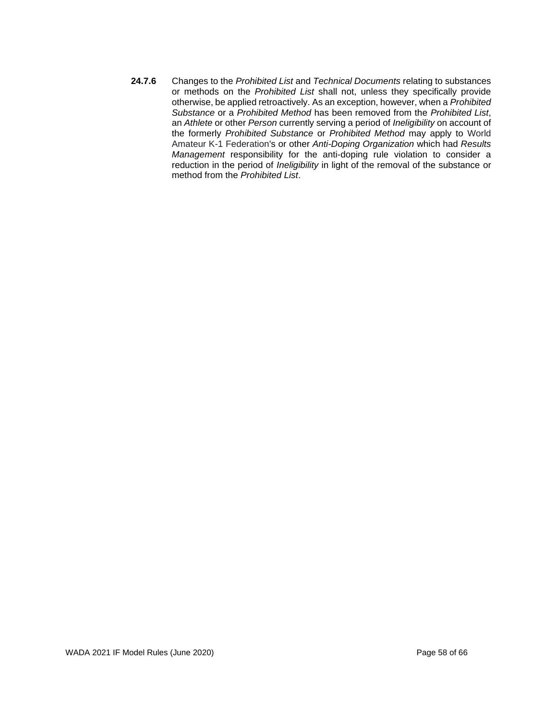**24.7.6** Changes to the *Prohibited List* and *Technical Documents* relating to substances or methods on the *Prohibited List* shall not, unless they specifically provide otherwise, be applied retroactively. As an exception, however, when a *Prohibited Substance* or a *Prohibited Method* has been removed from the *Prohibited List*, an *Athlete* or other *Person* currently serving a period of *Ineligibility* on account of the formerly *Prohibited Substance* or *Prohibited Method* may apply to World Amateur K-1 Federation's or other *Anti-Doping Organization* which had *Results Management* responsibility for the anti-doping rule violation to consider a reduction in the period of *Ineligibility* in light of the removal of the substance or method from the *Prohibited List*.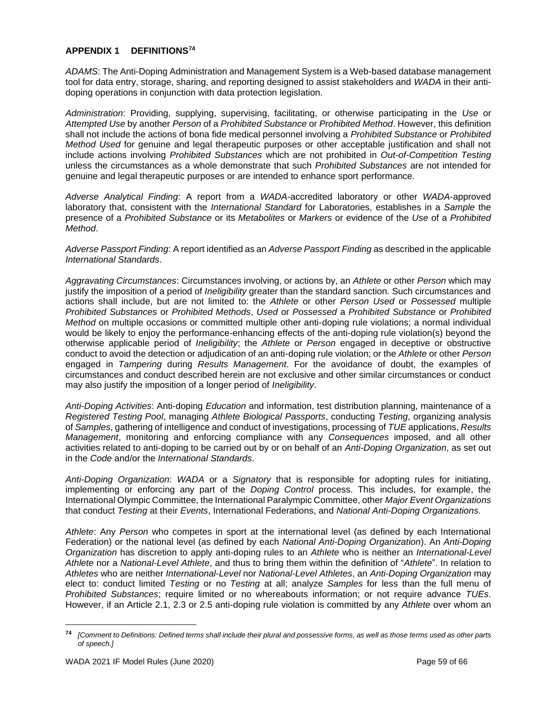## <span id="page-58-0"></span>**APPENDIX 1 DEFINITIONS<sup>74</sup>**

*ADAMS*: The Anti-Doping Administration and Management System is a Web-based database management tool for data entry, storage, sharing, and reporting designed to assist stakeholders and *WADA* in their antidoping operations in conjunction with data protection legislation.

*Administration*: Providing, supplying, supervising, facilitating, or otherwise participating in the *Use* or *Attempted Use* by another *Person* of a *Prohibited Substance* or *Prohibited Method*. However, this definition shall not include the actions of bona fide medical personnel involving a *Prohibited Substance* or *Prohibited Method Used* for genuine and legal therapeutic purposes or other acceptable justification and shall not include actions involving *Prohibited Substances* which are not prohibited in *Out-of-Competition Testing* unless the circumstances as a whole demonstrate that such *Prohibited Substances* are not intended for genuine and legal therapeutic purposes or are intended to enhance sport performance.

*Adverse Analytical Finding*: A report from a *WADA*-accredited laboratory or other *WADA*-approved laboratory that, consistent with the *International Standard* for Laboratories, establishes in a *Sample* the presence of a *Prohibited Substance* or its *Metabolites* or *Markers* or evidence of the *Use* of a *Prohibited Method*.

*Adverse Passport Finding*: A report identified as an *Adverse Passport Finding* as described in the applicable *International Standards*.

*Aggravating Circumstances*: Circumstances involving, or actions by, an *Athlete* or other *Person* which may justify the imposition of a period of *Ineligibility* greater than the standard sanction. Such circumstances and actions shall include, but are not limited to: the *Athlete* or other *Person Used* or *Possessed* multiple *Prohibited Substances* or *Prohibited Methods*, *Used* or *Possessed* a *Prohibited Substance* or *Prohibited Method* on multiple occasions or committed multiple other anti-doping rule violations; a normal individual would be likely to enjoy the performance-enhancing effects of the anti-doping rule violation(s) beyond the otherwise applicable period of *Ineligibility*; the *Athlete* or *Person* engaged in deceptive or obstructive conduct to avoid the detection or adjudication of an anti-doping rule violation; or the *Athlete* or other *Person* engaged in *Tampering* during *Results Management*. For the avoidance of doubt, the examples of circumstances and conduct described herein are not exclusive and other similar circumstances or conduct may also justify the imposition of a longer period of *Ineligibility*.

*Anti-Doping Activities*: Anti-doping *Education* and information, test distribution planning, maintenance of a *Registered Testing Pool*, managing *Athlete Biological Passports*, conducting *Testing*, organizing analysis of *Samples*, gathering of intelligence and conduct of investigations, processing of *TUE* applications, *Results Management*, monitoring and enforcing compliance with any *Consequences* imposed, and all other activities related to anti-doping to be carried out by or on behalf of an *Anti-Doping Organization*, as set out in the *Code* and/or the *International Standards*.

*Anti-Doping Organization*: *WADA* or a *Signatory* that is responsible for adopting rules for initiating, implementing or enforcing any part of the *Doping Control* process. This includes, for example, the International Olympic Committee, the International Paralympic Committee, other *Major Event Organizations* that conduct *Testing* at their *Events*, International Federations, and *National Anti-Doping Organizations.*

*Athlete*: Any *Person* who competes in sport at the international level (as defined by each International Federation) or the national level (as defined by each *National Anti-Doping Organization*). An *Anti-Doping Organization* has discretion to apply anti-doping rules to an *Athlete* who is neither an *International-Level Athlete* nor a *National-Level Athlete*, and thus to bring them within the definition of "*Athlete*". In relation to *Athletes* who are neither *International*-*Level* nor *National-Level Athletes*, an *Anti-Doping Organization* may elect to: conduct limited *Testing* or no *Testing* at all; analyze *Samples* for less than the full menu of *Prohibited Substances*; require limited or no whereabouts information; or not require advance *TUEs*. However, if an Article 2.1, 2.3 or 2.5 anti-doping rule violation is committed by any *Athlete* over whom an

**<sup>74</sup>** *[Comment to Definitions: Defined terms shall include their plural and possessive forms, as well as those terms used as other parts of speech.]*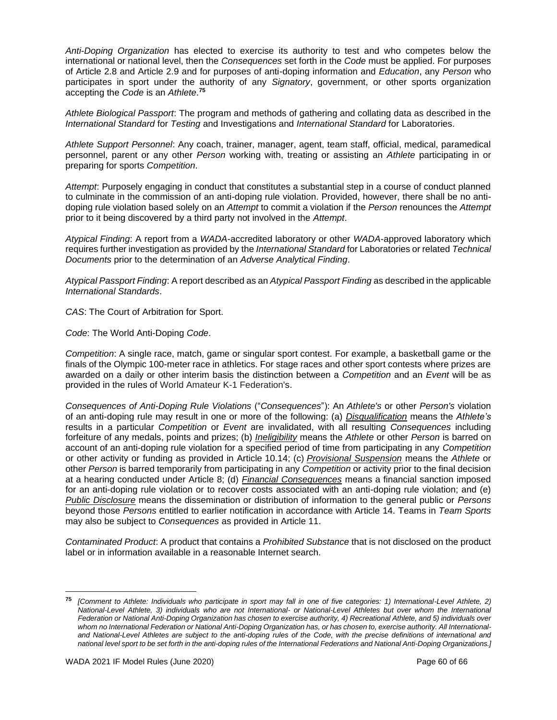*Anti-Doping Organization* has elected to exercise its authority to test and who competes below the international or national level, then the *Consequences* set forth in the *Code* must be applied. For purposes of Article 2.8 and Article 2.9 and for purposes of anti-doping information and *Education*, any *Person* who participates in sport under the authority of any *Signatory*, government, or other sports organization accepting the *Code* is an *Athlete*. **75**

*Athlete Biological Passport*: The program and methods of gathering and collating data as described in the *International Standard* for *Testing* and Investigations and *International Standard* for Laboratories.

*Athlete Support Personnel*: Any coach, trainer, manager, agent, team staff, official, medical, paramedical personnel, parent or any other *Person* working with, treating or assisting an *Athlete* participating in or preparing for sports *Competition*.

*Attempt*: Purposely engaging in conduct that constitutes a substantial step in a course of conduct planned to culminate in the commission of an anti-doping rule violation. Provided, however, there shall be no antidoping rule violation based solely on an *Attempt* to commit a violation if the *Person* renounces the *Attempt* prior to it being discovered by a third party not involved in the *Attempt*.

*Atypical Finding*: A report from a *WADA*-accredited laboratory or other *WADA*-approved laboratory which requires further investigation as provided by the *International Standard* for Laboratories or related *Technical Documents* prior to the determination of an *Adverse Analytical Finding*.

*Atypical Passport Finding*: A report described as an *Atypical Passport Finding* as described in the applicable *International Standards*.

*CAS*: The Court of Arbitration for Sport.

*Code*: The World Anti-Doping *Code*.

*Competition*: A single race, match, game or singular sport contest. For example, a basketball game or the finals of the Olympic 100-meter race in athletics. For stage races and other sport contests where prizes are awarded on a daily or other interim basis the distinction between a *Competition* and an *Event* will be as provided in the rules of World Amateur K-1 Federation's.

*Consequences of Anti-Doping Rule Violations* ("*Consequences*"): An *Athlete's* or other *Person's* violation of an anti-doping rule may result in one or more of the following: (a) *Disqualification* means the *Athlete's* results in a particular *Competition* or *Event* are invalidated, with all resulting *Consequences* including forfeiture of any medals, points and prizes; (b) *Ineligibility* means the *Athlete* or other *Person* is barred on account of an anti-doping rule violation for a specified period of time from participating in any *Competition* or other activity or funding as provided in Article 10.14; (c) *Provisional Suspension* means the *Athlete* or other *Person* is barred temporarily from participating in any *Competition* or activity prior to the final decision at a hearing conducted under Article 8; (d) *Financial Consequences* means a financial sanction imposed for an anti-doping rule violation or to recover costs associated with an anti-doping rule violation; and (e) *Public Disclosure* means the dissemination or distribution of information to the general public or *Persons* beyond those *Persons* entitled to earlier notification in accordance with Article 14. Teams in *Team Sports* may also be subject to *Consequences* as provided in Article 11.

*Contaminated Product*: A product that contains a *Prohibited Substance* that is not disclosed on the product label or in information available in a reasonable Internet search.

**<sup>75</sup>** *[Comment to Athlete: Individuals who participate in sport may fall in one of five categories: 1) International-Level Athlete, 2) National-Level Athlete, 3) individuals who are not International- or National-Level Athletes but over whom the International Federation or National Anti-Doping Organization has chosen to exercise authority, 4) Recreational Athlete, and 5) individuals over whom no International Federation or National Anti-Doping Organization has, or has chosen to, exercise authority. All Internationaland National-Level Athletes are subject to the anti-doping rules of the Code, with the precise definitions of international and national level sport to be set forth in the anti-doping rules of the International Federations and National Anti-Doping Organizations.]*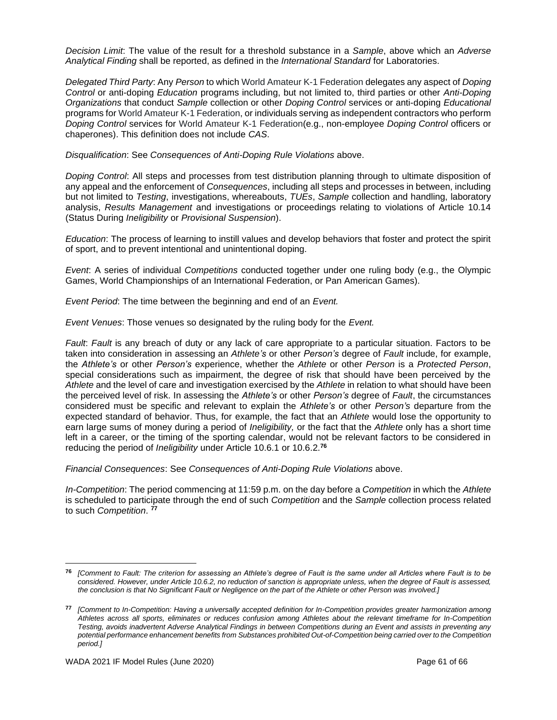*Decision Limit*: The value of the result for a threshold substance in a *Sample*, above which an *Adverse Analytical Finding* shall be reported, as defined in the *International Standard* for Laboratories.

*Delegated Third Party*: Any *Person* to which World Amateur K-1 Federation delegates any aspect of *Doping Control* or anti-doping *Education* programs including, but not limited to, third parties or other *Anti-Doping Organizations* that conduct *Sample* collection or other *Doping Control* services or anti-doping *Educational* programs for World Amateur K-1 Federation, or individuals serving as independent contractors who perform *Doping Control* services for World Amateur K-1 Federation(e.g., non-employee *Doping Control* officers or chaperones). This definition does not include *CAS*.

*Disqualification*: See *Consequences of Anti-Doping Rule Violations* above.

*Doping Control*: All steps and processes from test distribution planning through to ultimate disposition of any appeal and the enforcement of *Consequences*, including all steps and processes in between, including but not limited to *Testing*, investigations, whereabouts, *TUEs*, *Sample* collection and handling, laboratory analysis, *Results Management* and investigations or proceedings relating to violations of Article 10.14 (Status During *Ineligibility* or *Provisional Suspension*).

*Education*: The process of learning to instill values and develop behaviors that foster and protect the spirit of sport, and to prevent intentional and unintentional doping.

*Event*: A series of individual *Competitions* conducted together under one ruling body (e.g., the Olympic Games, World Championships of an International Federation, or Pan American Games).

*Event Period*: The time between the beginning and end of an *Event.*

*Event Venues*: Those venues so designated by the ruling body for the *Event.* 

*Fault*: *Fault* is any breach of duty or any lack of care appropriate to a particular situation. Factors to be taken into consideration in assessing an *Athlete's* or other *Person's* degree of *Fault* include, for example, the *Athlete's* or other *Person's* experience, whether the *Athlete* or other *Person* is a *Protected Person*, special considerations such as impairment, the degree of risk that should have been perceived by the *Athlete* and the level of care and investigation exercised by the *Athlete* in relation to what should have been the perceived level of risk. In assessing the *Athlete's* or other *Person's* degree of *Fault*, the circumstances considered must be specific and relevant to explain the *Athlete's* or other *Person's* departure from the expected standard of behavior. Thus, for example, the fact that an *Athlete* would lose the opportunity to earn large sums of money during a period of *Ineligibility,* or the fact that the *Athlete* only has a short time left in a career, or the timing of the sporting calendar, would not be relevant factors to be considered in reducing the period of *Ineligibility* under Article 10.6.1 or 10.6.2.**<sup>76</sup>**

*Financial Consequences*: See *Consequences of Anti-Doping Rule Violations* above.

*In-Competition*: The period commencing at 11:59 p.m. on the day before a *Competition* in which the *Athlete* is scheduled to participate through the end of such *Competition* and the *Sample* collection process related to such *Competition*. **77**

**<sup>76</sup>** *[Comment to Fault: The criterion for assessing an Athlete's degree of Fault is the same under all Articles where Fault is to be considered. However, under Article 10.6.2, no reduction of sanction is appropriate unless, when the degree of Fault is assessed, the conclusion is that No Significant Fault or Negligence on the part of the Athlete or other Person was involved.]*

**<sup>77</sup>** *[Comment to In-Competition: Having a universally accepted definition for In-Competition provides greater harmonization among Athletes across all sports, eliminates or reduces confusion among Athletes about the relevant timeframe for In-Competition Testing, avoids inadvertent Adverse Analytical Findings in between Competitions during an Event and assists in preventing any potential performance enhancement benefits from Substances prohibited Out-of-Competition being carried over to the Competition period.]*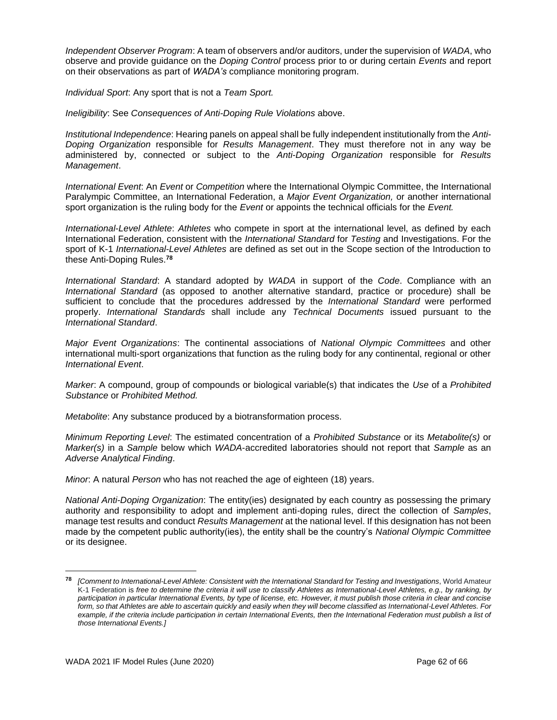*Independent Observer Program*: A team of observers and/or auditors, under the supervision of *WADA*, who observe and provide guidance on the *Doping Control* process prior to or during certain *Events* and report on their observations as part of *WADA's* compliance monitoring program.

*Individual Sport*: Any sport that is not a *Team Sport.*

*Ineligibility*: See *Consequences of Anti-Doping Rule Violations* above.

*Institutional Independence*: Hearing panels on appeal shall be fully independent institutionally from the *Anti-Doping Organization* responsible for *Results Management*. They must therefore not in any way be administered by, connected or subject to the *Anti-Doping Organization* responsible for *Results Management*.

*International Event*: An *Event* or *Competition* where the International Olympic Committee, the International Paralympic Committee, an International Federation, a *Major Event Organization,* or another international sport organization is the ruling body for the *Event* or appoints the technical officials for the *Event.*

*International-Level Athlete*: *Athletes* who compete in sport at the international level, as defined by each International Federation, consistent with the *International Standard* for *Testing* and Investigations. For the sport of K-1 *International-Level Athletes* are defined as set out in the Scope section of the Introduction to these Anti-Doping Rules.**<sup>78</sup>**

*International Standard*: A standard adopted by *WADA* in support of the *Code*. Compliance with an *International Standard* (as opposed to another alternative standard, practice or procedure) shall be sufficient to conclude that the procedures addressed by the *International Standard* were performed properly. *International Standards* shall include any *Technical Documents* issued pursuant to the *International Standard*.

*Major Event Organizations*: The continental associations of *National Olympic Committees* and other international multi-sport organizations that function as the ruling body for any continental, regional or other *International Event*.

*Marker*: A compound, group of compounds or biological variable(s) that indicates the *Use* of a *Prohibited Substance* or *Prohibited Method.*

*Metabolite*: Any substance produced by a biotransformation process.

*Minimum Reporting Level*: The estimated concentration of a *Prohibited Substance* or its *Metabolite(s)* or *Marker(s)* in a *Sample* below which *WADA*-accredited laboratories should not report that *Sample* as an *Adverse Analytical Finding*.

*Minor*: A natural *Person* who has not reached the age of eighteen (18) years.

*National Anti-Doping Organization*: The entity(ies) designated by each country as possessing the primary authority and responsibility to adopt and implement anti-doping rules, direct the collection of *Samples*, manage test results and conduct *Results Management* at the national level. If this designation has not been made by the competent public authority(ies), the entity shall be the country's *National Olympic Committee* or its designee.

**<sup>78</sup>** *[Comment to International-Level Athlete: Consistent with the International Standard for Testing and Investigations*, World Amateur K-1 Federation is *free to determine the criteria it will use to classify Athletes as International-Level Athletes, e.g., by ranking, by participation in particular International Events, by type of license, etc. However, it must publish those criteria in clear and concise form, so that Athletes are able to ascertain quickly and easily when they will become classified as International-Level Athletes. For*  example, if the criteria include participation in certain International Events, then the International Federation must publish a list of *those International Events.]*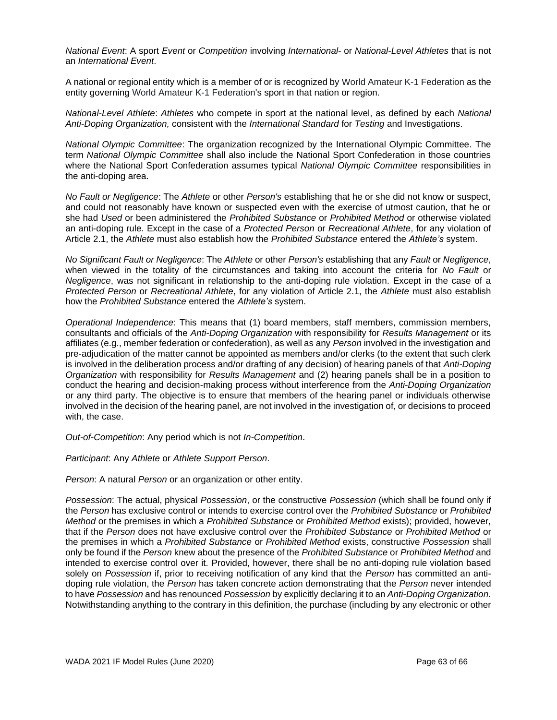*National Event*: A sport *Event* or *Competition* involving *International-* or *National-Level Athletes* that is not an *International Event*.

A national or regional entity which is a member of or is recognized by World Amateur K-1 Federation as the entity governing World Amateur K-1 Federation's sport in that nation or region.

*National-Level Athlete*: *Athletes* who compete in sport at the national level, as defined by each *National Anti-Doping Organization,* consistent with the *International Standard* for *Testing* and Investigations.

*National Olympic Committee*: The organization recognized by the International Olympic Committee. The term *National Olympic Committee* shall also include the National Sport Confederation in those countries where the National Sport Confederation assumes typical *National Olympic Committee* responsibilities in the anti-doping area.

*No Fault or Negligence*: The *Athlete* or other *Person's* establishing that he or she did not know or suspect, and could not reasonably have known or suspected even with the exercise of utmost caution, that he or she had *Used* or been administered the *Prohibited Substance* or *Prohibited Method* or otherwise violated an anti-doping rule*.* Except in the case of a *Protected Person* or *Recreational Athlete*, for any violation of Article 2.1, the *Athlete* must also establish how the *Prohibited Substance* entered the *Athlete's* system.

*No Significant Fault or Negligence*: The *Athlete* or other *Person's* establishing that any *Fault* or *Negligence*, when viewed in the totality of the circumstances and taking into account the criteria for *No Fault* or *Negligence*, was not significant in relationship to the anti-doping rule violation. Except in the case of a *Protected Person* or *Recreational Athlete*, for any violation of Article 2.1, the *Athlete* must also establish how the *Prohibited Substance* entered the *Athlete's* system.

*Operational Independence*: This means that (1) board members, staff members, commission members, consultants and officials of the *Anti-Doping Organization* with responsibility for *Results Management* or its affiliates (e.g., member federation or confederation), as well as any *Person* involved in the investigation and pre-adjudication of the matter cannot be appointed as members and/or clerks (to the extent that such clerk is involved in the deliberation process and/or drafting of any decision) of hearing panels of that *Anti-Doping Organization* with responsibility for *Results Management* and (2) hearing panels shall be in a position to conduct the hearing and decision-making process without interference from the *Anti-Doping Organization* or any third party. The objective is to ensure that members of the hearing panel or individuals otherwise involved in the decision of the hearing panel, are not involved in the investigation of, or decisions to proceed with, the case.

*Out-of-Competition*: Any period which is not *In-Competition*.

*Participant*: Any *Athlete* or *Athlete Support Person*.

*Person*: A natural *Person* or an organization or other entity.

*Possession*: The actual, physical *Possession*, or the constructive *Possession* (which shall be found only if the *Person* has exclusive control or intends to exercise control over the *Prohibited Substance* or *Prohibited Method* or the premises in which a *Prohibited Substance* or *Prohibited Method* exists); provided, however, that if the *Person* does not have exclusive control over the *Prohibited Substance* or *Prohibited Method* or the premises in which a *Prohibited Substance* or *Prohibited Method* exists, constructive *Possession* shall only be found if the *Person* knew about the presence of the *Prohibited Substance* or *Prohibited Method* and intended to exercise control over it. Provided, however, there shall be no anti-doping rule violation based solely on *Possession* if, prior to receiving notification of any kind that the *Person* has committed an antidoping rule violation, the *Person* has taken concrete action demonstrating that the *Person* never intended to have *Possession* and has renounced *Possession* by explicitly declaring it to an *Anti-Doping Organization*. Notwithstanding anything to the contrary in this definition, the purchase (including by any electronic or other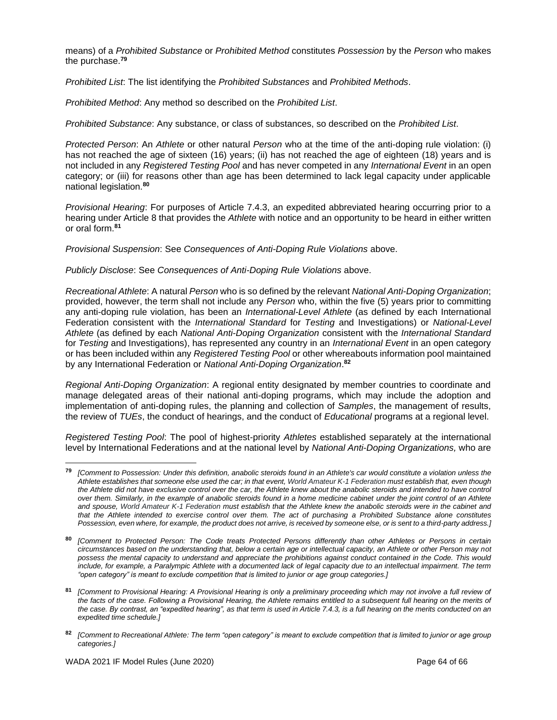means) of a *Prohibited Substance* or *Prohibited Method* constitutes *Possession* by the *Person* who makes the purchase.**<sup>79</sup>**

*Prohibited List*: The list identifying the *Prohibited Substances* and *Prohibited Methods*.

*Prohibited Method*: Any method so described on the *Prohibited List*.

*Prohibited Substance*: Any substance, or class of substances, so described on the *Prohibited List*.

*Protected Person*: An *Athlete* or other natural *Person* who at the time of the anti-doping rule violation: (i) has not reached the age of sixteen (16) years; (ii) has not reached the age of eighteen (18) years and is not included in any *Registered Testing Pool* and has never competed in any *International Event* in an open category; or (iii) for reasons other than age has been determined to lack legal capacity under applicable national legislation.**<sup>80</sup>**

*Provisional Hearing*: For purposes of Article 7.4.3, an expedited abbreviated hearing occurring prior to a hearing under Article 8 that provides the *Athlete* with notice and an opportunity to be heard in either written or oral form.**<sup>81</sup>**

*Provisional Suspension*: See *Consequences of Anti-Doping Rule Violations* above.

*Publicly Disclose*: See *Consequences of Anti-Doping Rule Violations* above.

*Recreational Athlete*: A natural *Person* who is so defined by the relevant *National Anti-Doping Organization*; provided, however, the term shall not include any *Person* who, within the five (5) years prior to committing any anti-doping rule violation, has been an *International-Level Athlete* (as defined by each International Federation consistent with the *International Standard* for *Testing* and Investigations) or *National-Level Athlete* (as defined by each *National Anti-Doping Organization* consistent with the *International Standard* for *Testing* and Investigations), has represented any country in an *International Event* in an open category or has been included within any *Registered Testing Pool* or other whereabouts information pool maintained by any International Federation or *National Anti-Doping Organization*. **82**

*Regional Anti-Doping Organization*: A regional entity designated by member countries to coordinate and manage delegated areas of their national anti-doping programs, which may include the adoption and implementation of anti-doping rules, the planning and collection of *Samples*, the management of results, the review of *TUEs*, the conduct of hearings, and the conduct of *Educational* programs at a regional level.

*Registered Testing Pool*: The pool of highest-priority *Athletes* established separately at the international level by International Federations and at the national level by *National Anti-Doping Organizations,* who are

**<sup>79</sup>** *[Comment to Possession: Under this definition, anabolic steroids found in an Athlete's car would constitute a violation unless the Athlete establishes that someone else used the car; in that event, World Amateur K-1 Federation must establish that, even though*  the Athlete did not have exclusive control over the car, the Athlete knew about the anabolic steroids and intended to have control *over them. Similarly, in the example of anabolic steroids found in a home medicine cabinet under the joint control of an Athlete and spouse, World Amateur K-1 Federation must establish that the Athlete knew the anabolic steroids were in the cabinet and that the Athlete intended to exercise control over them. The act of purchasing a Prohibited Substance alone constitutes Possession, even where, for example, the product does not arrive, is received by someone else, or is sent to a third-party address.]*

**<sup>80</sup>** *[Comment to Protected Person: The Code treats Protected Persons differently than other Athletes or Persons in certain circumstances based on the understanding that, below a certain age or intellectual capacity, an Athlete or other Person may not possess the mental capacity to understand and appreciate the prohibitions against conduct contained in the Code. This would include, for example, a Paralympic Athlete with a documented lack of legal capacity due to an intellectual impairment. The term "open category" is meant to exclude competition that is limited to junior or age group categories.]* 

**<sup>81</sup>** *[Comment to Provisional Hearing: A Provisional Hearing is only a preliminary proceeding which may not involve a full review of the facts of the case. Following a Provisional Hearing, the Athlete remains entitled to a subsequent full hearing on the merits of the case. By contrast, an "expedited hearing", as that term is used in Article 7.4.3, is a full hearing on the merits conducted on an expedited time schedule.]*

**<sup>82</sup>** *[Comment to Recreational Athlete: The term "open category" is meant to exclude competition that is limited to junior or age group categories.]*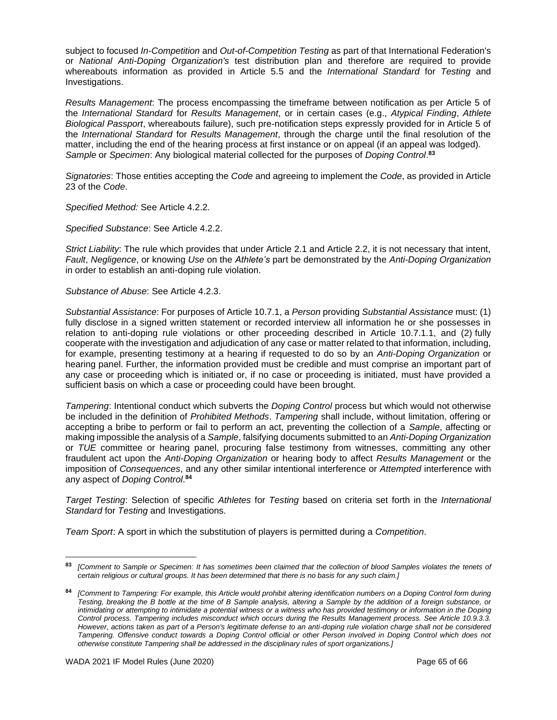subject to focused *In-Competition* and *Out-of-Competition Testing* as part of that International Federation's or *National Anti-Doping Organization's* test distribution plan and therefore are required to provide whereabouts information as provided in Article 5.5 and the *International Standard* for *Testing* and Investigations.

*Results Management*: The process encompassing the timeframe between notification as per Article 5 of the *International Standard* for *Results Management*, or in certain cases (e.g., *Atypical Finding*, *Athlete Biological Passport*, whereabouts failure), such pre-notification steps expressly provided for in Article 5 of the *International Standard* for *Results Management*, through the charge until the final resolution of the matter, including the end of the hearing process at first instance or on appeal (if an appeal was lodged). *Sample* or *Specimen*: Any biological material collected for the purposes of *Doping Control*. **83**

*Signatories*: Those entities accepting the *Code* and agreeing to implement the *Code*, as provided in Article 23 of the *Code*.

*Specified Method:* See Article 4.2.2.

*Specified Substance*: See Article 4.2.2.

*Strict Liability*: The rule which provides that under Article 2.1 and Article 2.2, it is not necessary that intent, *Fault*, *Negligence*, or knowing *Use* on the *Athlete's* part be demonstrated by the *Anti-Doping Organization* in order to establish an anti-doping rule violation.

*Substance of Abuse*: See Article 4.2.3.

*Substantial Assistance*: For purposes of Article 10.7.1, a *Person* providing *Substantial Assistance* must: (1) fully disclose in a signed written statement or recorded interview all information he or she possesses in relation to anti-doping rule violations or other proceeding described in Article 10.7.1.1, and (2) fully cooperate with the investigation and adjudication of any case or matter related to that information, including, for example, presenting testimony at a hearing if requested to do so by an *Anti-Doping Organization* or hearing panel. Further, the information provided must be credible and must comprise an important part of any case or proceeding which is initiated or, if no case or proceeding is initiated, must have provided a sufficient basis on which a case or proceeding could have been brought.

*Tampering*: Intentional conduct which subverts the *Doping Control* process but which would not otherwise be included in the definition of *Prohibited Methods*. *Tampering* shall include, without limitation, offering or accepting a bribe to perform or fail to perform an act, preventing the collection of a *Sample*, affecting or making impossible the analysis of a *Sample*, falsifying documents submitted to an *Anti-Doping Organization* or *TUE* committee or hearing panel, procuring false testimony from witnesses, committing any other fraudulent act upon the *Anti-Doping Organization* or hearing body to affect *Results Management* or the imposition of *Consequences*, and any other similar intentional interference or *Attempted* interference with any aspect of *Doping Control*. **84**

*Target Testing*: Selection of specific *Athletes* for *Testing* based on criteria set forth in the *International Standard* for *Testing* and Investigations.

*Team Sport*: A sport in which the substitution of players is permitted during a *Competition*.

**<sup>83</sup>** *[Comment to Sample or Specimen: It has sometimes been claimed that the collection of blood Samples violates the tenets of certain religious or cultural groups. It has been determined that there is no basis for any such claim.]*

**<sup>84</sup>** *[Comment to Tampering: For example, this Article would prohibit altering identification numbers on a Doping Control form during Testing, breaking the B bottle at the time of B Sample analysis, altering a Sample by the addition of a foreign substance, or intimidating or attempting to intimidate a potential witness or a witness who has provided testimony or information in the Doping Control process. Tampering includes misconduct which occurs during the Results Management process. See Article 10.9.3.3. However, actions taken as part of a Person's legitimate defense to an anti-doping rule violation charge shall not be considered Tampering. Offensive conduct towards a Doping Control official or other Person involved in Doping Control which does not otherwise constitute Tampering shall be addressed in the disciplinary rules of sport organizations.]*